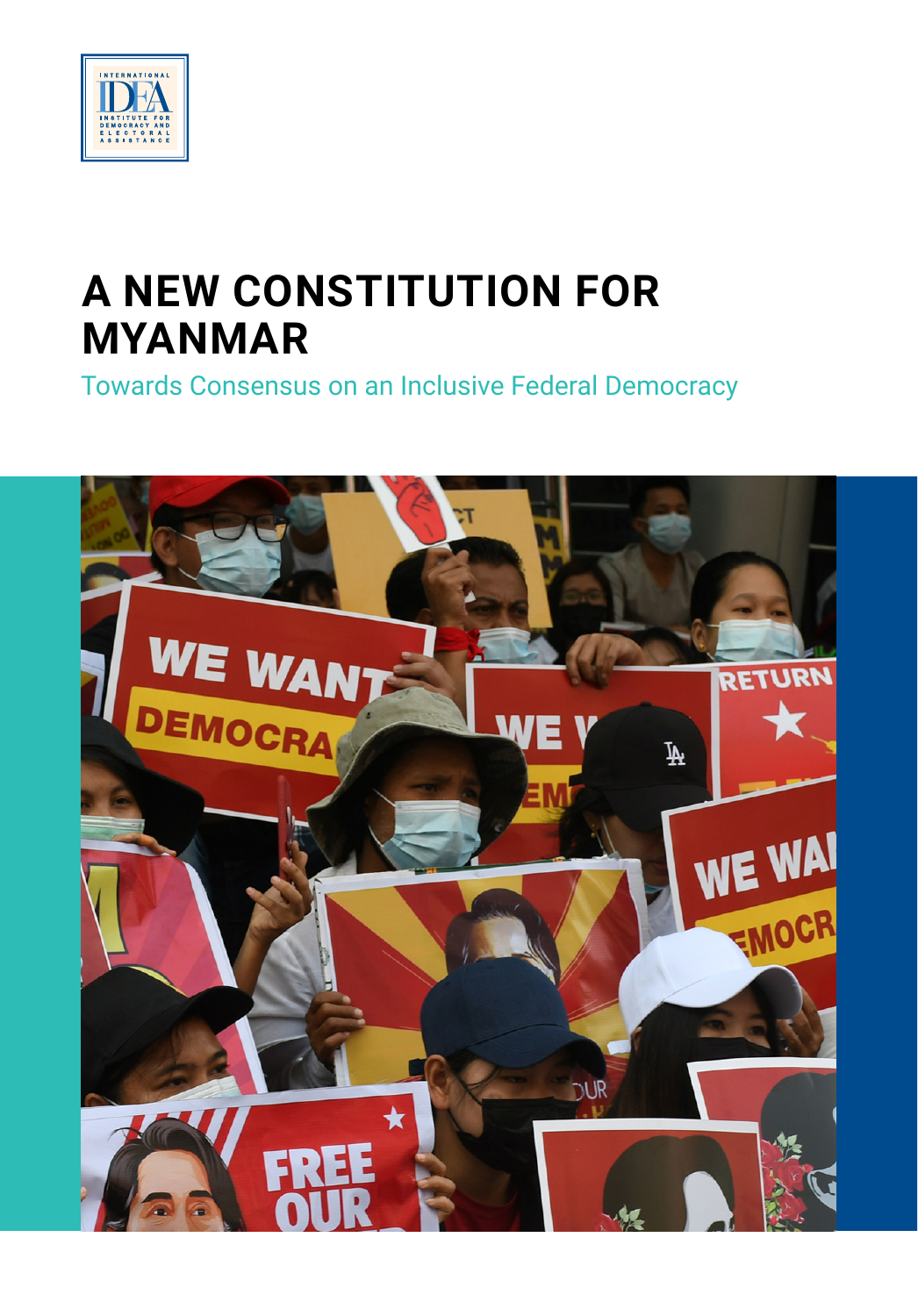

# **A NEW CONSTITUTION FOR MYANMAR**

Towards Consensus on an Inclusive Federal Democracy

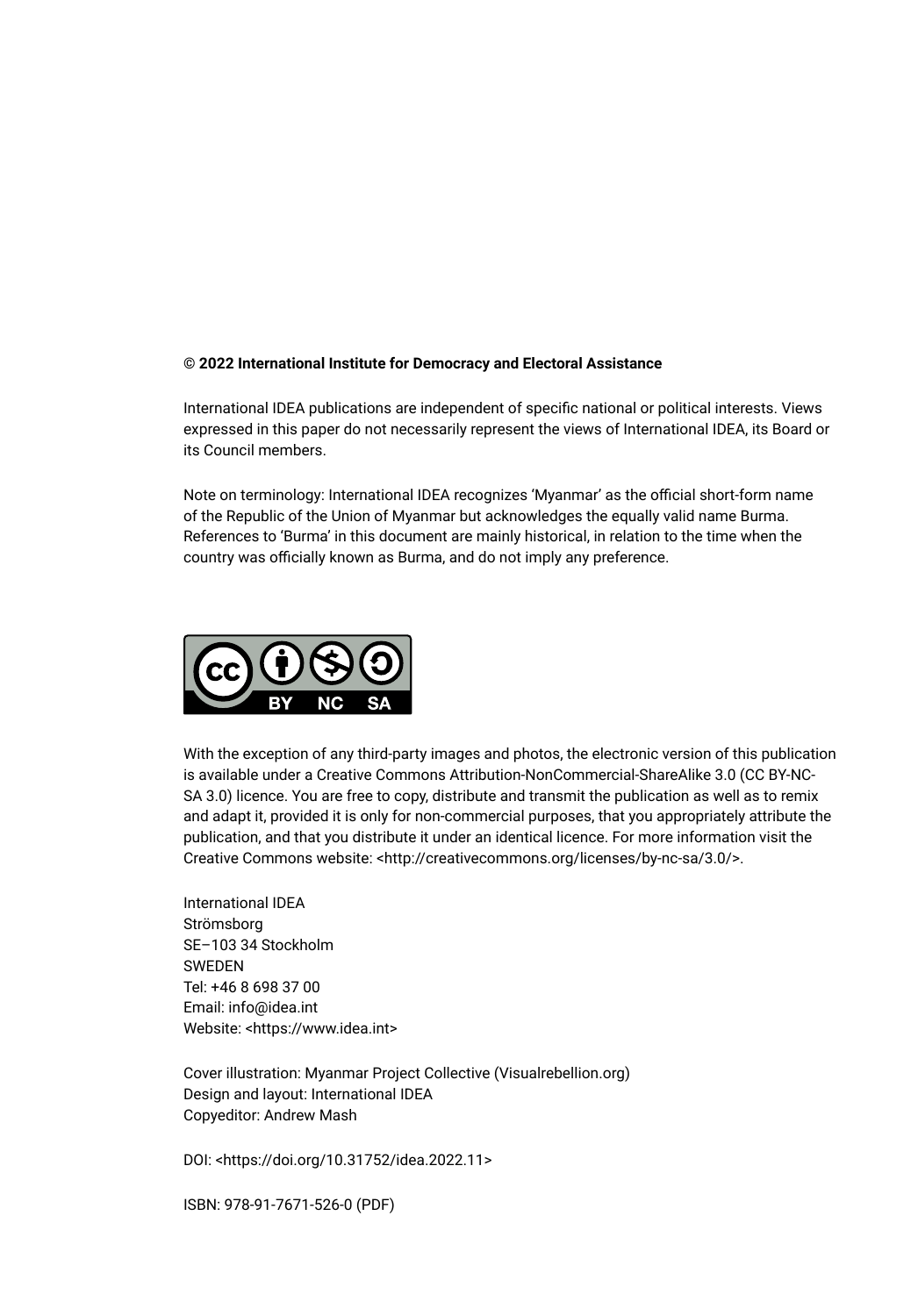#### **© 2022 International Institute for Democracy and Electoral Assistance**

International IDEA publications are independent of specific national or political interests. Views expressed in this paper do not necessarily represent the views of International IDEA, its Board or its Council members.

Note on terminology: International IDEA recognizes 'Myanmar' as the official short-form name of the Republic of the Union of Myanmar but acknowledges the equally valid name Burma. References to 'Burma' in this document are mainly historical, in relation to the time when the country was officially known as Burma, and do not imply any preference.



With the exception of any third-party images and photos, the electronic version of this publication is available under a Creative Commons Attribution-NonCommercial-ShareAlike 3.0 (CC BY-NC-SA 3.0) licence. You are free to copy, distribute and transmit the publication as well as to remix and adapt it, provided it is only for non-commercial purposes, that you appropriately attribute the publication, and that you distribute it under an identical licence. For more information visit the Creative Commons website: <http://creativecommons.org/licenses/by-nc-sa/3.0/>.

International IDEA Strömsborg SE–103 34 Stockholm **SWEDEN** Tel: +46 8 698 37 00 Email: info@idea.int Website: <https://www.idea.int>

Cover illustration: Myanmar Project Collective (Visualrebellion.org) Design and layout: International IDEA Copyeditor: Andrew Mash

DOI: <https://doi.org/10.31752/idea.2022.11>

ISBN: 978-91-7671-526-0 (PDF)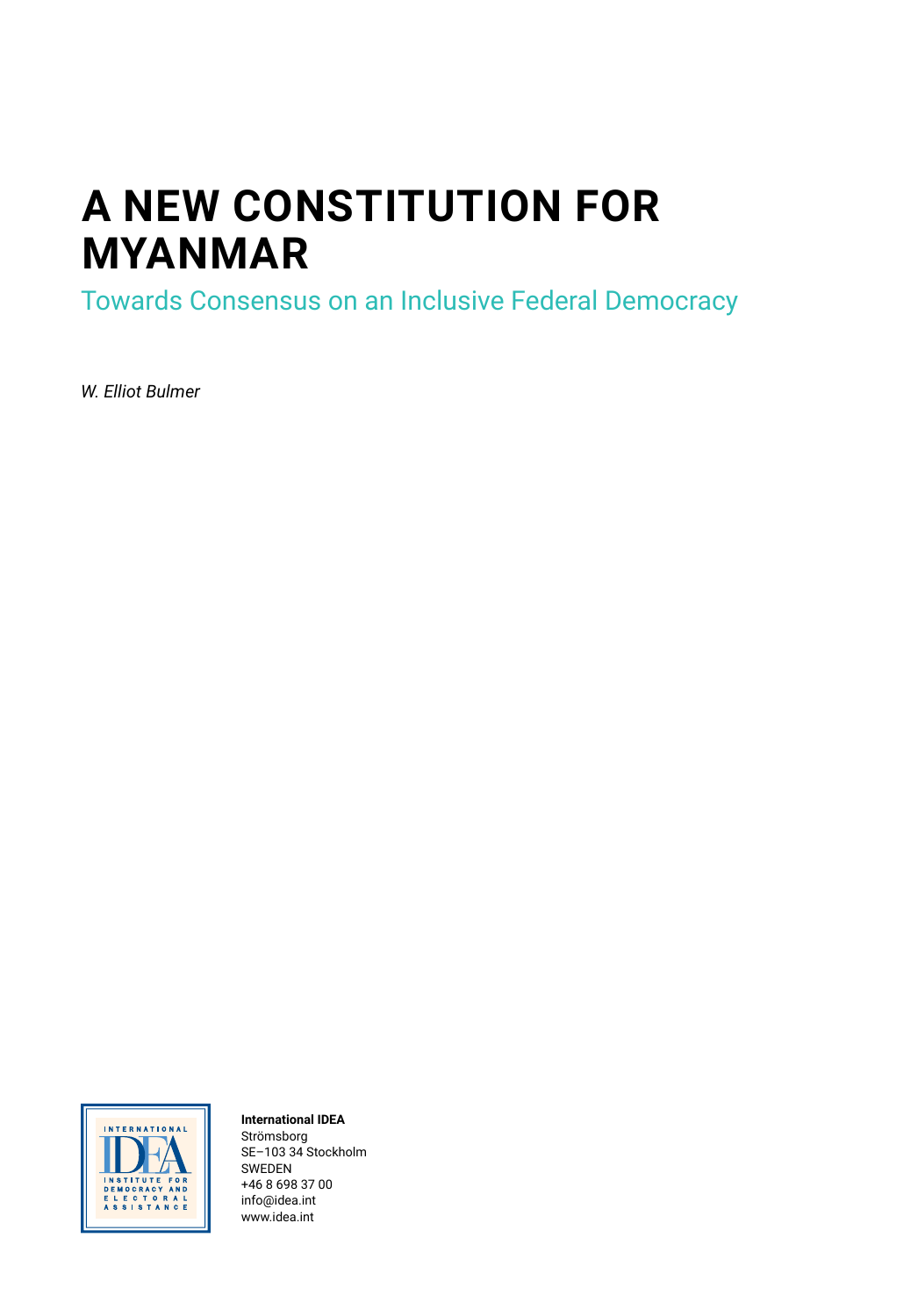# **A NEW CONSTITUTION FOR MYANMAR**

Towards Consensus on an Inclusive Federal Democracy

*W. Elliot Bulmer*



#### **International IDEA**

Strömsborg SE–103 34 Stockholm SWEDEN +46 8 698 37 00 [info@idea.int](mailto:info@idea.int) [www.idea.int](http://www.idea.int)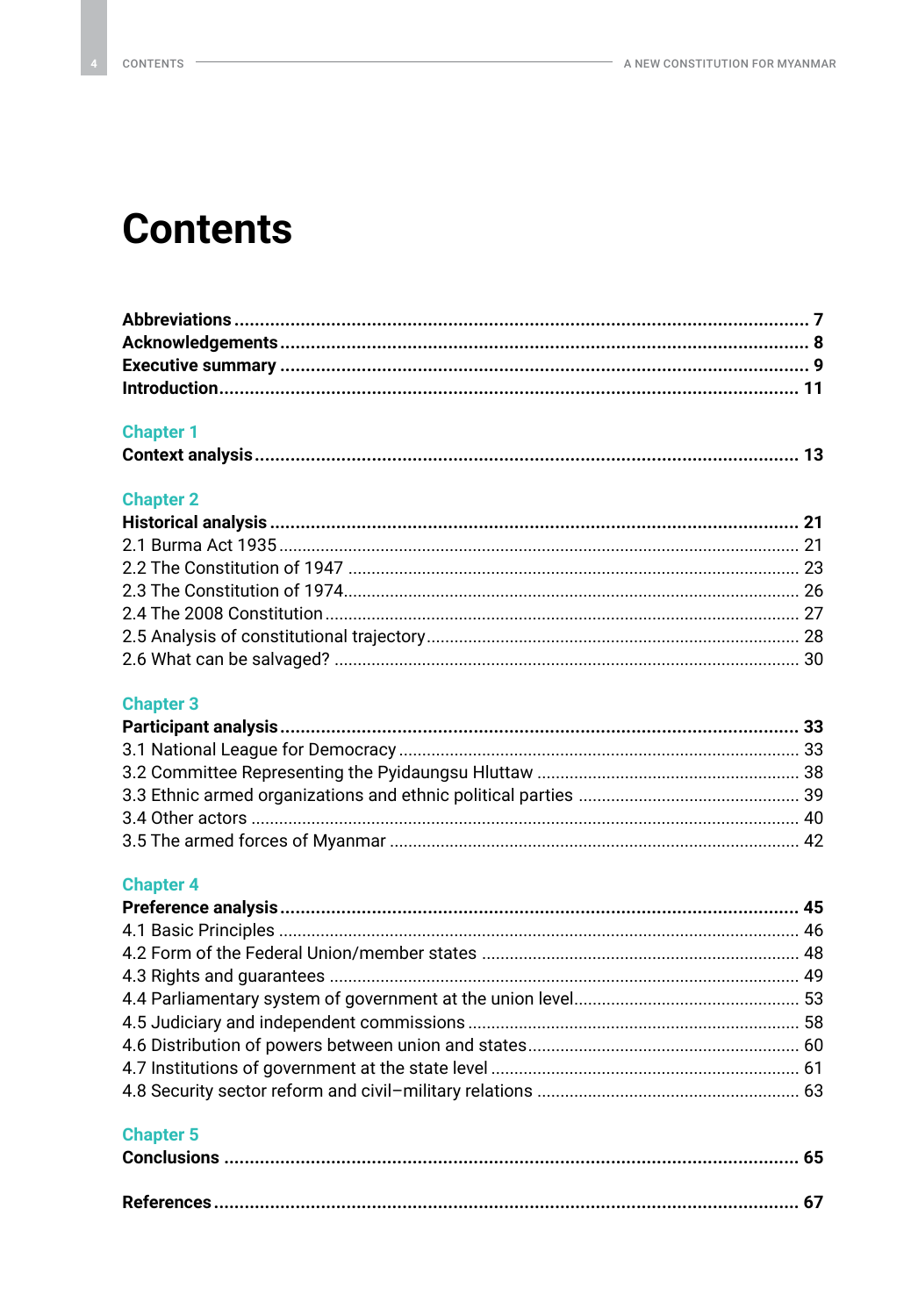## **Contents**

### **Chapter 1**

|--|--|

### **Chapter 2**

### **Chapter 3**

### **Chapter 4**

### **Chapter 5**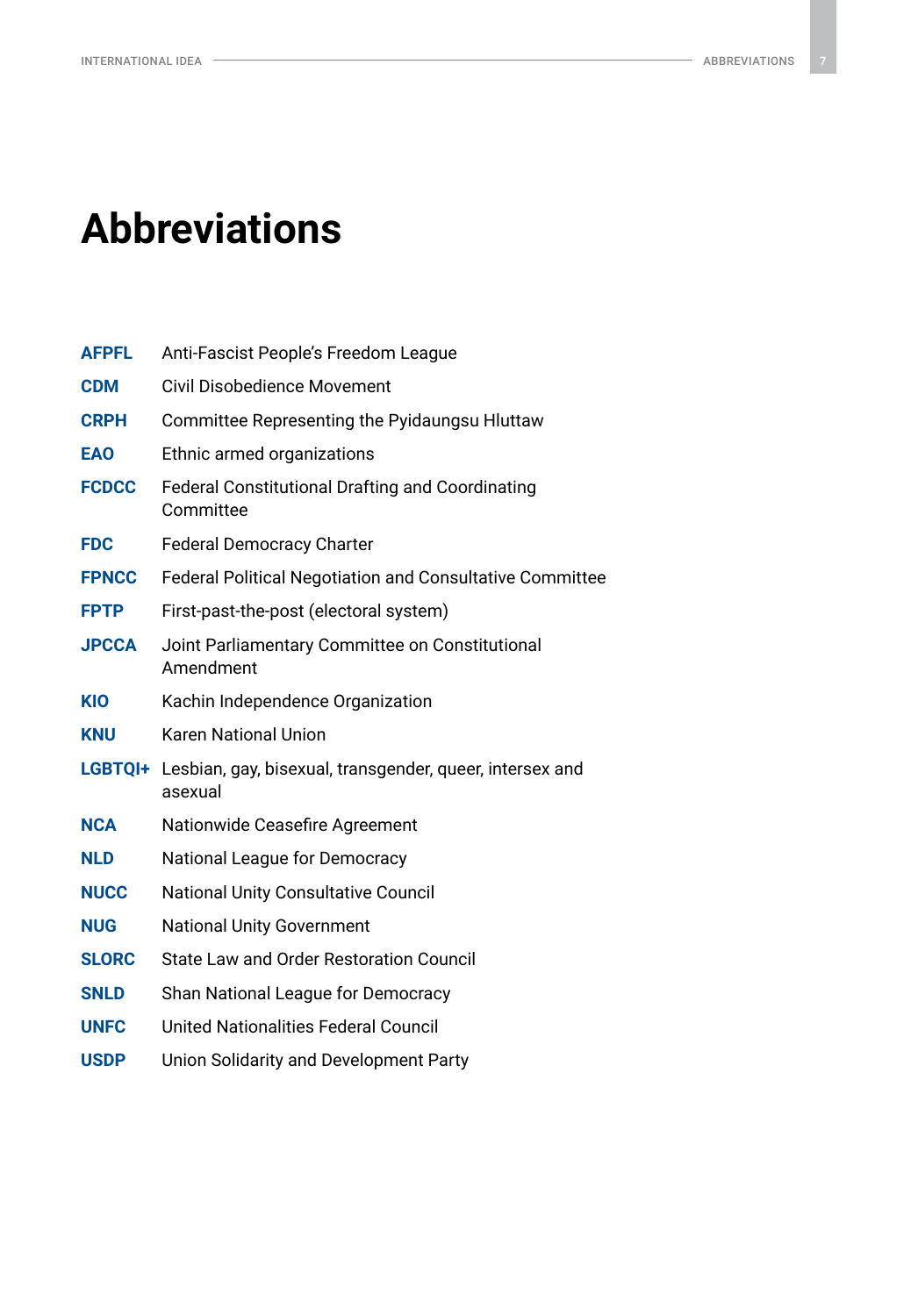## <span id="page-6-0"></span>**Abbreviations**

| <b>AFPFL</b>   | Anti-Fascist People's Freedom League                                 |  |
|----------------|----------------------------------------------------------------------|--|
| <b>CDM</b>     | Civil Disobedience Movement                                          |  |
| <b>CRPH</b>    | Committee Representing the Pyidaungsu Hluttaw                        |  |
| <b>EAO</b>     | Ethnic armed organizations                                           |  |
| <b>FCDCC</b>   | <b>Federal Constitutional Drafting and Coordinating</b><br>Committee |  |
| <b>FDC</b>     | <b>Federal Democracy Charter</b>                                     |  |
| <b>FPNCC</b>   | <b>Federal Political Negotiation and Consultative Committee</b>      |  |
| <b>FPTP</b>    | First-past-the-post (electoral system)                               |  |
| <b>JPCCA</b>   | Joint Parliamentary Committee on Constitutional<br>Amendment         |  |
| <b>KIO</b>     | Kachin Independence Organization                                     |  |
| <b>KNU</b>     | <b>Karen National Union</b>                                          |  |
| <b>LGBTOI+</b> | Lesbian, gay, bisexual, transgender, queer, intersex and<br>asexual  |  |
| <b>NCA</b>     | Nationwide Ceasefire Agreement                                       |  |
| <b>NLD</b>     | National League for Democracy                                        |  |
| <b>NUCC</b>    | National Unity Consultative Council                                  |  |
| <b>NUG</b>     | <b>National Unity Government</b>                                     |  |
| <b>SLORC</b>   | State Law and Order Restoration Council                              |  |
| <b>SNLD</b>    | Shan National League for Democracy                                   |  |
| <b>UNFC</b>    | <b>United Nationalities Federal Council</b>                          |  |
| <b>USDP</b>    | Union Solidarity and Development Party                               |  |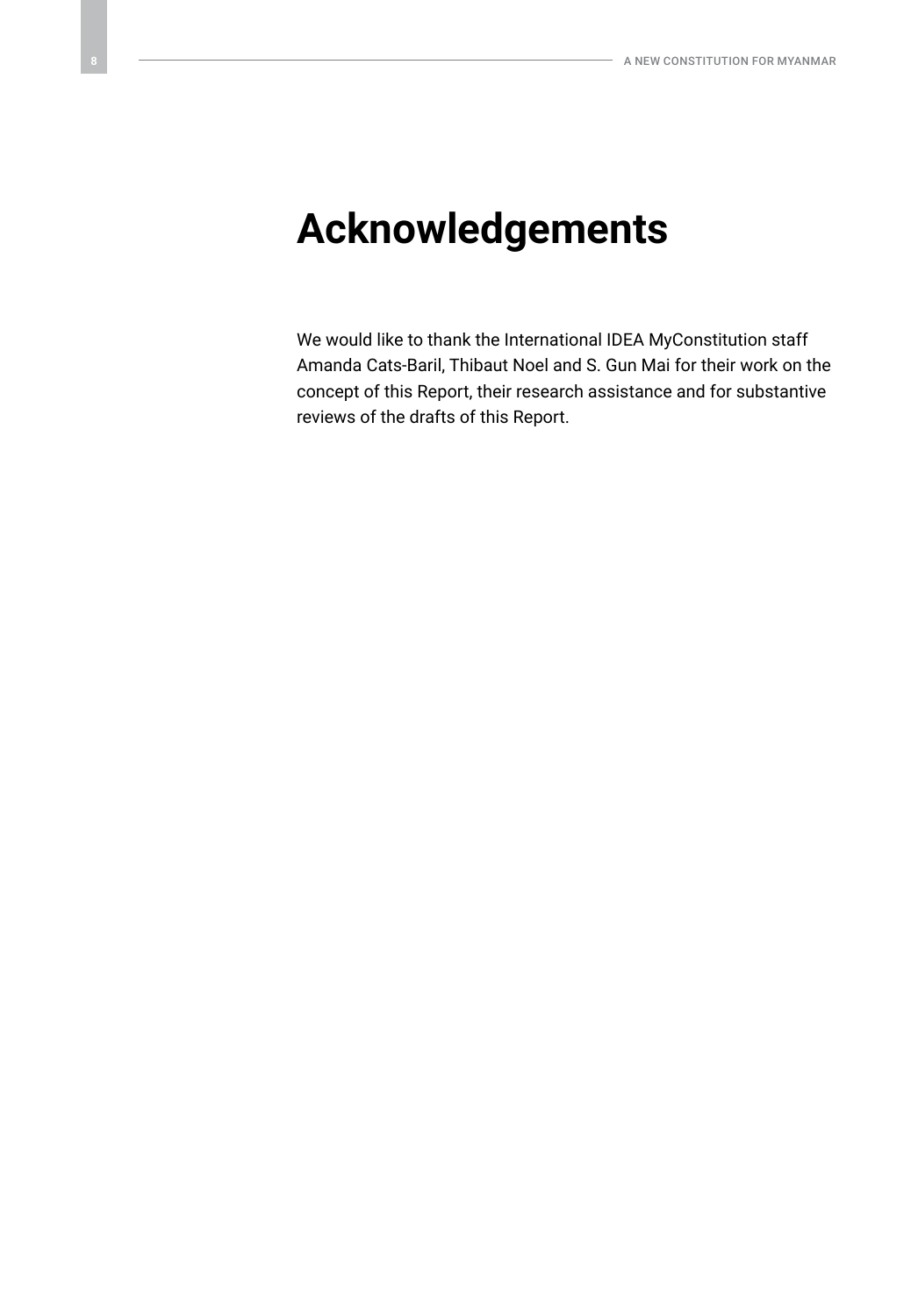## <span id="page-7-0"></span>**Acknowledgements**

We would like to thank the International IDEA MyConstitution staff Amanda Cats-Baril, Thibaut Noel and S. Gun Mai for their work on the concept of this Report, their research assistance and for substantive reviews of the drafts of this Report.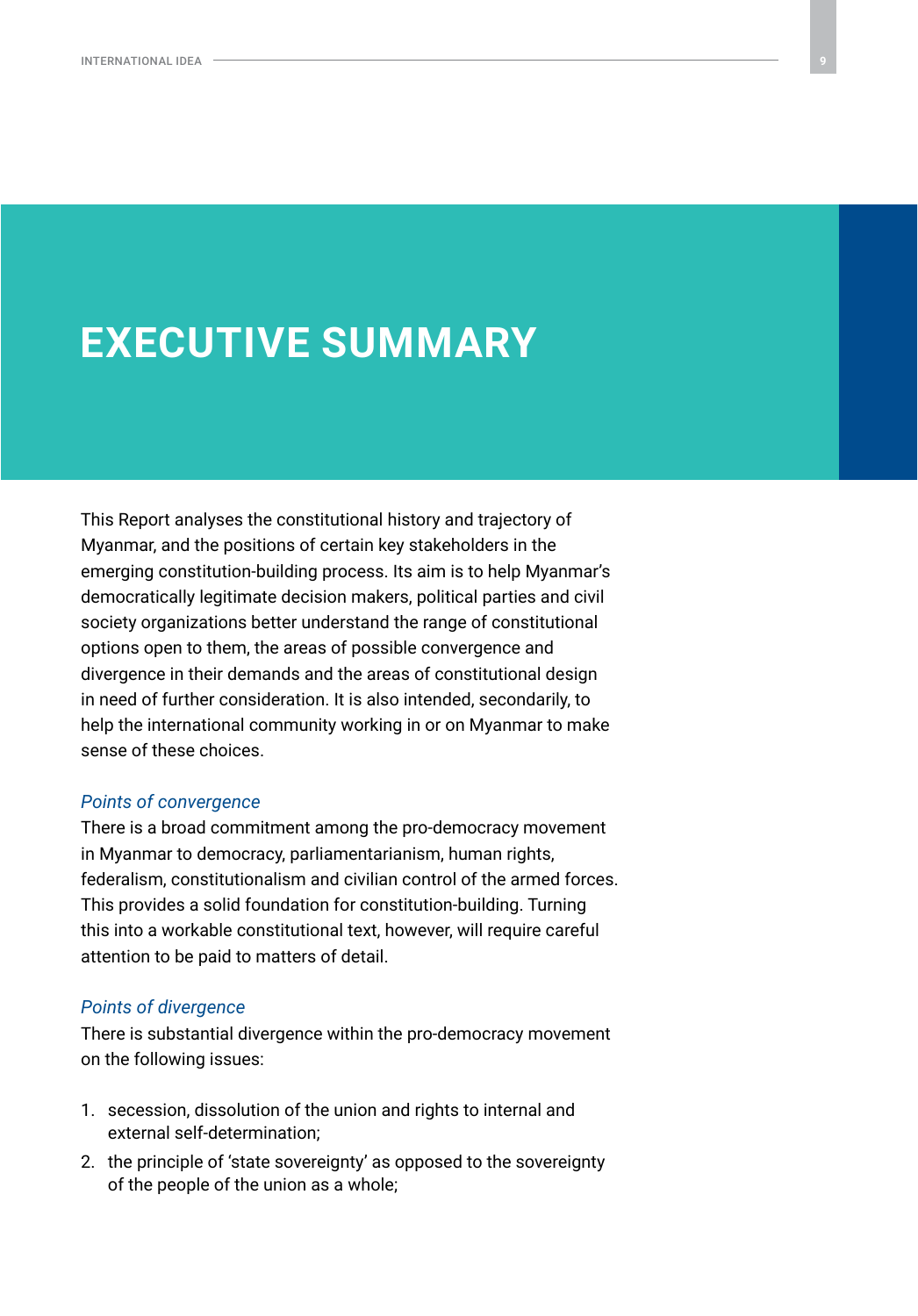## <span id="page-8-0"></span>**EXECUTIVE SUMMARY**

This Report analyses the constitutional history and trajectory of Myanmar, and the positions of certain key stakeholders in the emerging constitution-building process. Its aim is to help Myanmar's democratically legitimate decision makers, political parties and civil society organizations better understand the range of constitutional options open to them, the areas of possible convergence and divergence in their demands and the areas of constitutional design in need of further consideration. It is also intended, secondarily, to help the international community working in or on Myanmar to make sense of these choices.

#### *Points of convergence*

There is a broad commitment among the pro-democracy movement in Myanmar to democracy, parliamentarianism, human rights, federalism, constitutionalism and civilian control of the armed forces. This provides a solid foundation for constitution-building. Turning this into a workable constitutional text, however, will require careful attention to be paid to matters of detail.

#### *Points of divergence*

There is substantial divergence within the pro-democracy movement on the following issues:

- 1. secession, dissolution of the union and rights to internal and external self-determination;
- 2. the principle of 'state sovereignty' as opposed to the sovereignty of the people of the union as a whole;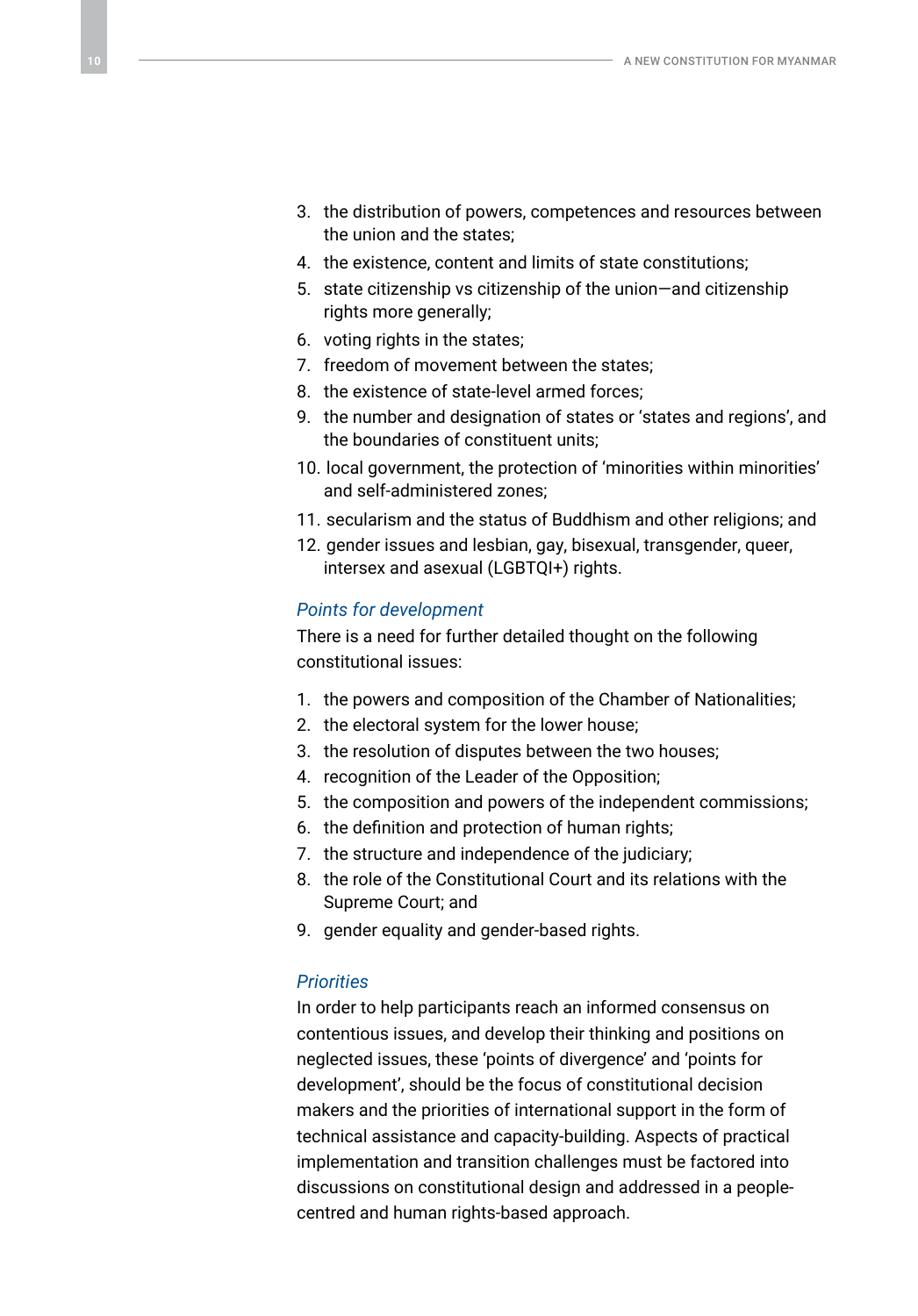- 3. the distribution of powers, competences and resources between the union and the states;
- 4. the existence, content and limits of state constitutions;
- 5. state citizenship vs citizenship of the union—and citizenship rights more generally;
- 6. voting rights in the states;
- 7. freedom of movement between the states;
- 8. the existence of state-level armed forces;
- 9. the number and designation of states or 'states and regions', and the boundaries of constituent units;
- 10. local government, the protection of 'minorities within minorities' and self-administered zones;
- 11. secularism and the status of Buddhism and other religions; and
- 12. gender issues and lesbian, gay, bisexual, transgender, queer, intersex and asexual (LGBTQI+) rights.

#### *Points for development*

There is a need for further detailed thought on the following constitutional issues:

- 1. the powers and composition of the Chamber of Nationalities;
- 2. the electoral system for the lower house;
- 3. the resolution of disputes between the two houses;
- 4. recognition of the Leader of the Opposition;
- 5. the composition and powers of the independent commissions;
- 6. the definition and protection of human rights;
- 7. the structure and independence of the judiciary;
- 8. the role of the Constitutional Court and its relations with the Supreme Court; and
- 9. gender equality and gender-based rights.

#### *Priorities*

In order to help participants reach an informed consensus on contentious issues, and develop their thinking and positions on neglected issues, these 'points of divergence' and 'points for development', should be the focus of constitutional decision makers and the priorities of international support in the form of technical assistance and capacity-building. Aspects of practical implementation and transition challenges must be factored into discussions on constitutional design and addressed in a peoplecentred and human rights-based approach.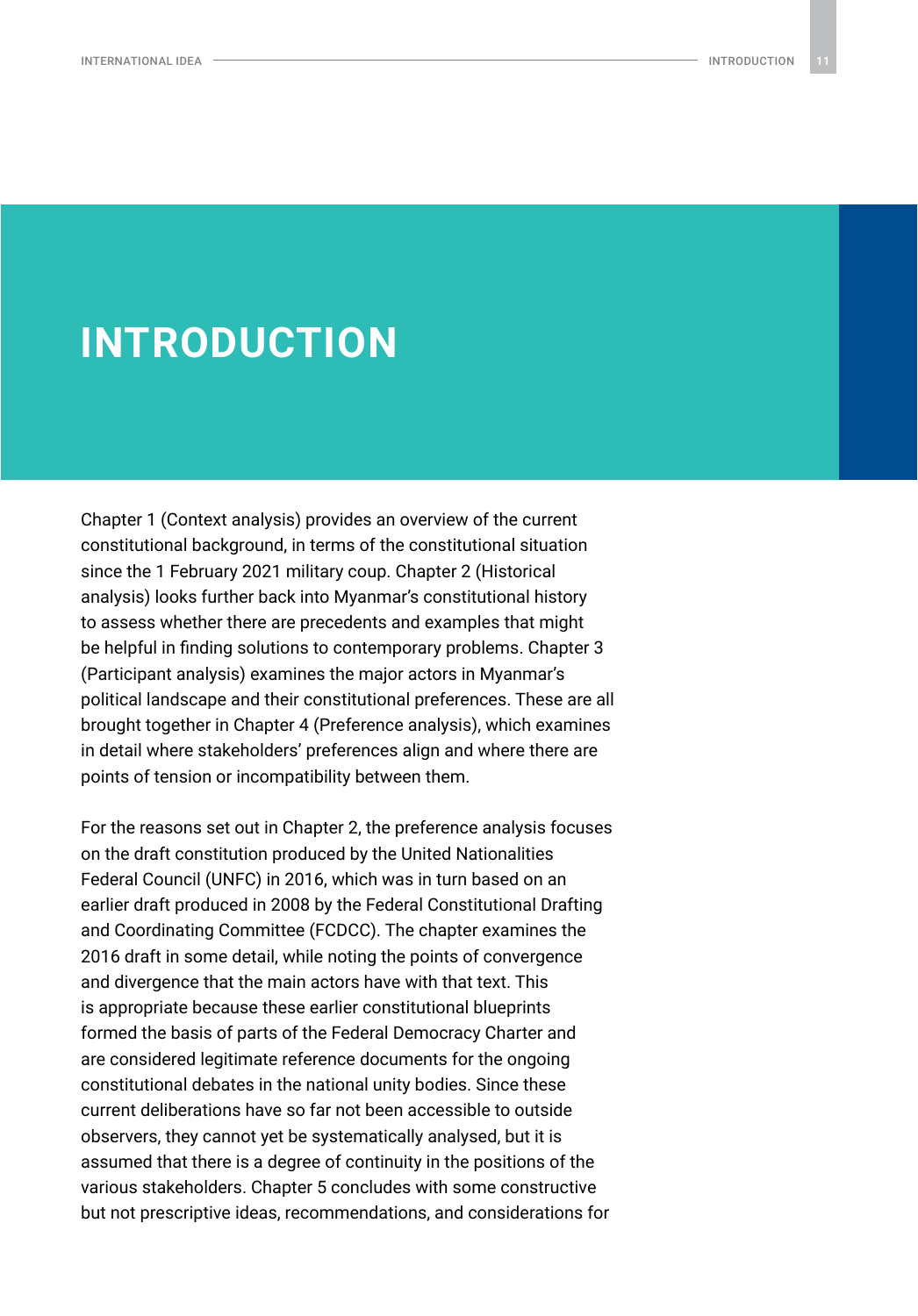### <span id="page-10-0"></span>**INTRODUCTION**

Chapter 1 (Context analysis) provides an overview of the current constitutional background, in terms of the constitutional situation since the 1 February 2021 military coup. Chapter 2 (Historical analysis) looks further back into Myanmar's constitutional history to assess whether there are precedents and examples that might be helpful in finding solutions to contemporary problems. Chapter 3 (Participant analysis) examines the major actors in Myanmar's political landscape and their constitutional preferences. These are all brought together in Chapter 4 (Preference analysis), which examines in detail where stakeholders' preferences align and where there are points of tension or incompatibility between them.

For the reasons set out in Chapter 2, the preference analysis focuses on the draft constitution produced by the United Nationalities Federal Council (UNFC) in 2016, which was in turn based on an earlier draft produced in 2008 by the Federal Constitutional Drafting and Coordinating Committee (FCDCC). The chapter examines the 2016 draft in some detail, while noting the points of convergence and divergence that the main actors have with that text. This is appropriate because these earlier constitutional blueprints formed the basis of parts of the Federal Democracy Charter and are considered legitimate reference documents for the ongoing constitutional debates in the national unity bodies. Since these current deliberations have so far not been accessible to outside observers, they cannot yet be systematically analysed, but it is assumed that there is a degree of continuity in the positions of the various stakeholders. Chapter 5 concludes with some constructive but not prescriptive ideas, recommendations, and considerations for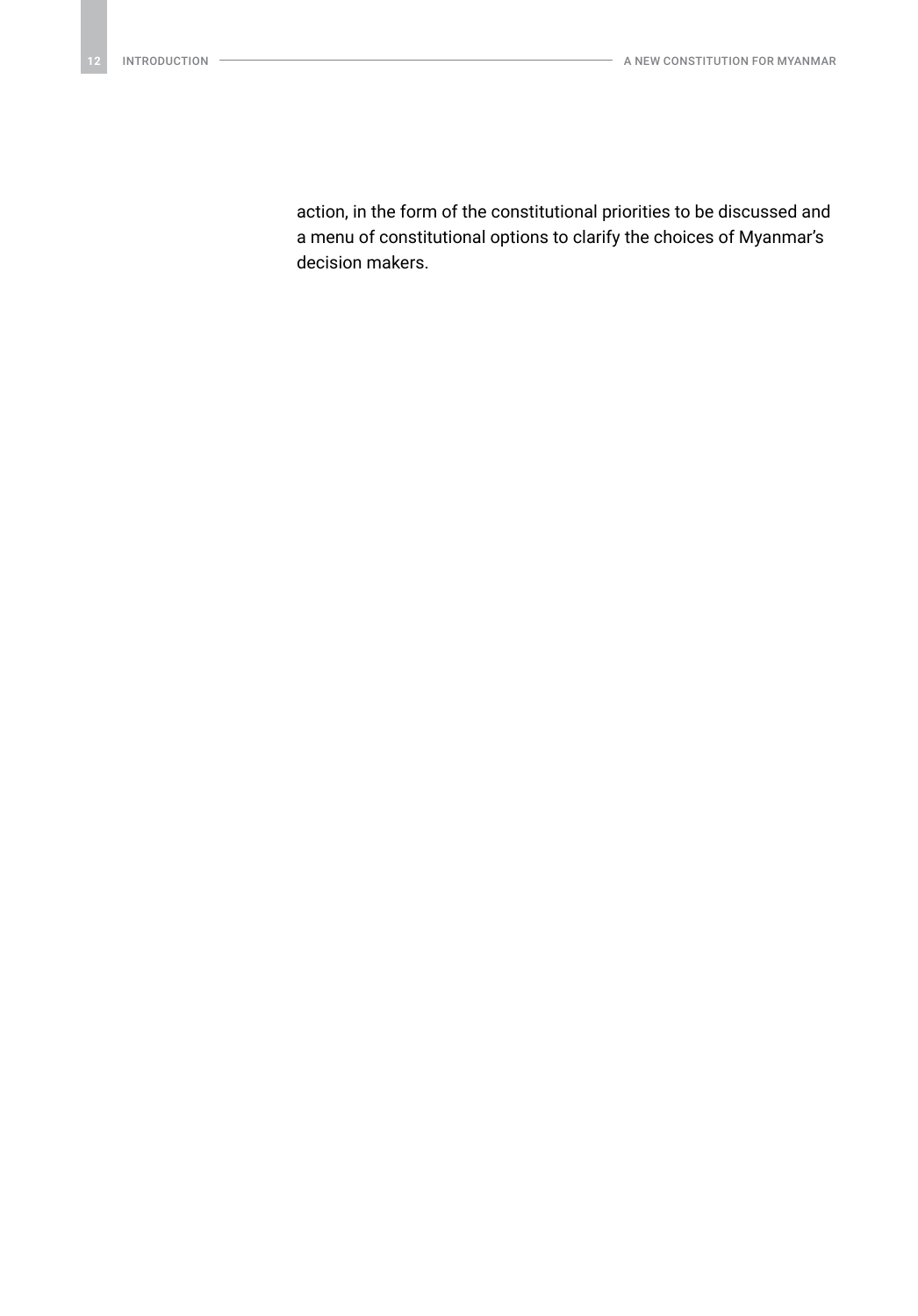action, in the form of the constitutional priorities to be discussed and a menu of constitutional options to clarify the choices of Myanmar's decision makers.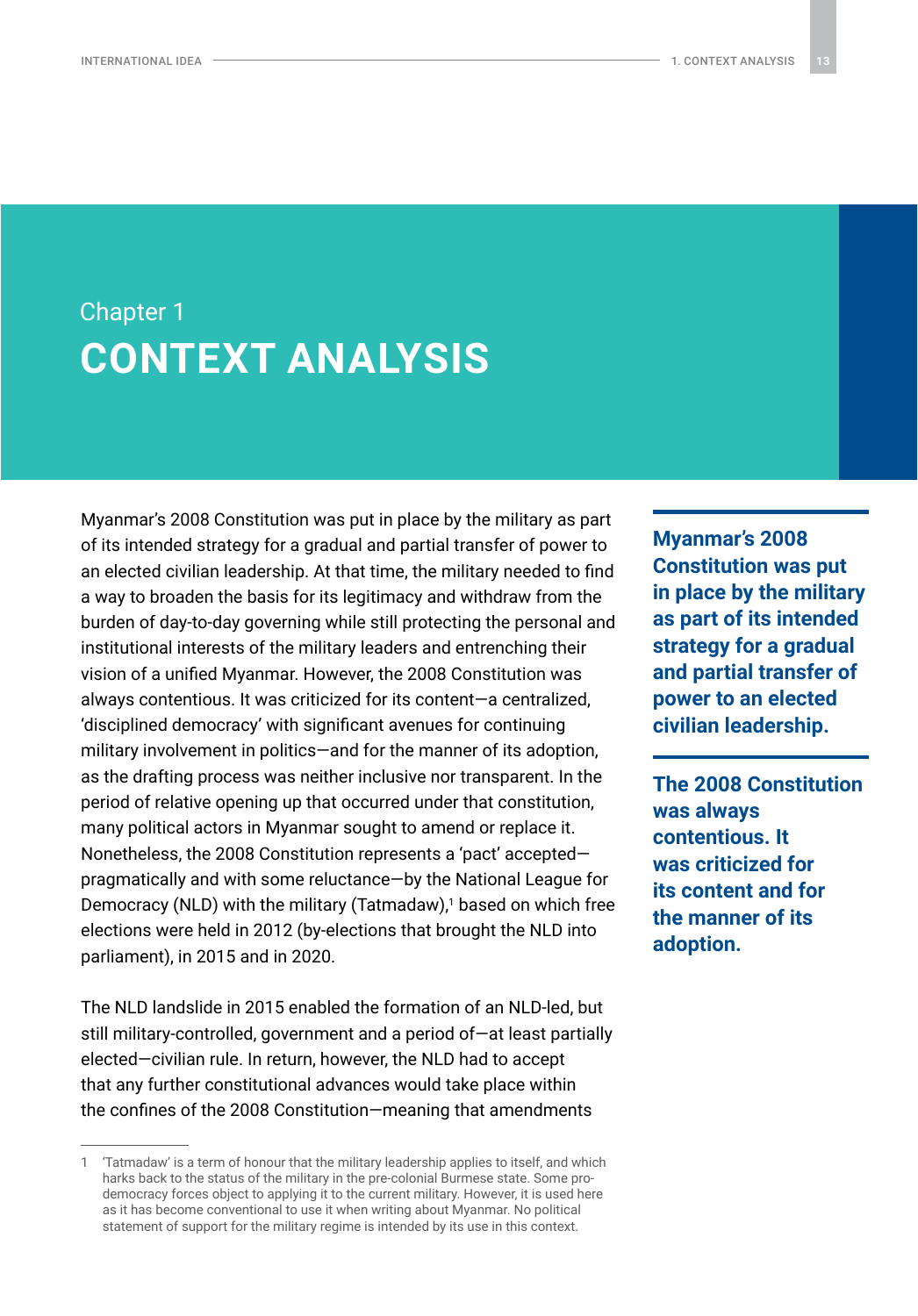## <span id="page-12-0"></span>Chapter 1 **CONTEXT ANALYSIS**

Myanmar's 2008 Constitution was put in place by the military as part of its intended strategy for a gradual and partial transfer of power to an elected civilian leadership. At that time, the military needed to find a way to broaden the basis for its legitimacy and withdraw from the burden of day-to-day governing while still protecting the personal and institutional interests of the military leaders and entrenching their vision of a unified Myanmar. However, the 2008 Constitution was always contentious. It was criticized for its content—a centralized, 'disciplined democracy' with significant avenues for continuing military involvement in politics—and for the manner of its adoption, as the drafting process was neither inclusive nor transparent. In the period of relative opening up that occurred under that constitution, many political actors in Myanmar sought to amend or replace it. Nonetheless, the 2008 Constitution represents a 'pact' accepted pragmatically and with some reluctance—by the National League for Democracy (NLD) with the military (Tatmadaw),1 based on which free elections were held in 2012 (by-elections that brought the NLD into parliament), in 2015 and in 2020.

The NLD landslide in 2015 enabled the formation of an NLD-led, but still military-controlled, government and a period of—at least partially elected—civilian rule. In return, however, the NLD had to accept that any further constitutional advances would take place within the confines of the 2008 Constitution—meaning that amendments

**Myanmar's 2008 Constitution was put in place by the military as part of its intended strategy for a gradual and partial transfer of power to an elected civilian leadership.**

**The 2008 Constitution was always contentious. It was criticized for its content and for the manner of its adoption.**

<sup>1</sup> 'Tatmadaw' is a term of honour that the military leadership applies to itself, and which harks back to the status of the military in the pre-colonial Burmese state. Some prodemocracy forces object to applying it to the current military. However, it is used here as it has become conventional to use it when writing about Myanmar. No political statement of support for the military regime is intended by its use in this context.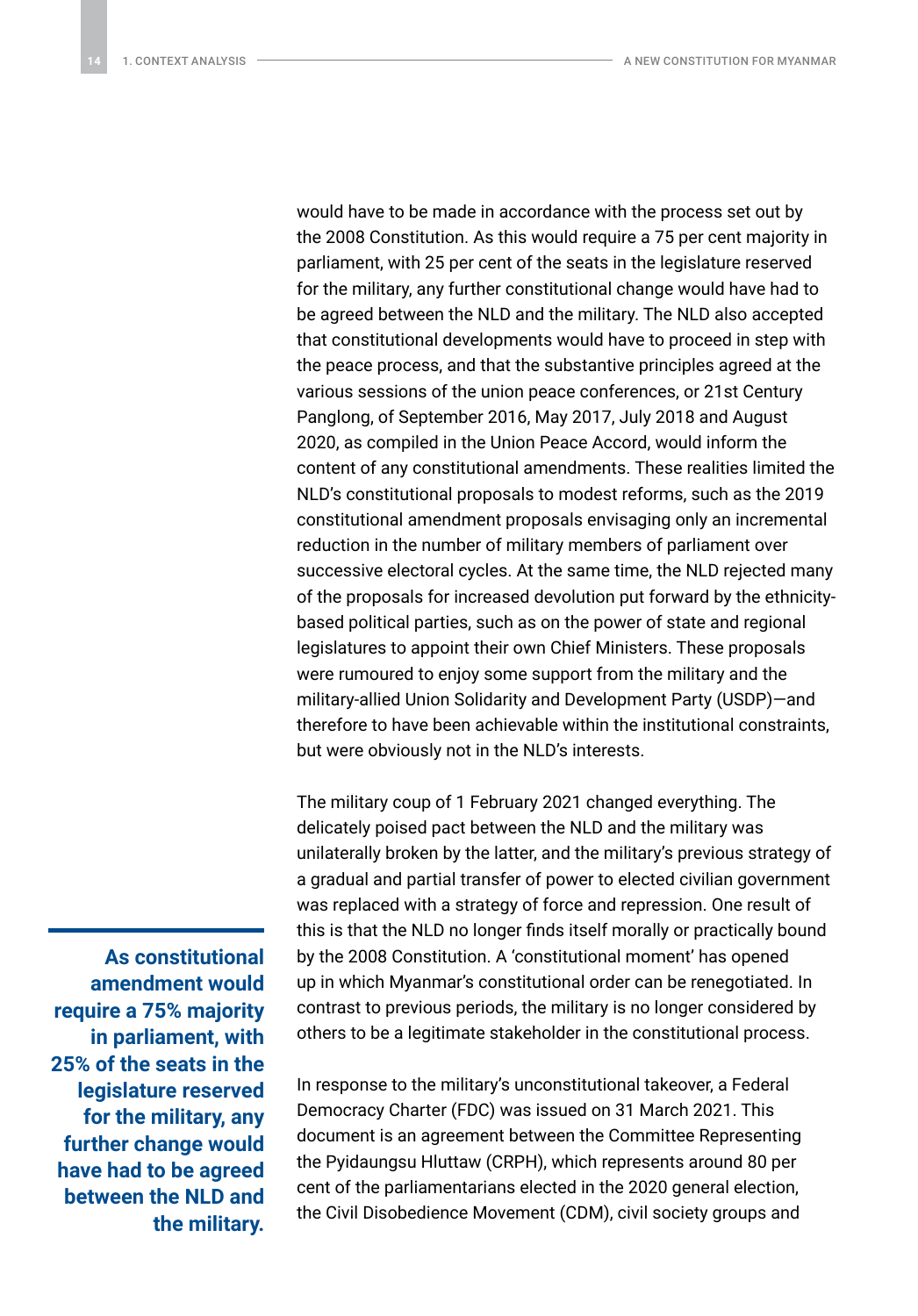would have to be made in accordance with the process set out by the 2008 Constitution. As this would require a 75 per cent majority in parliament, with 25 per cent of the seats in the legislature reserved for the military, any further constitutional change would have had to be agreed between the NLD and the military. The NLD also accepted that constitutional developments would have to proceed in step with the peace process, and that the substantive principles agreed at the various sessions of the union peace conferences, or 21st Century Panglong, of September 2016, May 2017, July 2018 and August 2020, as compiled in the Union Peace Accord, would inform the content of any constitutional amendments. These realities limited the NLD's constitutional proposals to modest reforms, such as the 2019 constitutional amendment proposals envisaging only an incremental reduction in the number of military members of parliament over successive electoral cycles. At the same time, the NLD rejected many of the proposals for increased devolution put forward by the ethnicitybased political parties, such as on the power of state and regional legislatures to appoint their own Chief Ministers. These proposals were rumoured to enjoy some support from the military and the military-allied Union Solidarity and Development Party (USDP)—and therefore to have been achievable within the institutional constraints, but were obviously not in the NLD's interests.

The military coup of 1 February 2021 changed everything. The delicately poised pact between the NLD and the military was unilaterally broken by the latter, and the military's previous strategy of a gradual and partial transfer of power to elected civilian government was replaced with a strategy of force and repression. One result of this is that the NLD no longer finds itself morally or practically bound by the 2008 Constitution. A 'constitutional moment' has opened up in which Myanmar's constitutional order can be renegotiated. In contrast to previous periods, the military is no longer considered by others to be a legitimate stakeholder in the constitutional process.

**As constitutional amendment would require a 75% majority in parliament, with 25% of the seats in the legislature reserved for the military, any further change would have had to be agreed between the NLD and the military.**

In response to the military's unconstitutional takeover, a Federal Democracy Charter (FDC) was issued on 31 March 2021. This document is an agreement between the Committee Representing the Pyidaungsu Hluttaw (CRPH), which represents around 80 per cent of the parliamentarians elected in the 2020 general election, the Civil Disobedience Movement (CDM), civil society groups and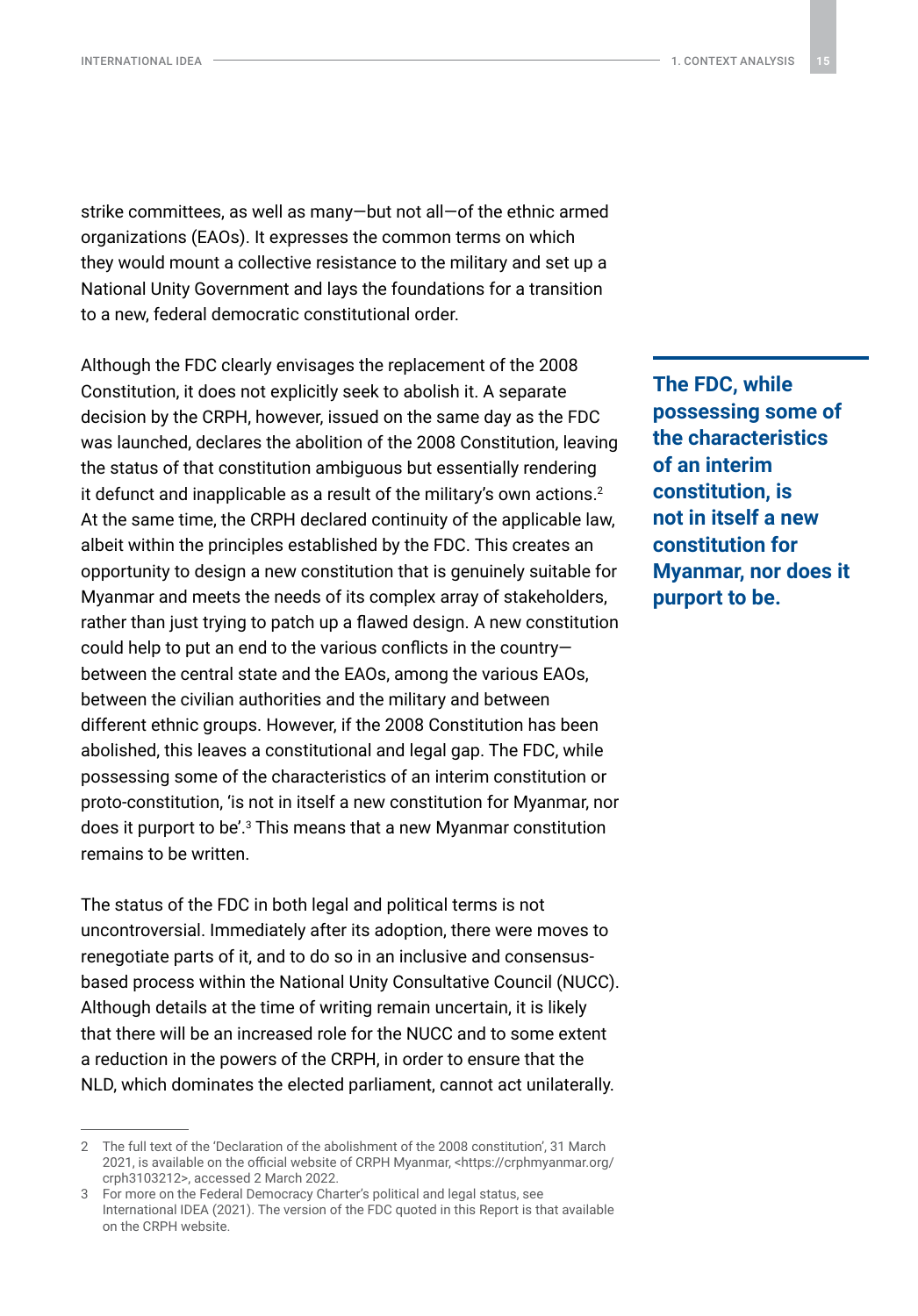strike committees, as well as many—but not all—of the ethnic armed organizations (EAOs). It expresses the common terms on which they would mount a collective resistance to the military and set up a National Unity Government and lays the foundations for a transition to a new, federal democratic constitutional order.

Although the FDC clearly envisages the replacement of the 2008 Constitution, it does not explicitly seek to abolish it. A separate decision by the CRPH, however, issued on the same day as the FDC was launched, declares the abolition of the 2008 Constitution, leaving the status of that constitution ambiguous but essentially rendering it defunct and inapplicable as a result of the military's own actions.<sup>2</sup> At the same time, the CRPH declared continuity of the applicable law, albeit within the principles established by the FDC. This creates an opportunity to design a new constitution that is genuinely suitable for Myanmar and meets the needs of its complex array of stakeholders, rather than just trying to patch up a flawed design. A new constitution could help to put an end to the various conflicts in the country between the central state and the EAOs, among the various EAOs, between the civilian authorities and the military and between different ethnic groups. However, if the 2008 Constitution has been abolished, this leaves a constitutional and legal gap. The FDC, while possessing some of the characteristics of an interim constitution or proto-constitution, 'is not in itself a new constitution for Myanmar, nor does it purport to be'.3 This means that a new Myanmar constitution remains to be written.

The status of the FDC in both legal and political terms is not uncontroversial. Immediately after its adoption, there were moves to renegotiate parts of it, and to do so in an inclusive and consensusbased process within the National Unity Consultative Council (NUCC). Although details at the time of writing remain uncertain, it is likely that there will be an increased role for the NUCC and to some extent a reduction in the powers of the CRPH, in order to ensure that the NLD, which dominates the elected parliament, cannot act unilaterally.

**The FDC, while possessing some of the characteristics of an interim constitution, is not in itself a new constitution for Myanmar, nor does it purport to be.**

<sup>2</sup> The full text of the 'Declaration of the abolishment of the 2008 constitution', 31 March 2021, is available on the official website of CRPH Myanmar, [<https://crphmyanmar.org/](https://crphmyanmar.org/crph3103212) [crph3103212](https://crphmyanmar.org/crph3103212)>, accessed 2 March 2022.

<sup>3</sup> For more on the Federal Democracy Charter's political and legal status, see International IDEA (2021). The version of the FDC quoted in this Report is that available on the CRPH website.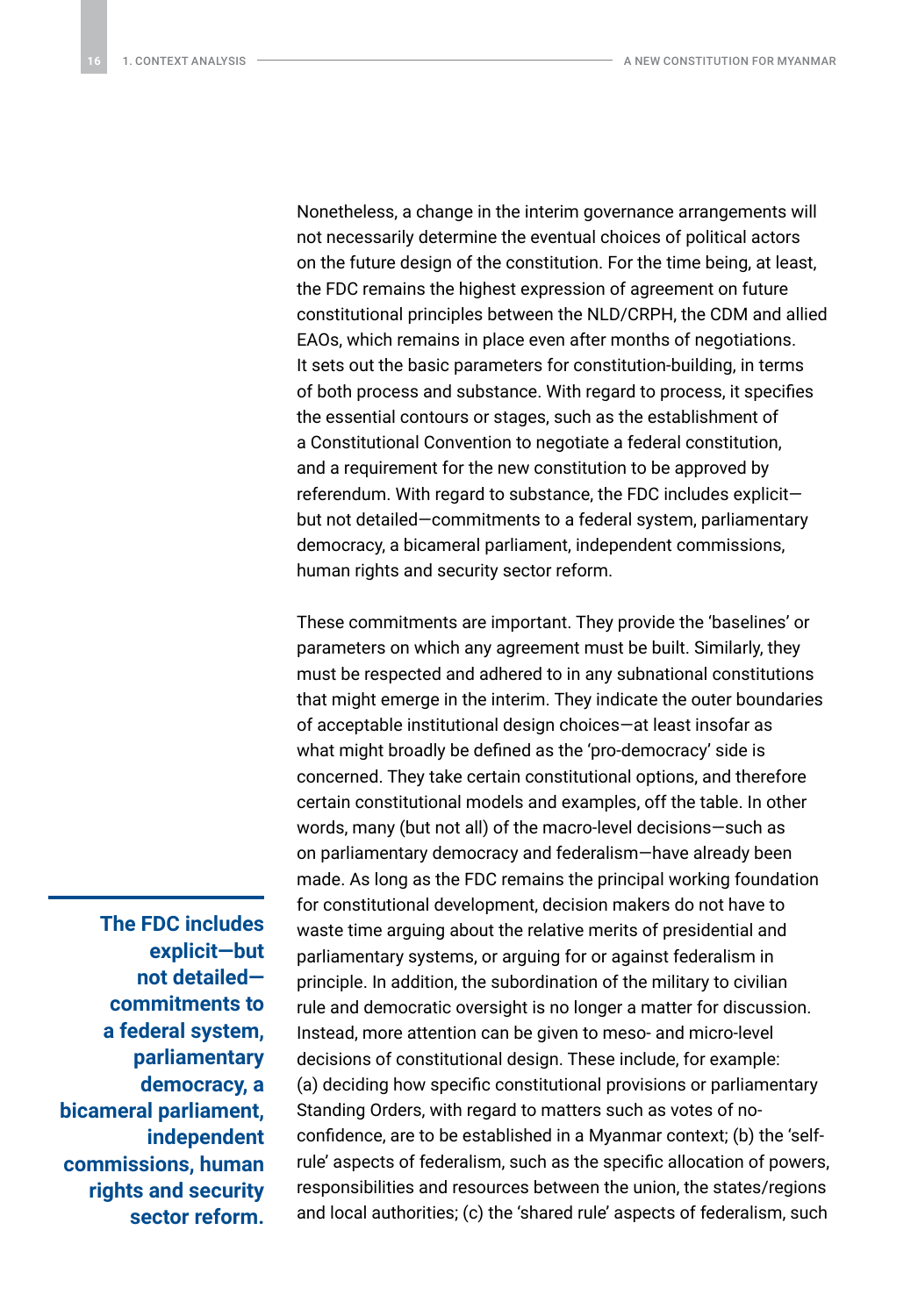Nonetheless, a change in the interim governance arrangements will not necessarily determine the eventual choices of political actors on the future design of the constitution. For the time being, at least, the FDC remains the highest expression of agreement on future constitutional principles between the NLD/CRPH, the CDM and allied EAOs, which remains in place even after months of negotiations. It sets out the basic parameters for constitution-building, in terms of both process and substance. With regard to process, it specifies the essential contours or stages, such as the establishment of a Constitutional Convention to negotiate a federal constitution, and a requirement for the new constitution to be approved by referendum. With regard to substance, the FDC includes explicit but not detailed—commitments to a federal system, parliamentary democracy, a bicameral parliament, independent commissions, human rights and security sector reform.

These commitments are important. They provide the 'baselines' or parameters on which any agreement must be built. Similarly, they must be respected and adhered to in any subnational constitutions that might emerge in the interim. They indicate the outer boundaries of acceptable institutional design choices—at least insofar as what might broadly be defined as the 'pro-democracy' side is concerned. They take certain constitutional options, and therefore certain constitutional models and examples, off the table. In other words, many (but not all) of the macro-level decisions—such as on parliamentary democracy and federalism—have already been made. As long as the FDC remains the principal working foundation for constitutional development, decision makers do not have to waste time arguing about the relative merits of presidential and parliamentary systems, or arguing for or against federalism in principle. In addition, the subordination of the military to civilian rule and democratic oversight is no longer a matter for discussion. Instead, more attention can be given to meso- and micro-level decisions of constitutional design. These include, for example: (a) deciding how specific constitutional provisions or parliamentary Standing Orders, with regard to matters such as votes of noconfidence, are to be established in a Myanmar context; (b) the 'selfrule' aspects of federalism, such as the specific allocation of powers, responsibilities and resources between the union, the states/regions and local authorities; (c) the 'shared rule' aspects of federalism, such

**The FDC includes explicit—but not detailed commitments to a federal system, parliamentary democracy, a bicameral parliament, independent commissions, human rights and security sector reform.**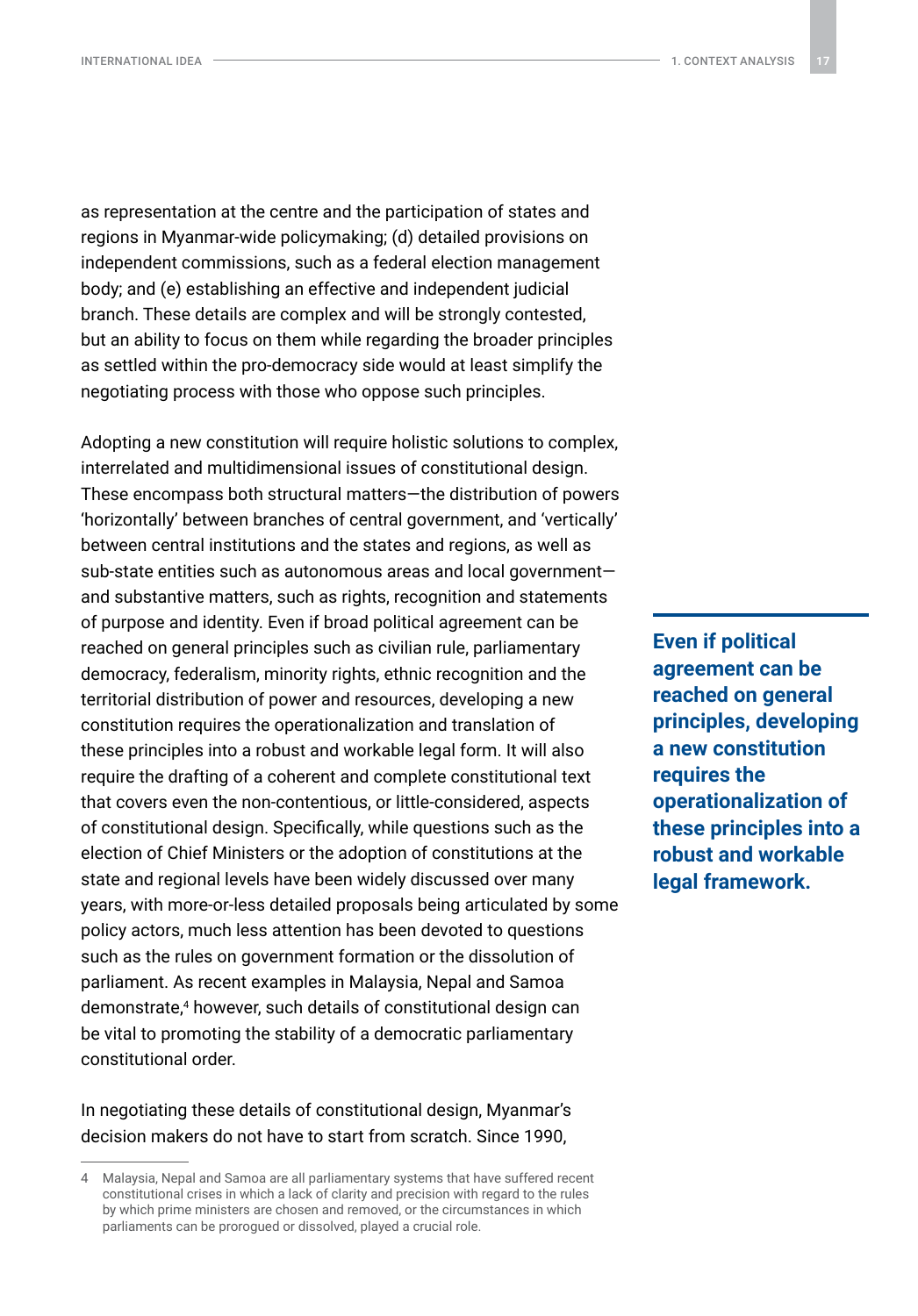as representation at the centre and the participation of states and regions in Myanmar-wide policymaking; (d) detailed provisions on independent commissions, such as a federal election management body; and (e) establishing an effective and independent judicial branch. These details are complex and will be strongly contested, but an ability to focus on them while regarding the broader principles as settled within the pro-democracy side would at least simplify the negotiating process with those who oppose such principles.

Adopting a new constitution will require holistic solutions to complex, interrelated and multidimensional issues of constitutional design. These encompass both structural matters—the distribution of powers 'horizontally' between branches of central government, and 'vertically' between central institutions and the states and regions, as well as sub-state entities such as autonomous areas and local government and substantive matters, such as rights, recognition and statements of purpose and identity. Even if broad political agreement can be reached on general principles such as civilian rule, parliamentary democracy, federalism, minority rights, ethnic recognition and the territorial distribution of power and resources, developing a new constitution requires the operationalization and translation of these principles into a robust and workable legal form. It will also require the drafting of a coherent and complete constitutional text that covers even the non-contentious, or little-considered, aspects of constitutional design. Specifically, while questions such as the election of Chief Ministers or the adoption of constitutions at the state and regional levels have been widely discussed over many years, with more-or-less detailed proposals being articulated by some policy actors, much less attention has been devoted to questions such as the rules on government formation or the dissolution of parliament. As recent examples in Malaysia, Nepal and Samoa demonstrate,<sup>4</sup> however, such details of constitutional design can be vital to promoting the stability of a democratic parliamentary constitutional order.

In negotiating these details of constitutional design, Myanmar's decision makers do not have to start from scratch. Since 1990,

**Even if political agreement can be reached on general principles, developing a new constitution requires the operationalization of these principles into a robust and workable legal framework.**

<sup>4</sup> Malaysia, Nepal and Samoa are all parliamentary systems that have suffered recent constitutional crises in which a lack of clarity and precision with regard to the rules by which prime ministers are chosen and removed, or the circumstances in which parliaments can be prorogued or dissolved, played a crucial role.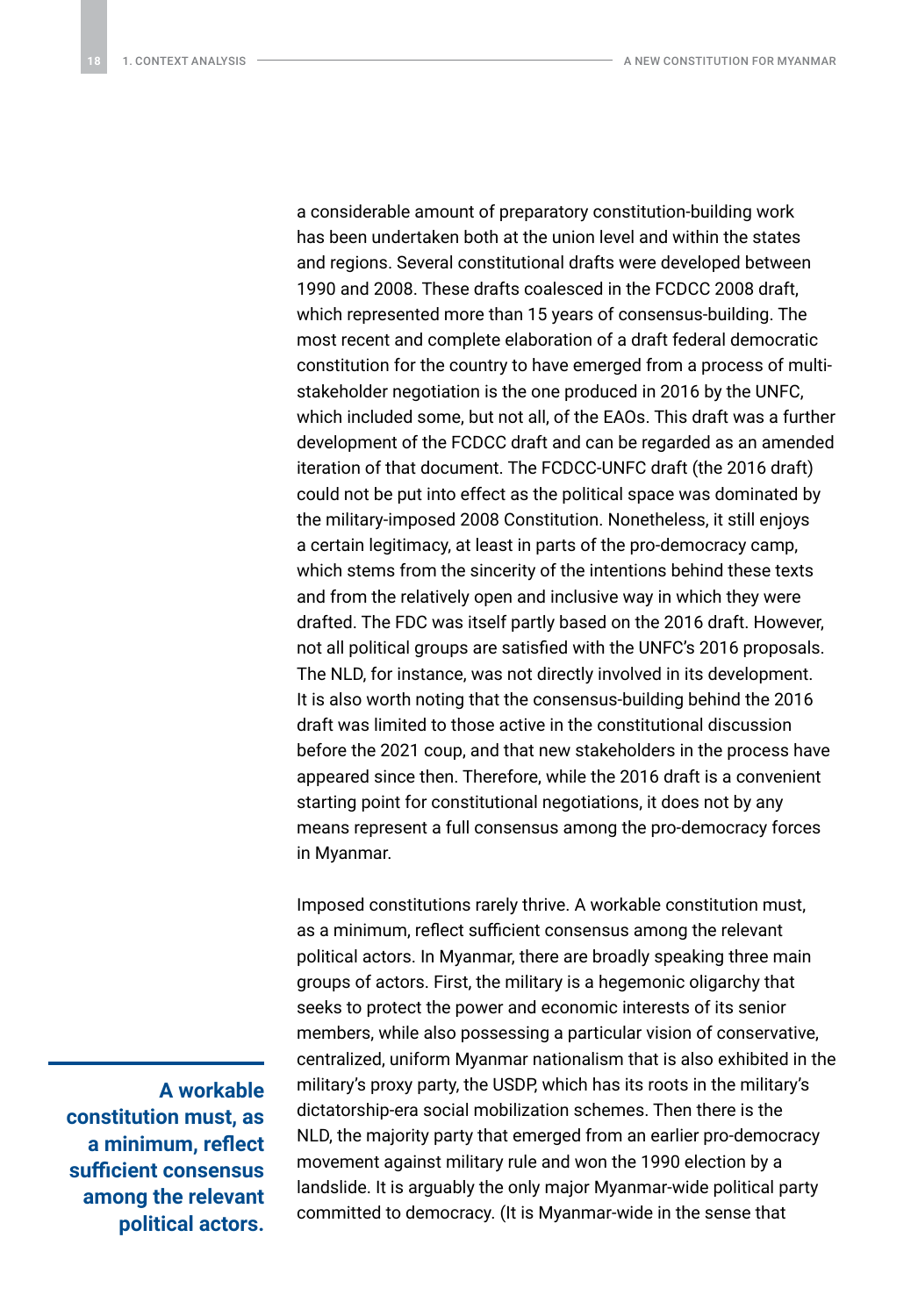a considerable amount of preparatory constitution-building work has been undertaken both at the union level and within the states and regions. Several constitutional drafts were developed between 1990 and 2008. These drafts coalesced in the FCDCC 2008 draft, which represented more than 15 years of consensus-building. The most recent and complete elaboration of a draft federal democratic constitution for the country to have emerged from a process of multistakeholder negotiation is the one produced in 2016 by the UNFC, which included some, but not all, of the EAOs. This draft was a further development of the FCDCC draft and can be regarded as an amended iteration of that document. The FCDCC-UNFC draft (the 2016 draft) could not be put into effect as the political space was dominated by the military-imposed 2008 Constitution. Nonetheless, it still enjoys a certain legitimacy, at least in parts of the pro-democracy camp, which stems from the sincerity of the intentions behind these texts and from the relatively open and inclusive way in which they were drafted. The FDC was itself partly based on the 2016 draft. However, not all political groups are satisfied with the UNFC's 2016 proposals. The NLD, for instance, was not directly involved in its development. It is also worth noting that the consensus-building behind the 2016 draft was limited to those active in the constitutional discussion before the 2021 coup, and that new stakeholders in the process have appeared since then. Therefore, while the 2016 draft is a convenient starting point for constitutional negotiations, it does not by any means represent a full consensus among the pro-democracy forces in Myanmar.

Imposed constitutions rarely thrive. A workable constitution must, as a minimum, reflect sufficient consensus among the relevant political actors. In Myanmar, there are broadly speaking three main groups of actors. First, the military is a hegemonic oligarchy that seeks to protect the power and economic interests of its senior members, while also possessing a particular vision of conservative, centralized, uniform Myanmar nationalism that is also exhibited in the military's proxy party, the USDP, which has its roots in the military's dictatorship-era social mobilization schemes. Then there is the NLD, the majority party that emerged from an earlier pro-democracy movement against military rule and won the 1990 election by a landslide. It is arguably the only major Myanmar-wide political party committed to democracy. (It is Myanmar-wide in the sense that

**A workable constitution must, as a minimum, reflect sufficient consensus among the relevant political actors.**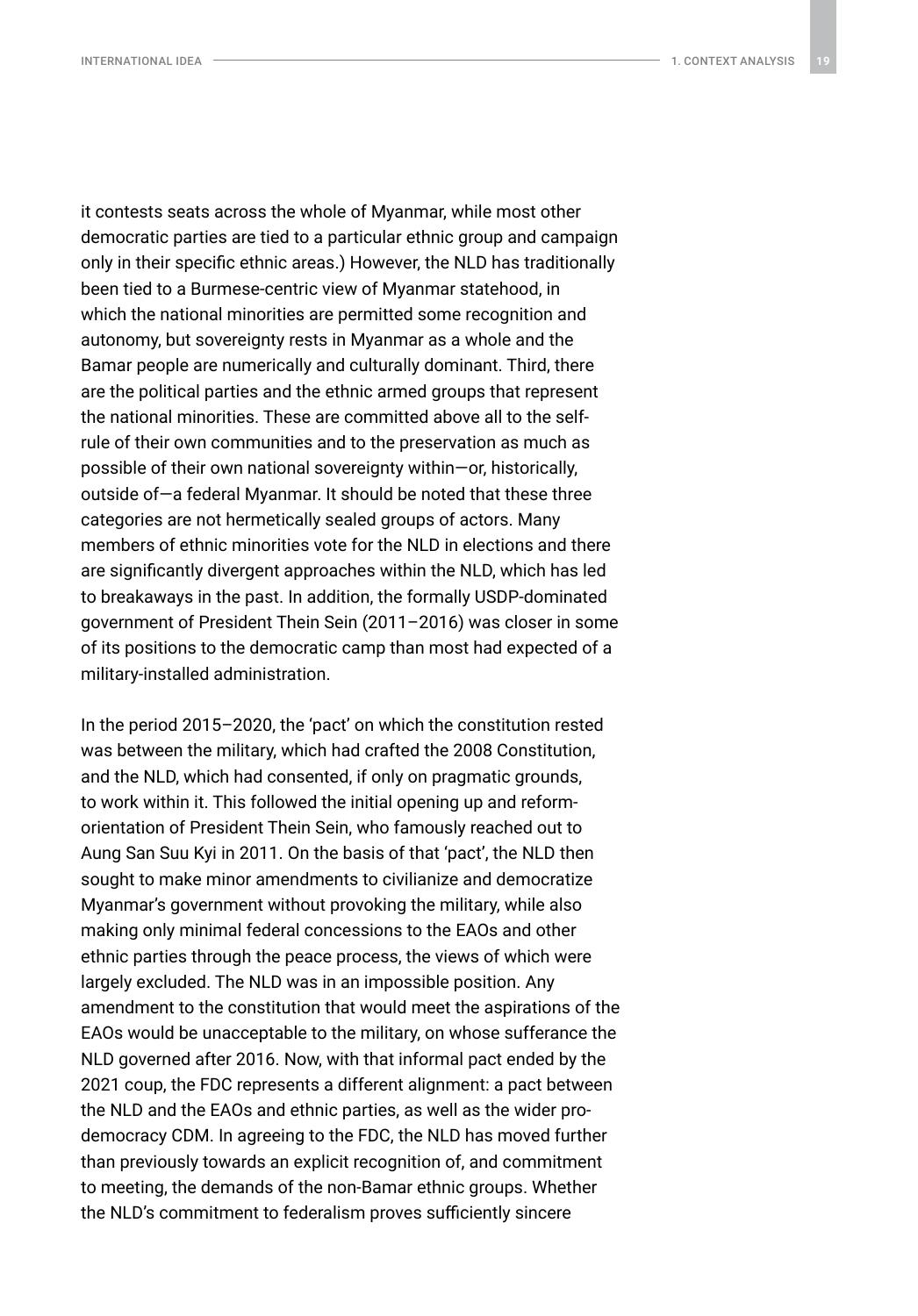it contests seats across the whole of Myanmar, while most other democratic parties are tied to a particular ethnic group and campaign only in their specific ethnic areas.) However, the NLD has traditionally been tied to a Burmese-centric view of Myanmar statehood, in which the national minorities are permitted some recognition and autonomy, but sovereignty rests in Myanmar as a whole and the Bamar people are numerically and culturally dominant. Third, there are the political parties and the ethnic armed groups that represent the national minorities. These are committed above all to the selfrule of their own communities and to the preservation as much as possible of their own national sovereignty within—or, historically, outside of—a federal Myanmar. It should be noted that these three categories are not hermetically sealed groups of actors. Many members of ethnic minorities vote for the NLD in elections and there are significantly divergent approaches within the NLD, which has led to breakaways in the past. In addition, the formally USDP-dominated government of President Thein Sein (2011–2016) was closer in some of its positions to the democratic camp than most had expected of a military-installed administration.

In the period 2015–2020, the 'pact' on which the constitution rested was between the military, which had crafted the 2008 Constitution, and the NLD, which had consented, if only on pragmatic grounds, to work within it. This followed the initial opening up and reformorientation of President Thein Sein, who famously reached out to Aung San Suu Kyi in 2011. On the basis of that 'pact', the NLD then sought to make minor amendments to civilianize and democratize Myanmar's government without provoking the military, while also making only minimal federal concessions to the EAOs and other ethnic parties through the peace process, the views of which were largely excluded. The NLD was in an impossible position. Any amendment to the constitution that would meet the aspirations of the EAOs would be unacceptable to the military, on whose sufferance the NLD governed after 2016. Now, with that informal pact ended by the 2021 coup, the FDC represents a different alignment: a pact between the NLD and the EAOs and ethnic parties, as well as the wider prodemocracy CDM. In agreeing to the FDC, the NLD has moved further than previously towards an explicit recognition of, and commitment to meeting, the demands of the non-Bamar ethnic groups. Whether the NLD's commitment to federalism proves sufficiently sincere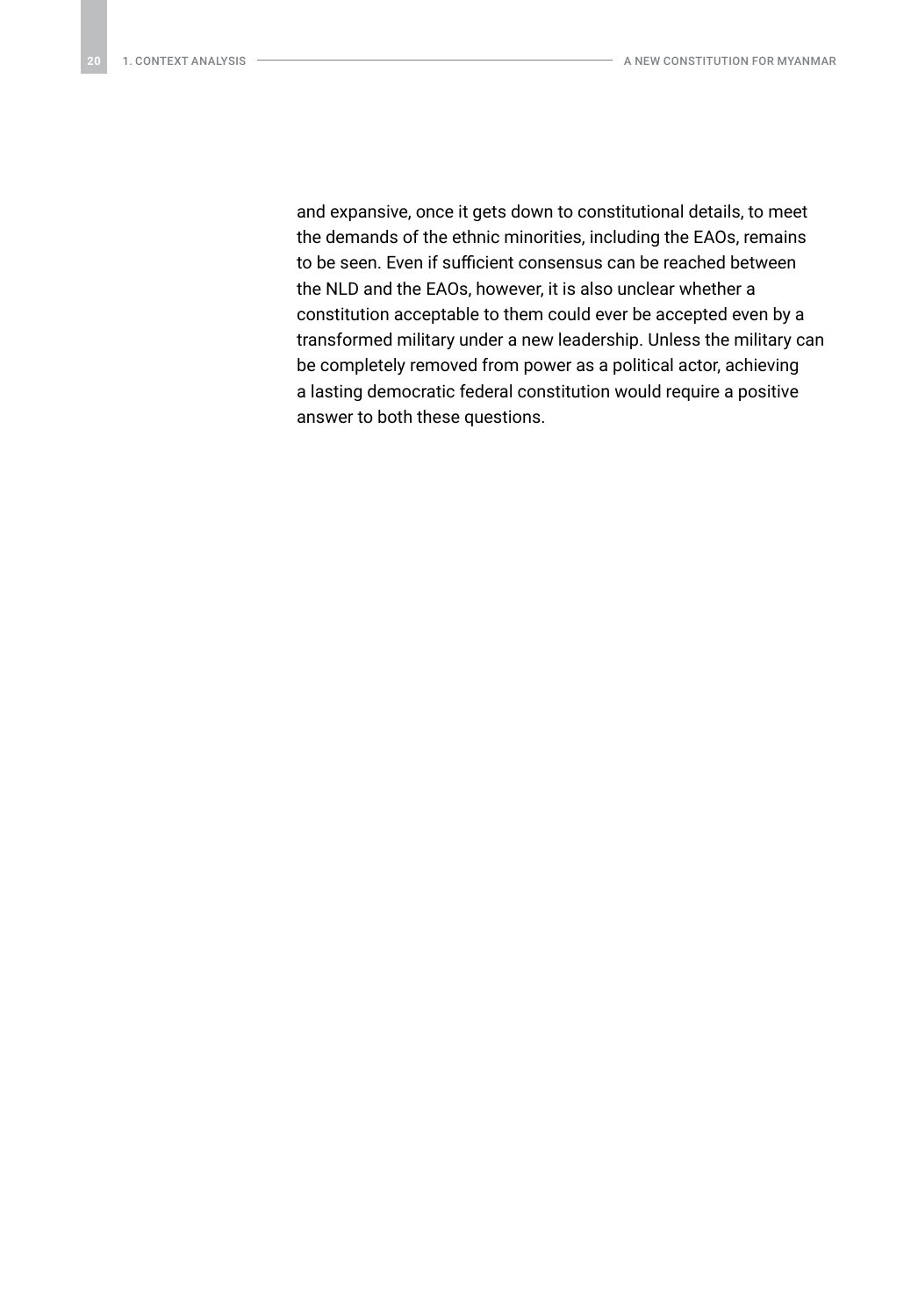and expansive, once it gets down to constitutional details, to meet the demands of the ethnic minorities, including the EAOs, remains to be seen. Even if sufficient consensus can be reached between the NLD and the EAOs, however, it is also unclear whether a constitution acceptable to them could ever be accepted even by a transformed military under a new leadership. Unless the military can be completely removed from power as a political actor, achieving a lasting democratic federal constitution would require a positive answer to both these questions.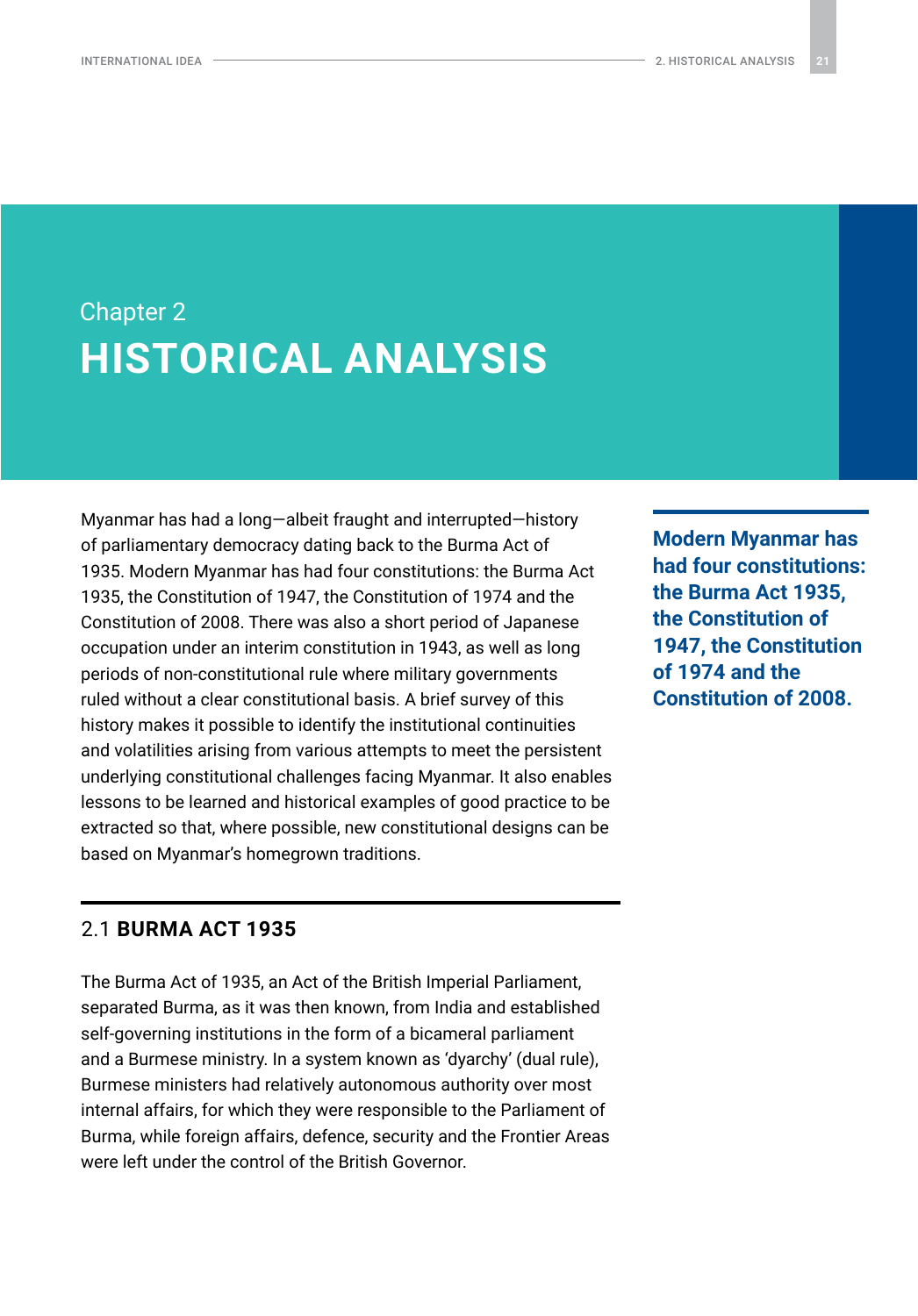## <span id="page-20-0"></span>Chapter 2 **HISTORICAL ANALYSIS**

Myanmar has had a long—albeit fraught and interrupted—history of parliamentary democracy dating back to the Burma Act of 1935. Modern Myanmar has had four constitutions: the Burma Act 1935, the Constitution of 1947, the Constitution of 1974 and the Constitution of 2008. There was also a short period of Japanese occupation under an interim constitution in 1943, as well as long periods of non-constitutional rule where military governments ruled without a clear constitutional basis. A brief survey of this history makes it possible to identify the institutional continuities and volatilities arising from various attempts to meet the persistent underlying constitutional challenges facing Myanmar. It also enables lessons to be learned and historical examples of good practice to be extracted so that, where possible, new constitutional designs can be based on Myanmar's homegrown traditions.

#### 2.1 **BURMA ACT 1935**

The Burma Act of 1935, an Act of the British Imperial Parliament, separated Burma, as it was then known, from India and established self-governing institutions in the form of a bicameral parliament and a Burmese ministry. In a system known as 'dyarchy' (dual rule), Burmese ministers had relatively autonomous authority over most internal affairs, for which they were responsible to the Parliament of Burma, while foreign affairs, defence, security and the Frontier Areas were left under the control of the British Governor.

**Modern Myanmar has had four constitutions: the Burma Act 1935, the Constitution of 1947, the Constitution of 1974 and the Constitution of 2008.**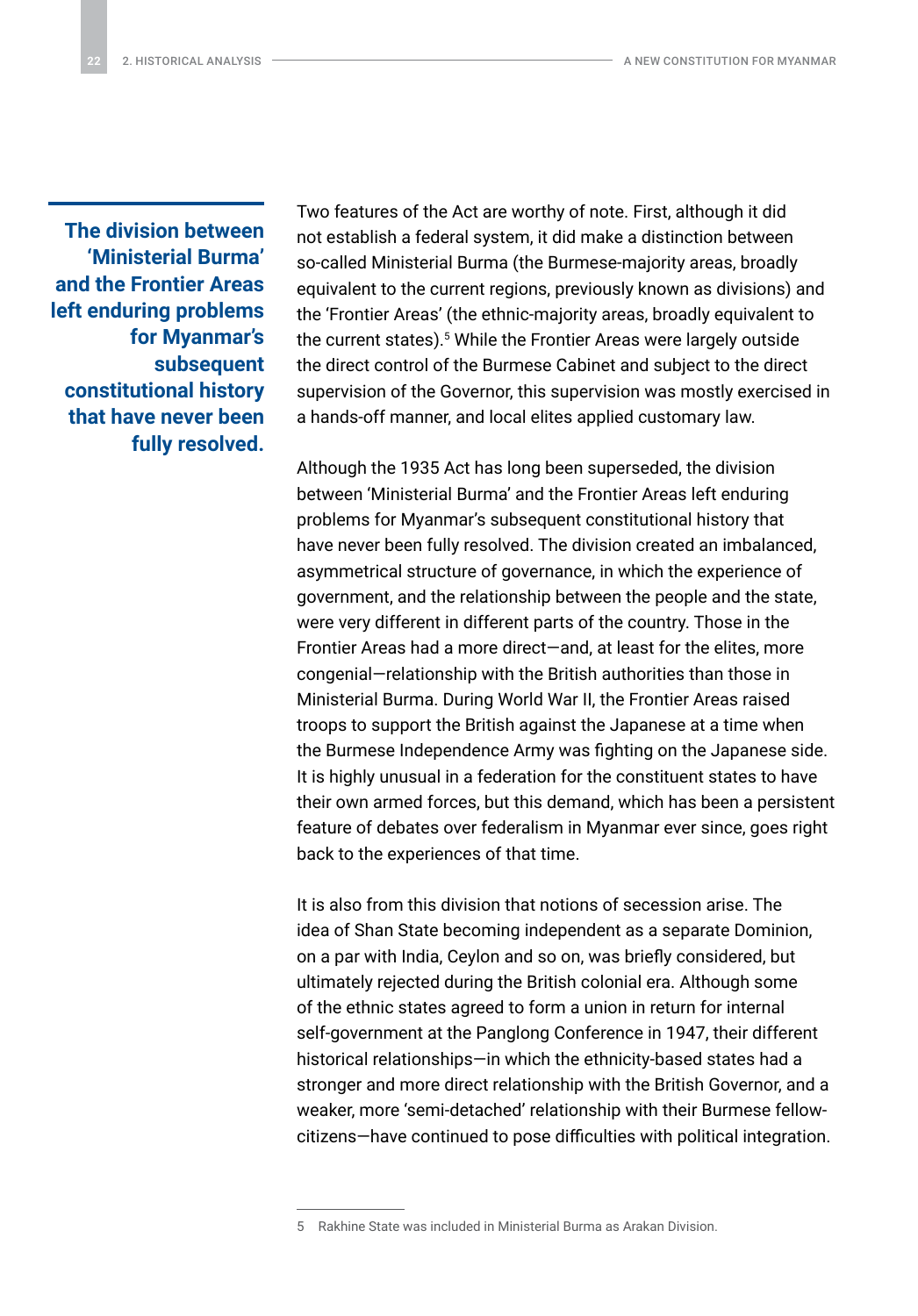**The division between 'Ministerial Burma' and the Frontier Areas left enduring problems for Myanmar's subsequent constitutional history that have never been fully resolved.** Two features of the Act are worthy of note. First, although it did not establish a federal system, it did make a distinction between so-called Ministerial Burma (the Burmese-majority areas, broadly equivalent to the current regions, previously known as divisions) and the 'Frontier Areas' (the ethnic-majority areas, broadly equivalent to the current states).5 While the Frontier Areas were largely outside the direct control of the Burmese Cabinet and subject to the direct supervision of the Governor, this supervision was mostly exercised in a hands-off manner, and local elites applied customary law.

Although the 1935 Act has long been superseded, the division between 'Ministerial Burma' and the Frontier Areas left enduring problems for Myanmar's subsequent constitutional history that have never been fully resolved. The division created an imbalanced, asymmetrical structure of governance, in which the experience of government, and the relationship between the people and the state, were very different in different parts of the country. Those in the Frontier Areas had a more direct—and, at least for the elites, more congenial—relationship with the British authorities than those in Ministerial Burma. During World War II, the Frontier Areas raised troops to support the British against the Japanese at a time when the Burmese Independence Army was fighting on the Japanese side. It is highly unusual in a federation for the constituent states to have their own armed forces, but this demand, which has been a persistent feature of debates over federalism in Myanmar ever since, goes right back to the experiences of that time.

It is also from this division that notions of secession arise. The idea of Shan State becoming independent as a separate Dominion, on a par with India, Ceylon and so on, was briefly considered, but ultimately rejected during the British colonial era. Although some of the ethnic states agreed to form a union in return for internal self-government at the Panglong Conference in 1947, their different historical relationships—in which the ethnicity-based states had a stronger and more direct relationship with the British Governor, and a weaker, more 'semi-detached' relationship with their Burmese fellowcitizens—have continued to pose difficulties with political integration.

<sup>5</sup> Rakhine State was included in Ministerial Burma as Arakan Division.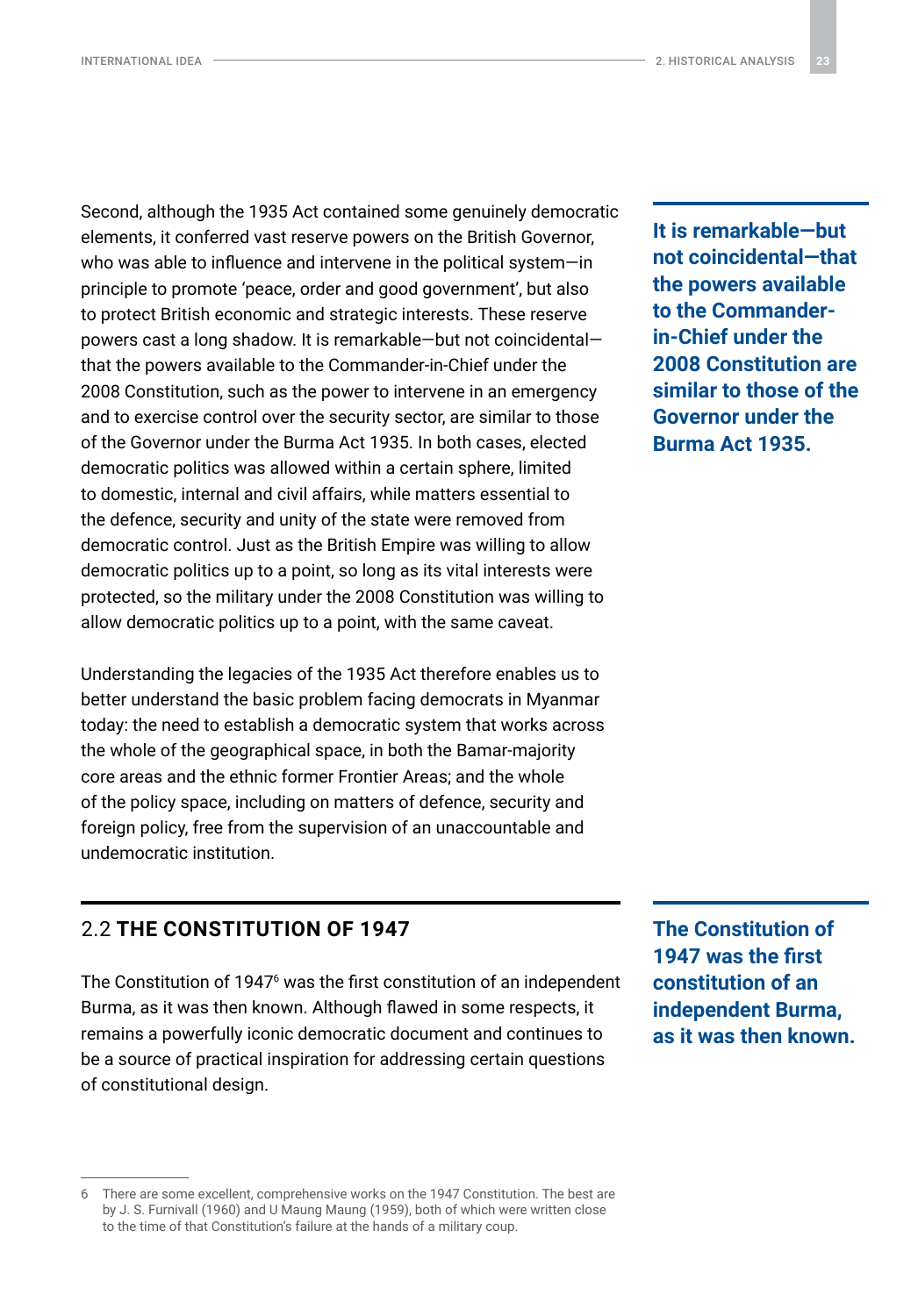<span id="page-22-0"></span>Second, although the 1935 Act contained some genuinely democratic elements, it conferred vast reserve powers on the British Governor, who was able to influence and intervene in the political system—in principle to promote 'peace, order and good government', but also to protect British economic and strategic interests. These reserve powers cast a long shadow. It is remarkable—but not coincidental that the powers available to the Commander-in-Chief under the 2008 Constitution, such as the power to intervene in an emergency and to exercise control over the security sector, are similar to those of the Governor under the Burma Act 1935. In both cases, elected democratic politics was allowed within a certain sphere, limited to domestic, internal and civil affairs, while matters essential to the defence, security and unity of the state were removed from democratic control. Just as the British Empire was willing to allow democratic politics up to a point, so long as its vital interests were protected, so the military under the 2008 Constitution was willing to allow democratic politics up to a point, with the same caveat.

Understanding the legacies of the 1935 Act therefore enables us to better understand the basic problem facing democrats in Myanmar today: the need to establish a democratic system that works across the whole of the geographical space, in both the Bamar-majority core areas and the ethnic former Frontier Areas; and the whole of the policy space, including on matters of defence, security and foreign policy, free from the supervision of an unaccountable and undemocratic institution.

**It is remarkable—but not coincidental—that the powers available to the Commanderin-Chief under the 2008 Constitution are similar to those of the Governor under the Burma Act 1935.**

#### 2.2 **THE CONSTITUTION OF 1947**

The Constitution of 1947<sup>6</sup> was the first constitution of an independent Burma, as it was then known. Although flawed in some respects, it remains a powerfully iconic democratic document and continues to be a source of practical inspiration for addressing certain questions of constitutional design.

**The Constitution of 1947 was the first constitution of an independent Burma, as it was then known.**

<sup>6</sup> There are some excellent, comprehensive works on the 1947 Constitution. The best are by J. S. Furnivall (1960) and U Maung Maung (1959), both of which were written close to the time of that Constitution's failure at the hands of a military coup.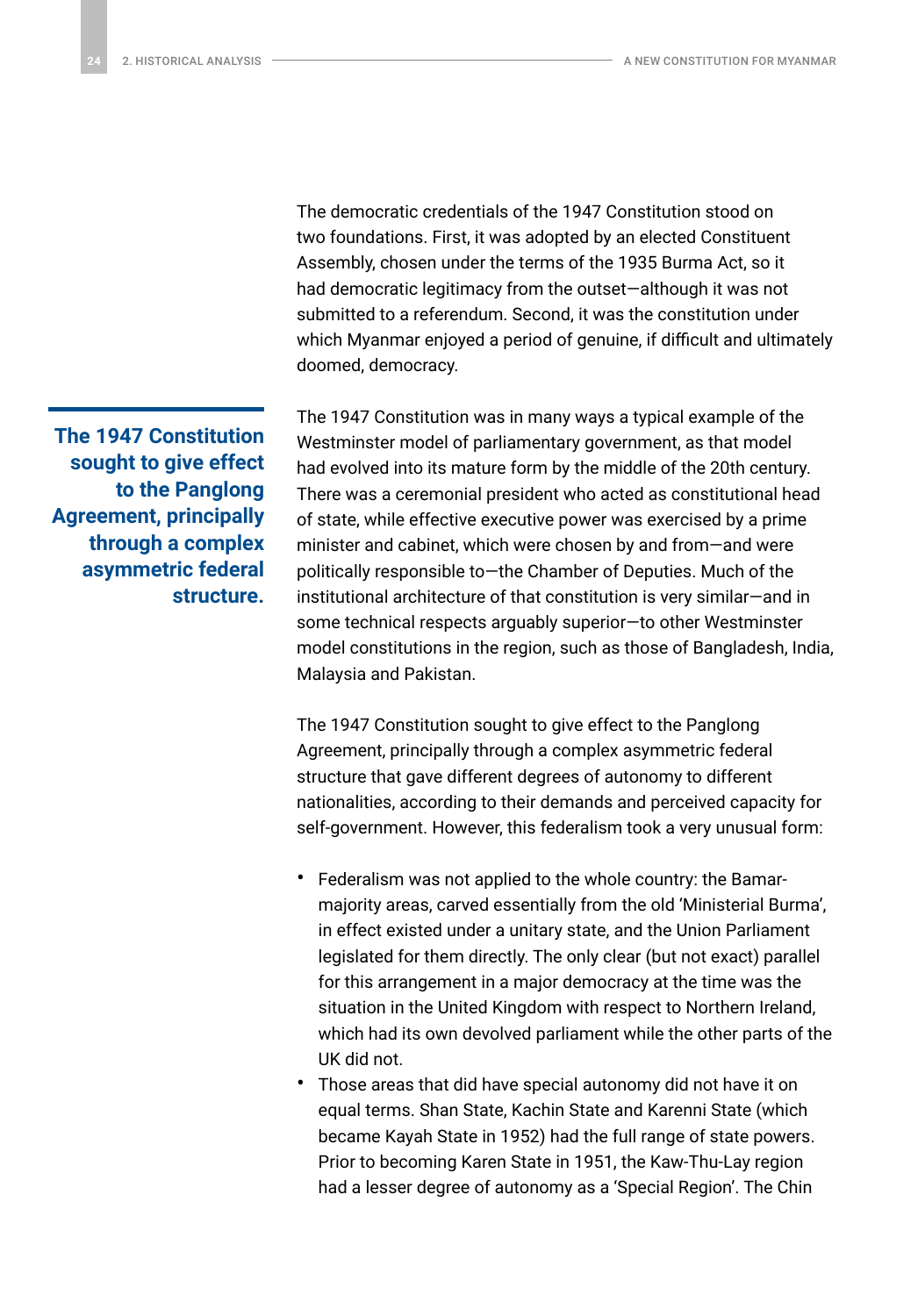The democratic credentials of the 1947 Constitution stood on two foundations. First, it was adopted by an elected Constituent Assembly, chosen under the terms of the 1935 Burma Act, so it had democratic legitimacy from the outset—although it was not submitted to a referendum. Second, it was the constitution under which Myanmar enjoyed a period of genuine, if difficult and ultimately doomed, democracy.

The 1947 Constitution was in many ways a typical example of the Westminster model of parliamentary government, as that model had evolved into its mature form by the middle of the 20th century. There was a ceremonial president who acted as constitutional head of state, while effective executive power was exercised by a prime minister and cabinet, which were chosen by and from—and were politically responsible to—the Chamber of Deputies. Much of the institutional architecture of that constitution is very similar—and in some technical respects arguably superior—to other Westminster model constitutions in the region, such as those of Bangladesh, India, Malaysia and Pakistan.

The 1947 Constitution sought to give effect to the Panglong Agreement, principally through a complex asymmetric federal structure that gave different degrees of autonomy to different nationalities, according to their demands and perceived capacity for self-government. However, this federalism took a very unusual form:

- Federalism was not applied to the whole country: the Bamarmajority areas, carved essentially from the old 'Ministerial Burma', in effect existed under a unitary state, and the Union Parliament legislated for them directly. The only clear (but not exact) parallel for this arrangement in a major democracy at the time was the situation in the United Kingdom with respect to Northern Ireland, which had its own devolved parliament while the other parts of the UK did not.
- Those areas that did have special autonomy did not have it on equal terms. Shan State, Kachin State and Karenni State (which became Kayah State in 1952) had the full range of state powers. Prior to becoming Karen State in 1951, the Kaw-Thu-Lay region had a lesser degree of autonomy as a 'Special Region'. The Chin

**The 1947 Constitution sought to give effect to the Panglong Agreement, principally through a complex asymmetric federal structure.**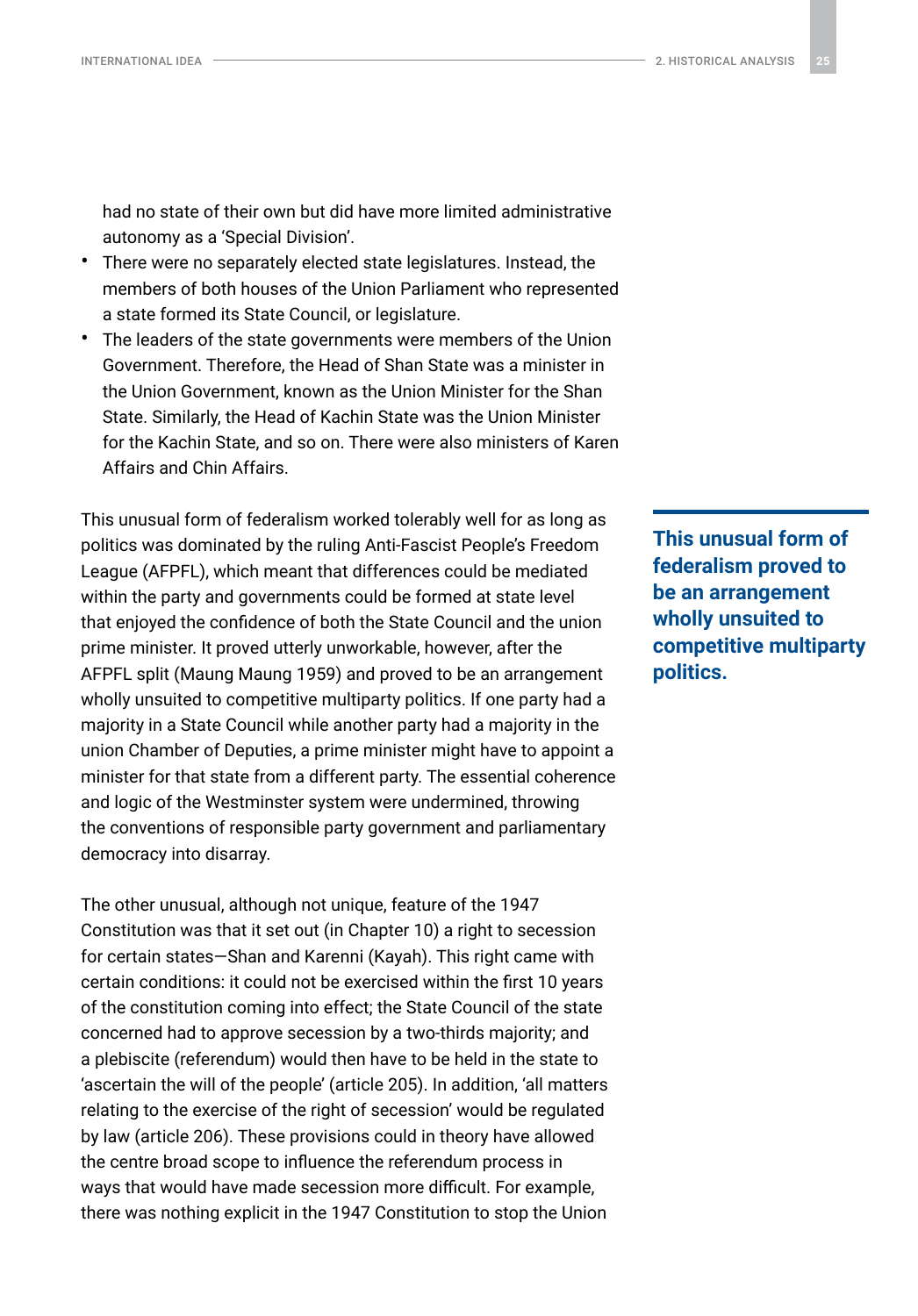had no state of their own but did have more limited administrative autonomy as a 'Special Division'.

- There were no separately elected state legislatures. Instead, the members of both houses of the Union Parliament who represented a state formed its State Council, or legislature.
- The leaders of the state governments were members of the Union Government. Therefore, the Head of Shan State was a minister in the Union Government, known as the Union Minister for the Shan State. Similarly, the Head of Kachin State was the Union Minister for the Kachin State, and so on. There were also ministers of Karen Affairs and Chin Affairs.

This unusual form of federalism worked tolerably well for as long as politics was dominated by the ruling Anti-Fascist People's Freedom League (AFPFL), which meant that differences could be mediated within the party and governments could be formed at state level that enjoyed the confidence of both the State Council and the union prime minister. It proved utterly unworkable, however, after the AFPFL split (Maung Maung 1959) and proved to be an arrangement wholly unsuited to competitive multiparty politics. If one party had a majority in a State Council while another party had a majority in the union Chamber of Deputies, a prime minister might have to appoint a minister for that state from a different party. The essential coherence and logic of the Westminster system were undermined, throwing the conventions of responsible party government and parliamentary democracy into disarray.

The other unusual, although not unique, feature of the 1947 Constitution was that it set out (in Chapter 10) a right to secession for certain states—Shan and Karenni (Kayah). This right came with certain conditions: it could not be exercised within the first 10 years of the constitution coming into effect; the State Council of the state concerned had to approve secession by a two-thirds majority; and a plebiscite (referendum) would then have to be held in the state to 'ascertain the will of the people' (article 205). In addition, 'all matters relating to the exercise of the right of secession' would be regulated by law (article 206). These provisions could in theory have allowed the centre broad scope to influence the referendum process in ways that would have made secession more difficult. For example, there was nothing explicit in the 1947 Constitution to stop the Union

**This unusual form of federalism proved to be an arrangement wholly unsuited to competitive multiparty politics.**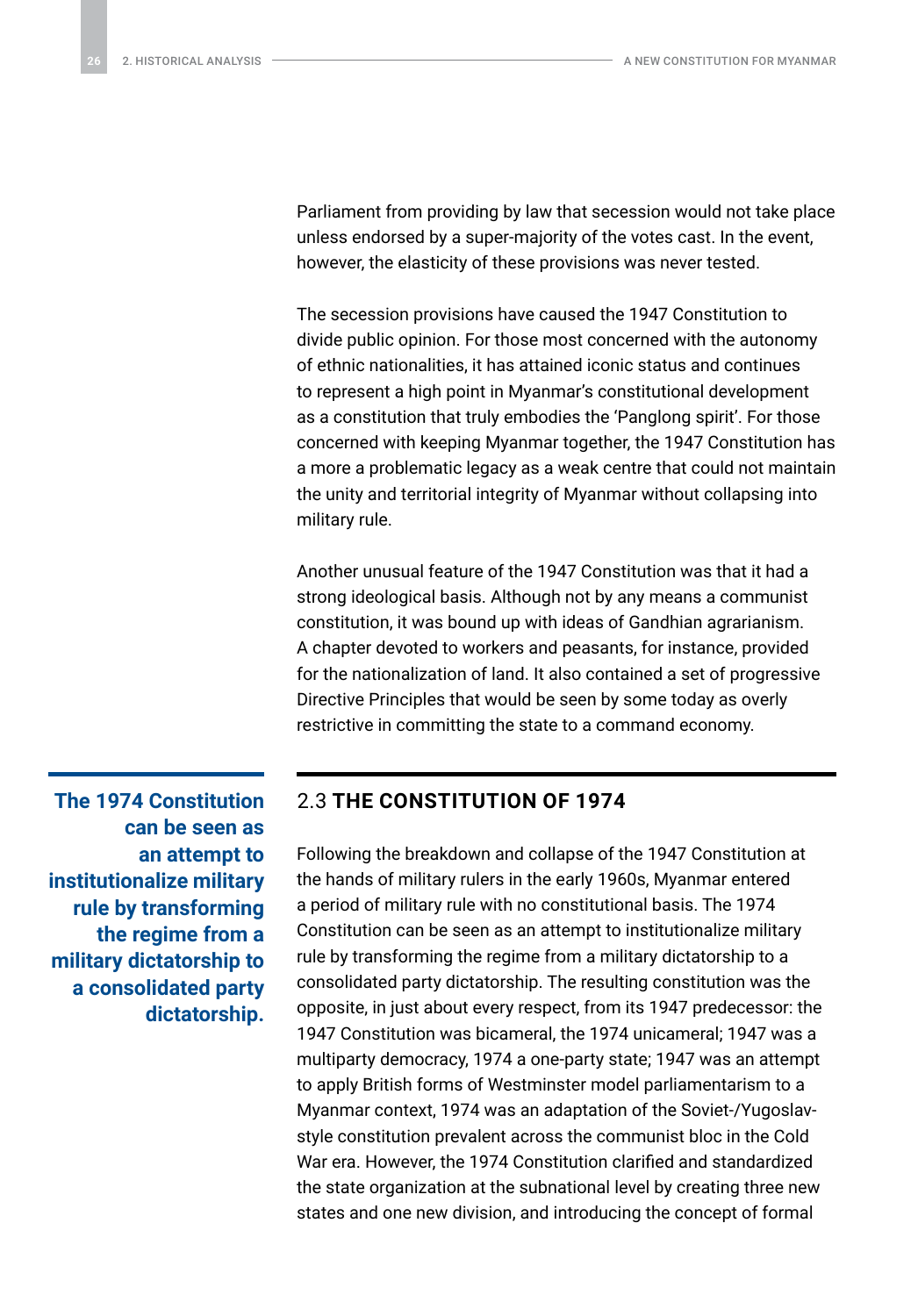<span id="page-25-0"></span>Parliament from providing by law that secession would not take place unless endorsed by a super-majority of the votes cast. In the event, however, the elasticity of these provisions was never tested.

The secession provisions have caused the 1947 Constitution to divide public opinion. For those most concerned with the autonomy of ethnic nationalities, it has attained iconic status and continues to represent a high point in Myanmar's constitutional development as a constitution that truly embodies the 'Panglong spirit'. For those concerned with keeping Myanmar together, the 1947 Constitution has a more a problematic legacy as a weak centre that could not maintain the unity and territorial integrity of Myanmar without collapsing into military rule.

Another unusual feature of the 1947 Constitution was that it had a strong ideological basis. Although not by any means a communist constitution, it was bound up with ideas of Gandhian agrarianism. A chapter devoted to workers and peasants, for instance, provided for the nationalization of land. It also contained a set of progressive Directive Principles that would be seen by some today as overly restrictive in committing the state to a command economy.

**The 1974 Constitution can be seen as an attempt to institutionalize military rule by transforming the regime from a military dictatorship to a consolidated party dictatorship.**

#### 2.3 **THE CONSTITUTION OF 1974**

Following the breakdown and collapse of the 1947 Constitution at the hands of military rulers in the early 1960s, Myanmar entered a period of military rule with no constitutional basis. The 1974 Constitution can be seen as an attempt to institutionalize military rule by transforming the regime from a military dictatorship to a consolidated party dictatorship. The resulting constitution was the opposite, in just about every respect, from its 1947 predecessor: the 1947 Constitution was bicameral, the 1974 unicameral; 1947 was a multiparty democracy, 1974 a one-party state; 1947 was an attempt to apply British forms of Westminster model parliamentarism to a Myanmar context, 1974 was an adaptation of the Soviet-/Yugoslavstyle constitution prevalent across the communist bloc in the Cold War era. However, the 1974 Constitution clarified and standardized the state organization at the subnational level by creating three new states and one new division, and introducing the concept of formal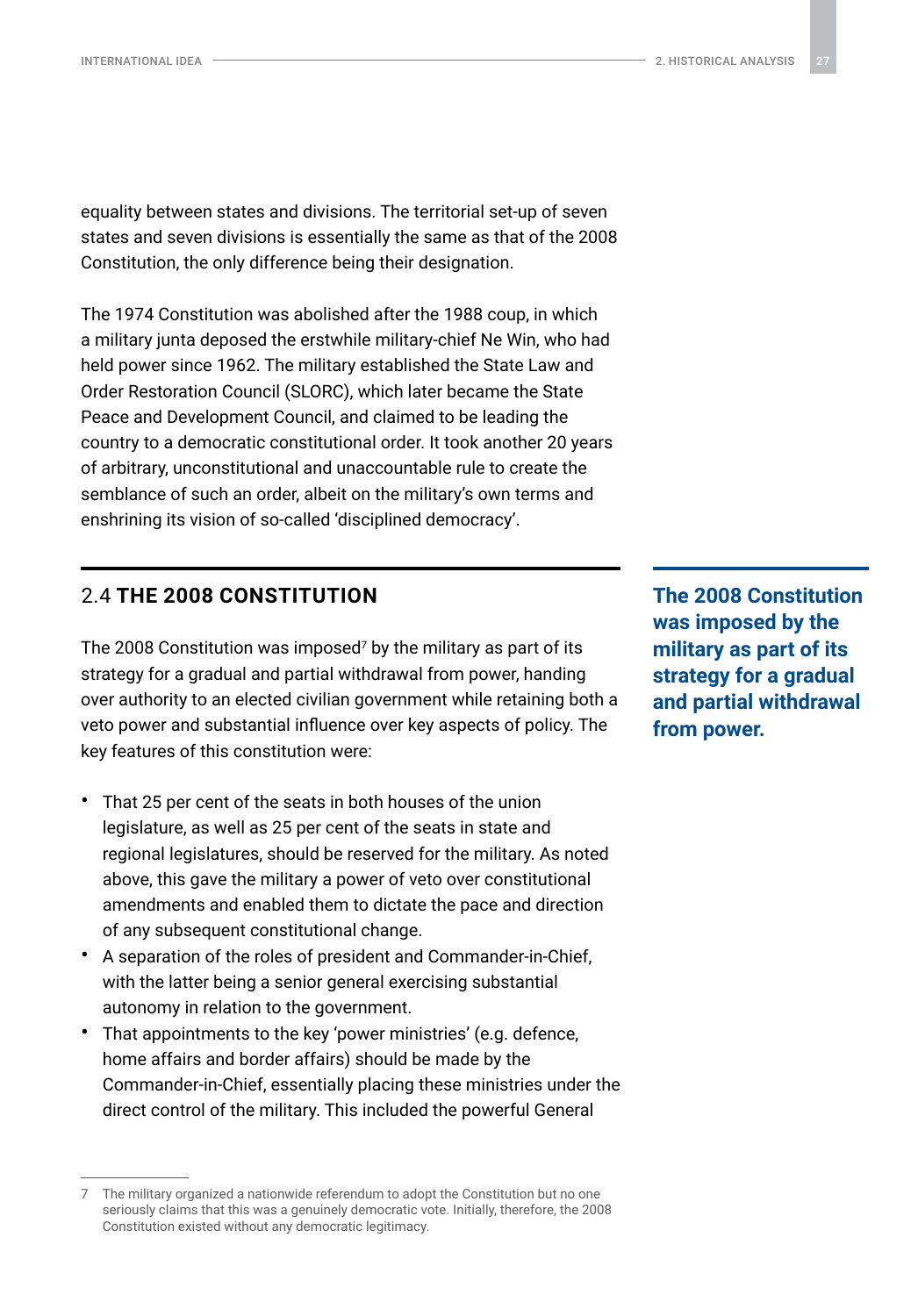<span id="page-26-0"></span>equality between states and divisions. The territorial set-up of seven states and seven divisions is essentially the same as that of the 2008 Constitution, the only difference being their designation.

The 1974 Constitution was abolished after the 1988 coup, in which a military junta deposed the erstwhile military-chief Ne Win, who had held power since 1962. The military established the State Law and Order Restoration Council (SLORC), which later became the State Peace and Development Council, and claimed to be leading the country to a democratic constitutional order. It took another 20 years of arbitrary, unconstitutional and unaccountable rule to create the semblance of such an order, albeit on the military's own terms and enshrining its vision of so-called 'disciplined democracy'.

### 2.4 **THE 2008 CONSTITUTION**

The 2008 Constitution was imposed<sup>7</sup> by the military as part of its strategy for a gradual and partial withdrawal from power, handing over authority to an elected civilian government while retaining both a veto power and substantial influence over key aspects of policy. The key features of this constitution were:

- That 25 per cent of the seats in both houses of the union legislature, as well as 25 per cent of the seats in state and regional legislatures, should be reserved for the military. As noted above, this gave the military a power of veto over constitutional amendments and enabled them to dictate the pace and direction of any subsequent constitutional change.
- A separation of the roles of president and Commander-in-Chief, with the latter being a senior general exercising substantial autonomy in relation to the government.
- That appointments to the key 'power ministries' (e.g. defence, home affairs and border affairs) should be made by the Commander-in-Chief, essentially placing these ministries under the direct control of the military. This included the powerful General

**The 2008 Constitution was imposed by the military as part of its strategy for a gradual and partial withdrawal from power.**

The military organized a nationwide referendum to adopt the Constitution but no one seriously claims that this was a genuinely democratic vote. Initially, therefore, the 2008 Constitution existed without any democratic legitimacy.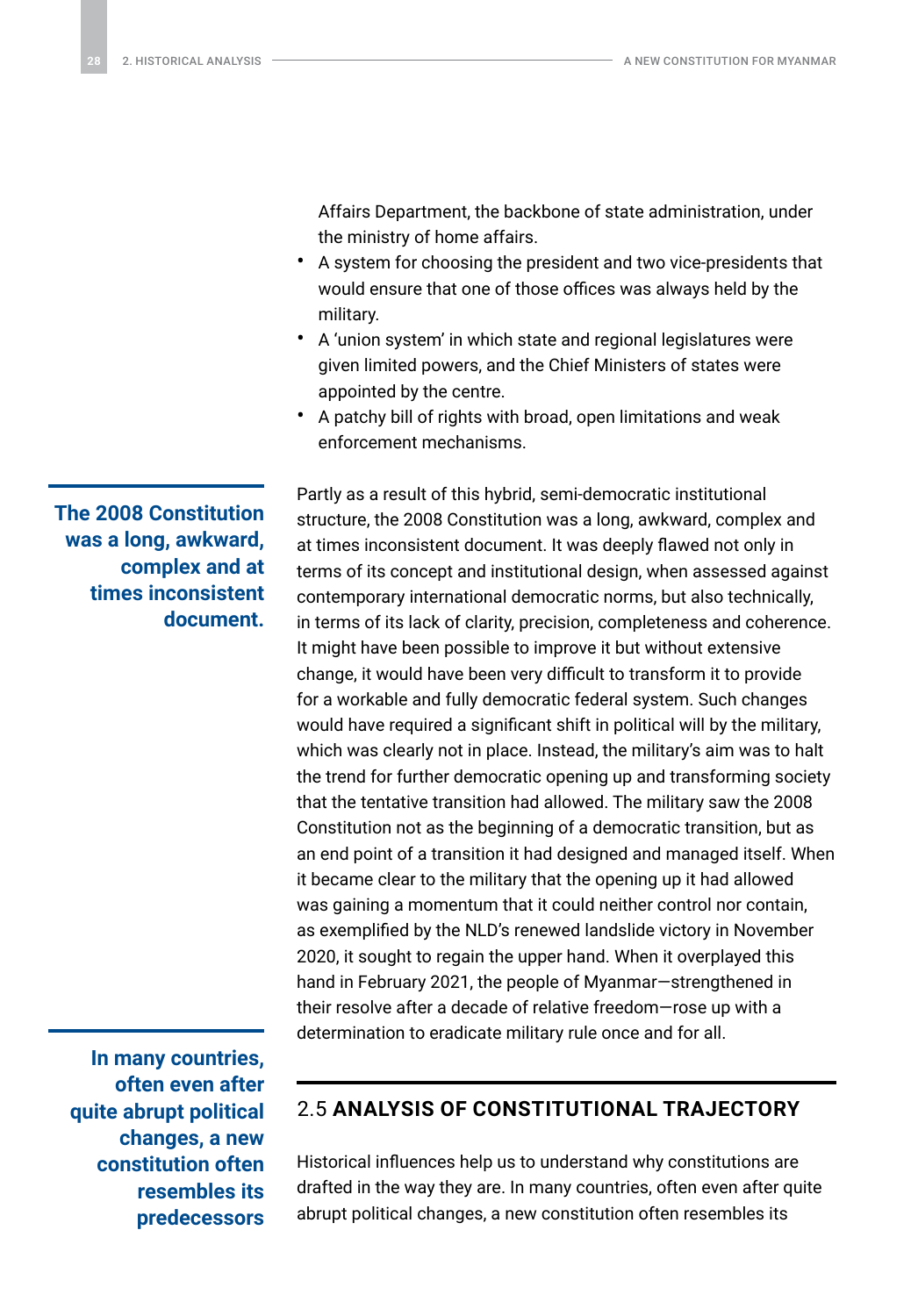<span id="page-27-0"></span>Affairs Department, the backbone of state administration, under the ministry of home affairs.

- A system for choosing the president and two vice-presidents that would ensure that one of those offices was always held by the military.
- A 'union system' in which state and regional legislatures were given limited powers, and the Chief Ministers of states were appointed by the centre.
- A patchy bill of rights with broad, open limitations and weak enforcement mechanisms.

Partly as a result of this hybrid, semi-democratic institutional structure, the 2008 Constitution was a long, awkward, complex and at times inconsistent document. It was deeply flawed not only in terms of its concept and institutional design, when assessed against contemporary international democratic norms, but also technically, in terms of its lack of clarity, precision, completeness and coherence. It might have been possible to improve it but without extensive change, it would have been very difficult to transform it to provide for a workable and fully democratic federal system. Such changes would have required a significant shift in political will by the military, which was clearly not in place. Instead, the military's aim was to halt the trend for further democratic opening up and transforming society that the tentative transition had allowed. The military saw the 2008 Constitution not as the beginning of a democratic transition, but as an end point of a transition it had designed and managed itself. When it became clear to the military that the opening up it had allowed was gaining a momentum that it could neither control nor contain, as exemplified by the NLD's renewed landslide victory in November 2020, it sought to regain the upper hand. When it overplayed this hand in February 2021, the people of Myanmar—strengthened in their resolve after a decade of relative freedom—rose up with a determination to eradicate military rule once and for all.

**In many countries, often even after quite abrupt political changes, a new constitution often resembles its predecessors** 

### 2.5 **ANALYSIS OF CONSTITUTIONAL TRAJECTORY**

Historical influences help us to understand why constitutions are drafted in the way they are. In many countries, often even after quite abrupt political changes, a new constitution often resembles its

**The 2008 Constitution was a long, awkward, complex and at times inconsistent document.**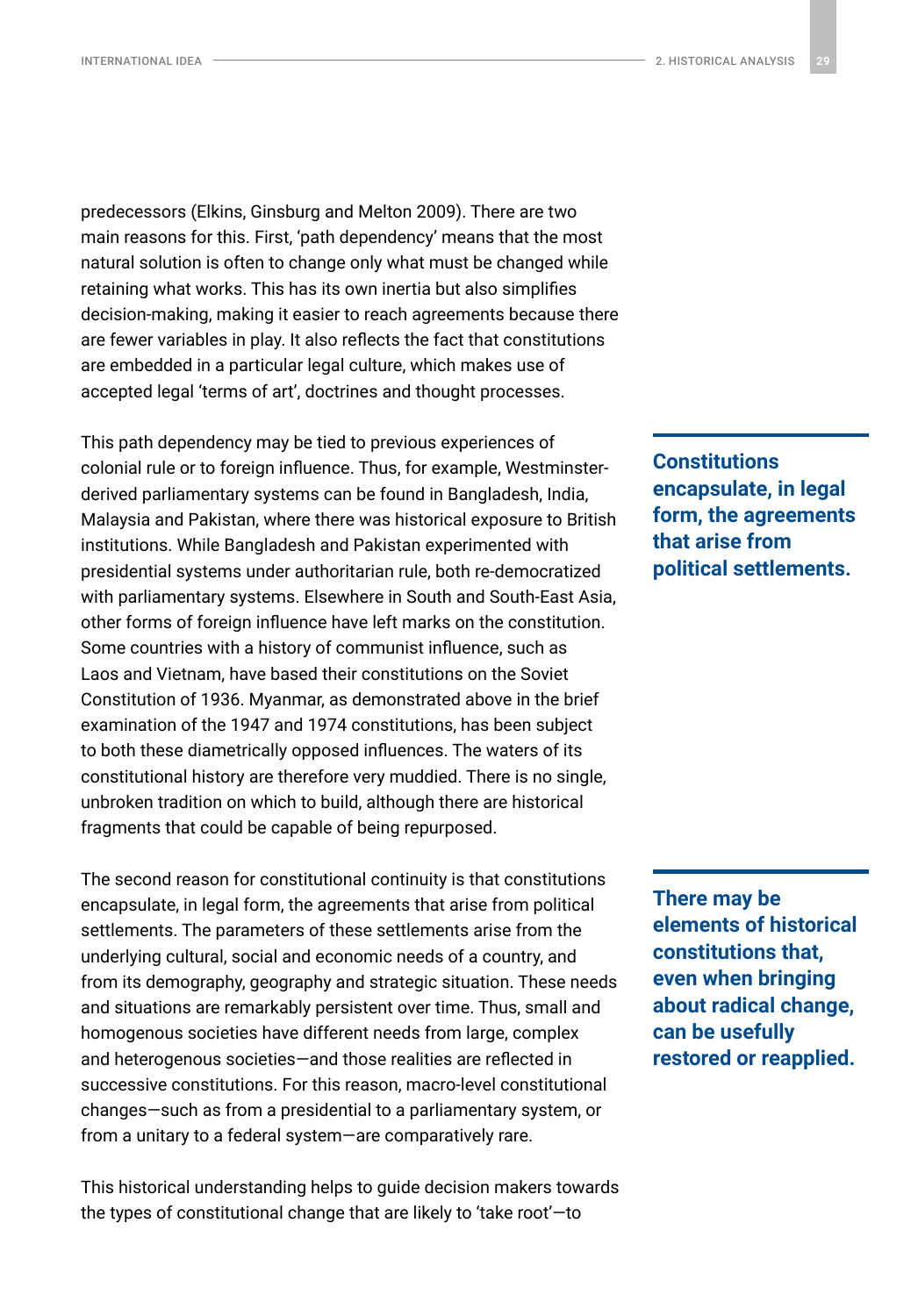predecessors (Elkins, Ginsburg and Melton 2009). There are two main reasons for this. First, 'path dependency' means that the most natural solution is often to change only what must be changed while retaining what works. This has its own inertia but also simplifies decision-making, making it easier to reach agreements because there are fewer variables in play. It also reflects the fact that constitutions are embedded in a particular legal culture, which makes use of accepted legal 'terms of art', doctrines and thought processes.

This path dependency may be tied to previous experiences of colonial rule or to foreign influence. Thus, for example, Westminsterderived parliamentary systems can be found in Bangladesh, India, Malaysia and Pakistan, where there was historical exposure to British institutions. While Bangladesh and Pakistan experimented with presidential systems under authoritarian rule, both re-democratized with parliamentary systems. Elsewhere in South and South-East Asia, other forms of foreign influence have left marks on the constitution. Some countries with a history of communist influence, such as Laos and Vietnam, have based their constitutions on the Soviet Constitution of 1936. Myanmar, as demonstrated above in the brief examination of the 1947 and 1974 constitutions, has been subject to both these diametrically opposed influences. The waters of its constitutional history are therefore very muddied. There is no single, unbroken tradition on which to build, although there are historical fragments that could be capable of being repurposed.

The second reason for constitutional continuity is that constitutions encapsulate, in legal form, the agreements that arise from political settlements. The parameters of these settlements arise from the underlying cultural, social and economic needs of a country, and from its demography, geography and strategic situation. These needs and situations are remarkably persistent over time. Thus, small and homogenous societies have different needs from large, complex and heterogenous societies—and those realities are reflected in successive constitutions. For this reason, macro-level constitutional changes—such as from a presidential to a parliamentary system, or from a unitary to a federal system—are comparatively rare.

This historical understanding helps to guide decision makers towards the types of constitutional change that are likely to 'take root'—to

**Constitutions encapsulate, in legal form, the agreements that arise from political settlements.**

**There may be elements of historical constitutions that, even when bringing about radical change, can be usefully restored or reapplied.**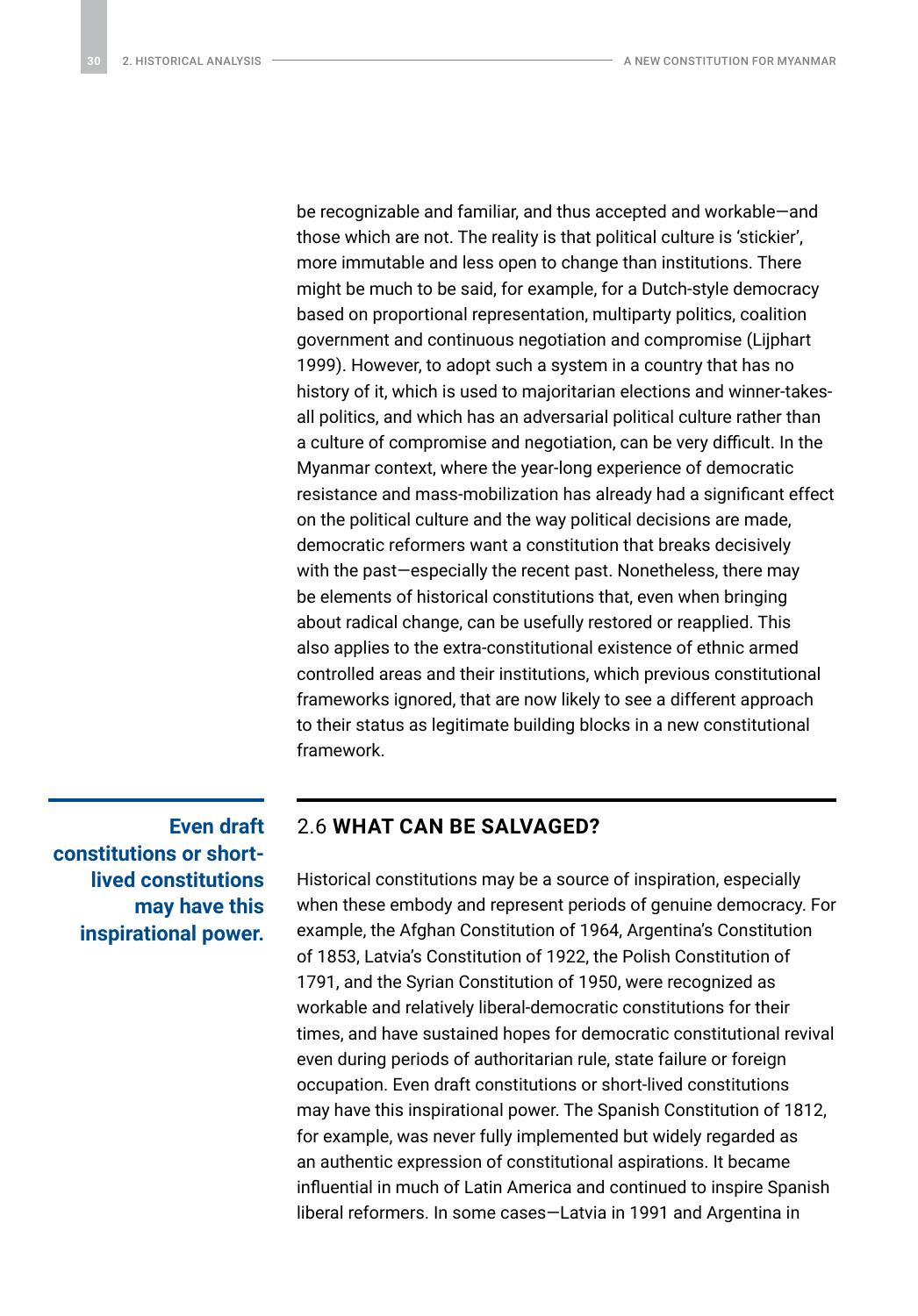<span id="page-29-0"></span>be recognizable and familiar, and thus accepted and workable—and those which are not. The reality is that political culture is 'stickier', more immutable and less open to change than institutions. There might be much to be said, for example, for a Dutch-style democracy based on proportional representation, multiparty politics, coalition government and continuous negotiation and compromise (Lijphart 1999). However, to adopt such a system in a country that has no history of it, which is used to majoritarian elections and winner-takesall politics, and which has an adversarial political culture rather than a culture of compromise and negotiation, can be very difficult. In the Myanmar context, where the year-long experience of democratic resistance and mass-mobilization has already had a significant effect on the political culture and the way political decisions are made, democratic reformers want a constitution that breaks decisively with the past—especially the recent past. Nonetheless, there may be elements of historical constitutions that, even when bringing about radical change, can be usefully restored or reapplied. This also applies to the extra-constitutional existence of ethnic armed controlled areas and their institutions, which previous constitutional frameworks ignored, that are now likely to see a different approach to their status as legitimate building blocks in a new constitutional framework.

**Even draft constitutions or shortlived constitutions may have this inspirational power.**

#### 2.6 **WHAT CAN BE SALVAGED?**

Historical constitutions may be a source of inspiration, especially when these embody and represent periods of genuine democracy. For example, the Afghan Constitution of 1964, Argentina's Constitution of 1853, Latvia's Constitution of 1922, the Polish Constitution of 1791, and the Syrian Constitution of 1950, were recognized as workable and relatively liberal-democratic constitutions for their times, and have sustained hopes for democratic constitutional revival even during periods of authoritarian rule, state failure or foreign occupation. Even draft constitutions or short-lived constitutions may have this inspirational power. The Spanish Constitution of 1812, for example, was never fully implemented but widely regarded as an authentic expression of constitutional aspirations. It became influential in much of Latin America and continued to inspire Spanish liberal reformers. In some cases—Latvia in 1991 and Argentina in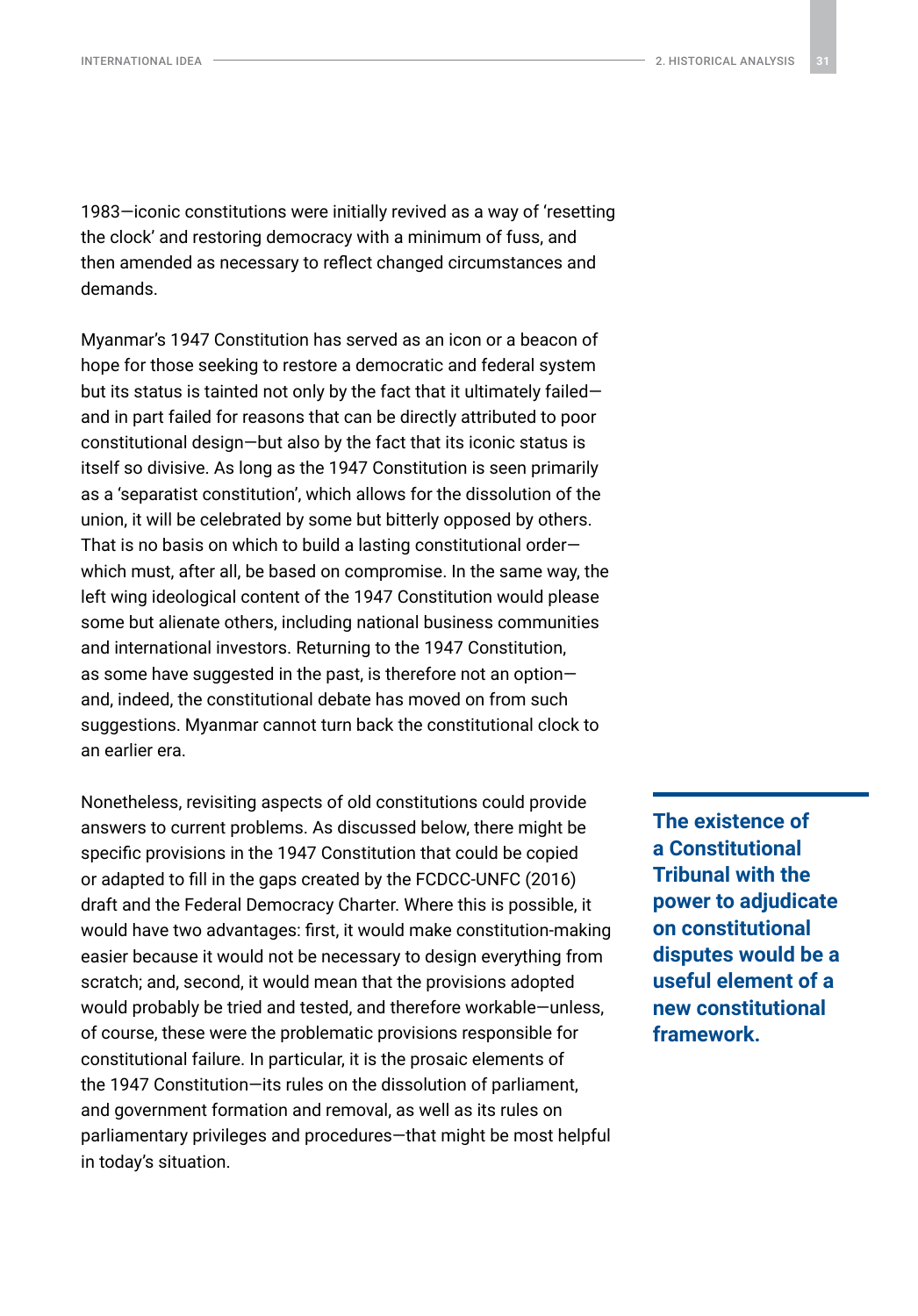1983—iconic constitutions were initially revived as a way of 'resetting the clock' and restoring democracy with a minimum of fuss, and then amended as necessary to reflect changed circumstances and demands.

Myanmar's 1947 Constitution has served as an icon or a beacon of hope for those seeking to restore a democratic and federal system but its status is tainted not only by the fact that it ultimately failed and in part failed for reasons that can be directly attributed to poor constitutional design—but also by the fact that its iconic status is itself so divisive. As long as the 1947 Constitution is seen primarily as a 'separatist constitution', which allows for the dissolution of the union, it will be celebrated by some but bitterly opposed by others. That is no basis on which to build a lasting constitutional order which must, after all, be based on compromise. In the same way, the left wing ideological content of the 1947 Constitution would please some but alienate others, including national business communities and international investors. Returning to the 1947 Constitution, as some have suggested in the past, is therefore not an option and, indeed, the constitutional debate has moved on from such suggestions. Myanmar cannot turn back the constitutional clock to an earlier era.

Nonetheless, revisiting aspects of old constitutions could provide answers to current problems. As discussed below, there might be specific provisions in the 1947 Constitution that could be copied or adapted to fill in the gaps created by the FCDCC-UNFC (2016) draft and the Federal Democracy Charter. Where this is possible, it would have two advantages: first, it would make constitution-making easier because it would not be necessary to design everything from scratch; and, second, it would mean that the provisions adopted would probably be tried and tested, and therefore workable—unless, of course, these were the problematic provisions responsible for constitutional failure. In particular, it is the prosaic elements of the 1947 Constitution—its rules on the dissolution of parliament, and government formation and removal, as well as its rules on parliamentary privileges and procedures—that might be most helpful in today's situation.

**The existence of a Constitutional Tribunal with the power to adjudicate on constitutional disputes would be a useful element of a new constitutional framework.**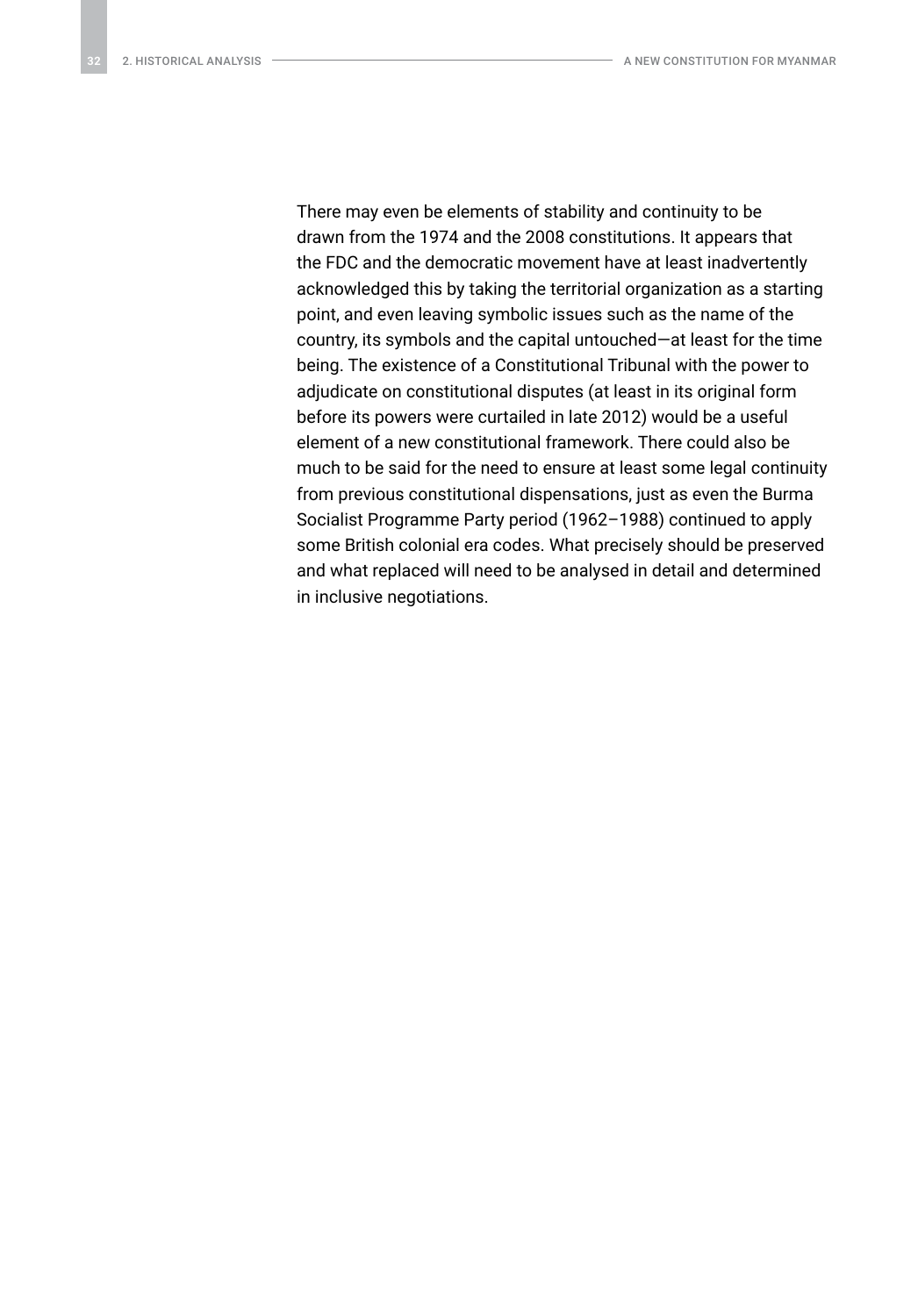There may even be elements of stability and continuity to be drawn from the 1974 and the 2008 constitutions. It appears that the FDC and the democratic movement have at least inadvertently acknowledged this by taking the territorial organization as a starting point, and even leaving symbolic issues such as the name of the country, its symbols and the capital untouched—at least for the time being. The existence of a Constitutional Tribunal with the power to adjudicate on constitutional disputes (at least in its original form before its powers were curtailed in late 2012) would be a useful element of a new constitutional framework. There could also be much to be said for the need to ensure at least some legal continuity from previous constitutional dispensations, just as even the Burma Socialist Programme Party period (1962–1988) continued to apply some British colonial era codes. What precisely should be preserved and what replaced will need to be analysed in detail and determined in inclusive negotiations.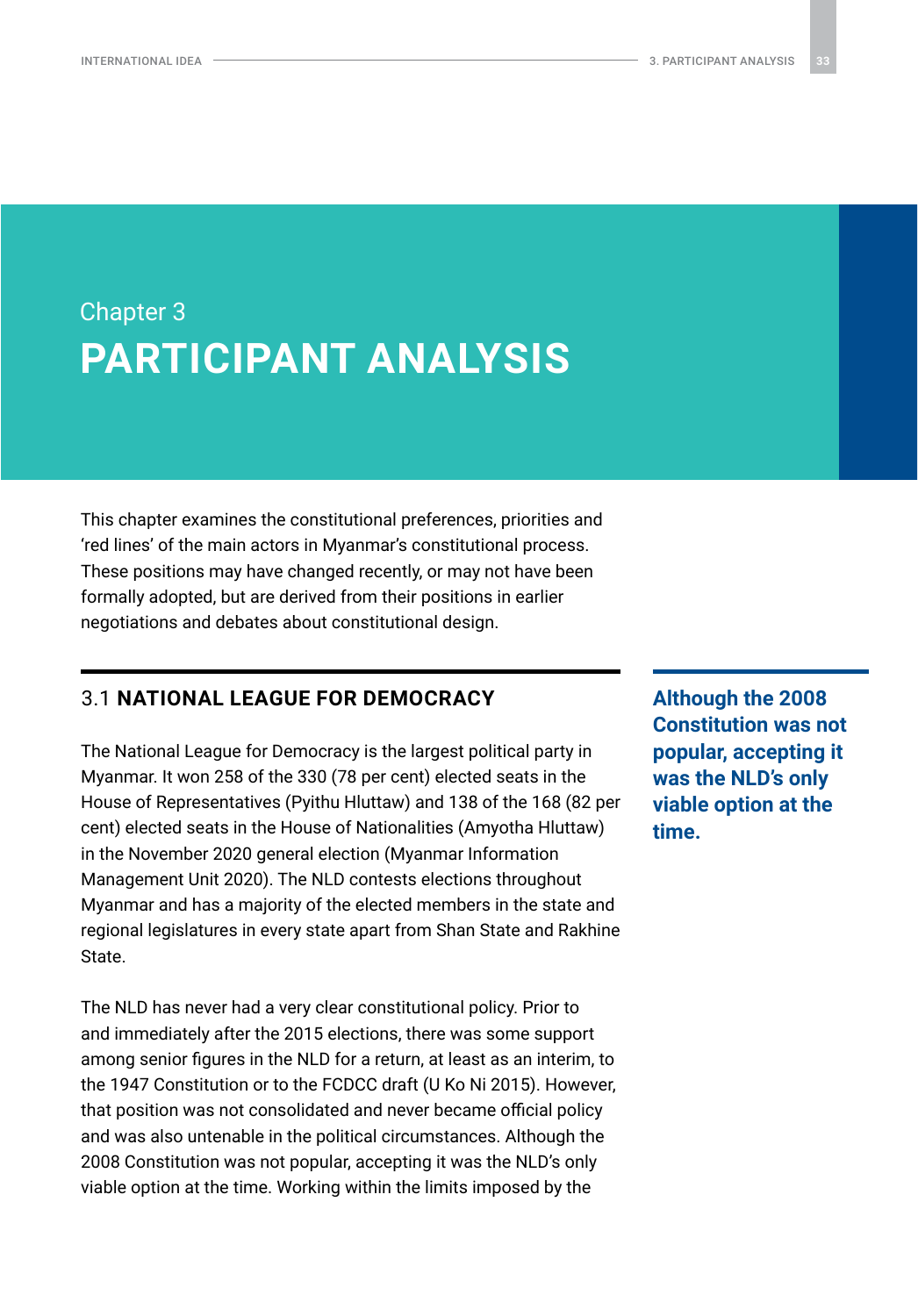## <span id="page-32-0"></span>Chapter 3 **PARTICIPANT ANALYSIS**

This chapter examines the constitutional preferences, priorities and 'red lines' of the main actors in Myanmar's constitutional process. These positions may have changed recently, or may not have been formally adopted, but are derived from their positions in earlier negotiations and debates about constitutional design.

### 3.1 **NATIONAL LEAGUE FOR DEMOCRACY**

The National League for Democracy is the largest political party in Myanmar. It won 258 of the 330 (78 per cent) elected seats in the House of Representatives (Pyithu Hluttaw) and 138 of the 168 (82 per cent) elected seats in the House of Nationalities (Amyotha Hluttaw) in the November 2020 general election (Myanmar Information Management Unit 2020). The NLD contests elections throughout Myanmar and has a majority of the elected members in the state and regional legislatures in every state apart from Shan State and Rakhine State.

The NLD has never had a very clear constitutional policy. Prior to and immediately after the 2015 elections, there was some support among senior figures in the NLD for a return, at least as an interim, to the 1947 Constitution or to the FCDCC draft (U Ko Ni 2015). However, that position was not consolidated and never became official policy and was also untenable in the political circumstances. Although the 2008 Constitution was not popular, accepting it was the NLD's only viable option at the time. Working within the limits imposed by the

**Although the 2008 Constitution was not popular, accepting it was the NLD's only viable option at the time.**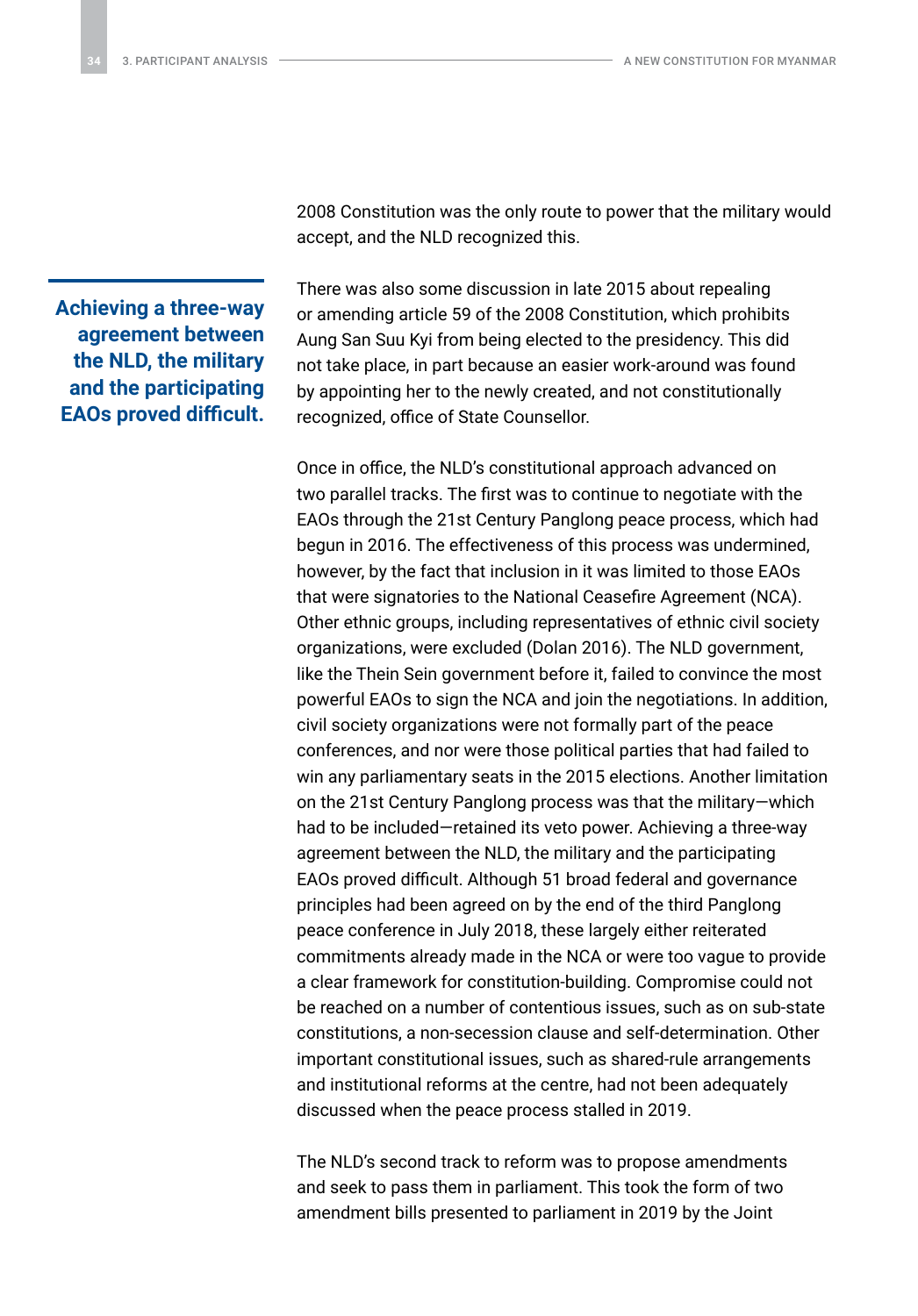**Achieving a three-way agreement between the NLD, the military and the participating EAOs proved difficult.** 2008 Constitution was the only route to power that the military would accept, and the NLD recognized this.

There was also some discussion in late 2015 about repealing or amending article 59 of the 2008 Constitution, which prohibits Aung San Suu Kyi from being elected to the presidency. This did not take place, in part because an easier work-around was found by appointing her to the newly created, and not constitutionally recognized, office of State Counsellor.

Once in office, the NLD's constitutional approach advanced on two parallel tracks. The first was to continue to negotiate with the EAOs through the 21st Century Panglong peace process, which had begun in 2016. The effectiveness of this process was undermined, however, by the fact that inclusion in it was limited to those EAOs that were signatories to the National Ceasefire Agreement (NCA). Other ethnic groups, including representatives of ethnic civil society organizations, were excluded (Dolan 2016). The NLD government, like the Thein Sein government before it, failed to convince the most powerful EAOs to sign the NCA and join the negotiations. In addition, civil society organizations were not formally part of the peace conferences, and nor were those political parties that had failed to win any parliamentary seats in the 2015 elections. Another limitation on the 21st Century Panglong process was that the military—which had to be included—retained its veto power. Achieving a three-way agreement between the NLD, the military and the participating EAOs proved difficult. Although 51 broad federal and governance principles had been agreed on by the end of the third Panglong peace conference in July 2018, these largely either reiterated commitments already made in the NCA or were too vague to provide a clear framework for constitution-building. Compromise could not be reached on a number of contentious issues, such as on sub-state constitutions, a non-secession clause and self-determination. Other important constitutional issues, such as shared-rule arrangements and institutional reforms at the centre, had not been adequately discussed when the peace process stalled in 2019.

The NLD's second track to reform was to propose amendments and seek to pass them in parliament. This took the form of two amendment bills presented to parliament in 2019 by the Joint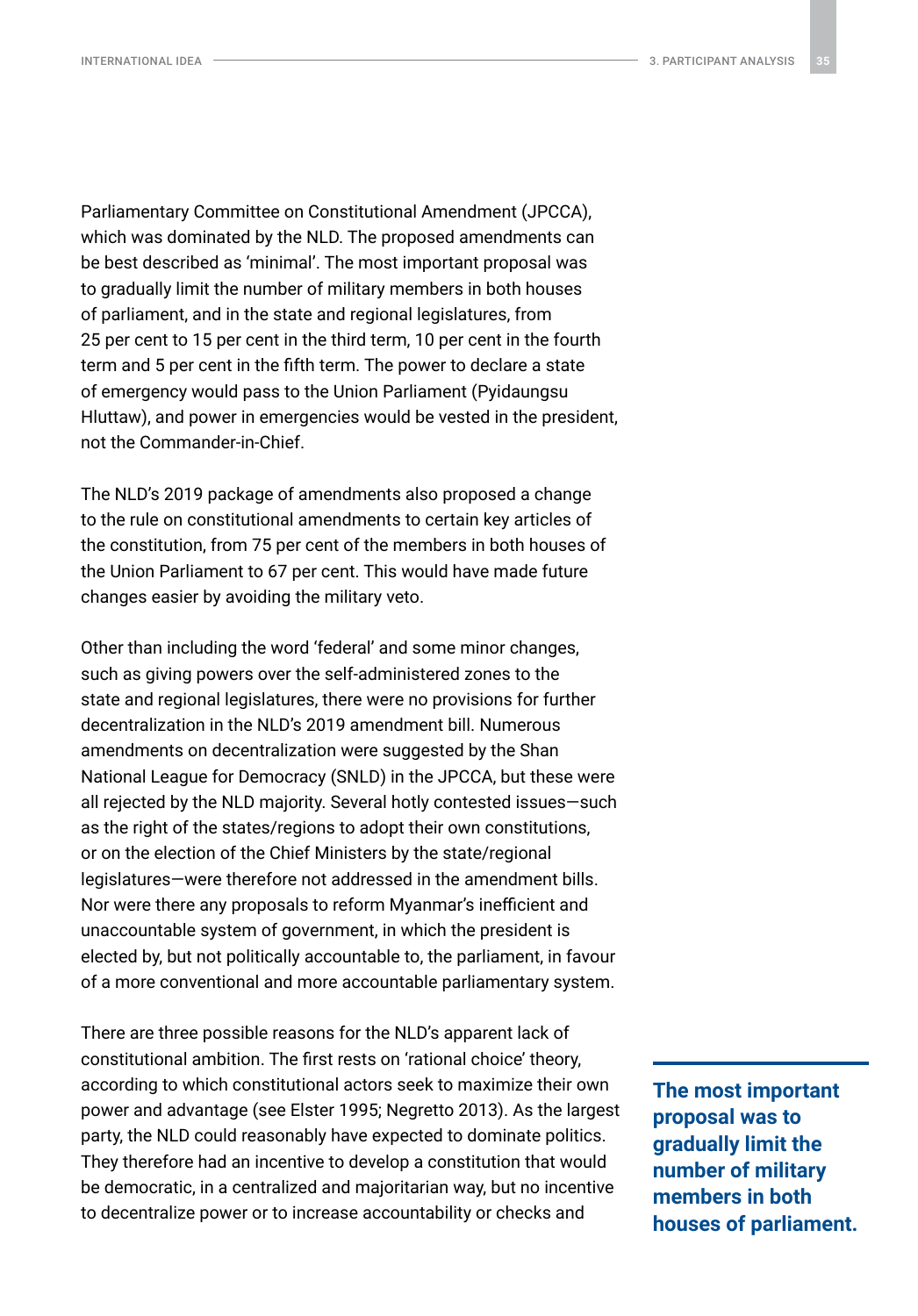Parliamentary Committee on Constitutional Amendment (JPCCA), which was dominated by the NLD. The proposed amendments can be best described as 'minimal'. The most important proposal was to gradually limit the number of military members in both houses of parliament, and in the state and regional legislatures, from 25 per cent to 15 per cent in the third term, 10 per cent in the fourth term and 5 per cent in the fifth term. The power to declare a state of emergency would pass to the Union Parliament (Pyidaungsu Hluttaw), and power in emergencies would be vested in the president, not the Commander-in-Chief.

The NLD's 2019 package of amendments also proposed a change to the rule on constitutional amendments to certain key articles of the constitution, from 75 per cent of the members in both houses of the Union Parliament to 67 per cent. This would have made future changes easier by avoiding the military veto.

Other than including the word 'federal' and some minor changes, such as giving powers over the self-administered zones to the state and regional legislatures, there were no provisions for further decentralization in the NLD's 2019 amendment bill. Numerous amendments on decentralization were suggested by the Shan National League for Democracy (SNLD) in the JPCCA, but these were all rejected by the NLD majority. Several hotly contested issues—such as the right of the states/regions to adopt their own constitutions, or on the election of the Chief Ministers by the state/regional legislatures—were therefore not addressed in the amendment bills. Nor were there any proposals to reform Myanmar's inefficient and unaccountable system of government, in which the president is elected by, but not politically accountable to, the parliament, in favour of a more conventional and more accountable parliamentary system.

There are three possible reasons for the NLD's apparent lack of constitutional ambition. The first rests on 'rational choice' theory, according to which constitutional actors seek to maximize their own power and advantage (see Elster 1995; Negretto 2013). As the largest party, the NLD could reasonably have expected to dominate politics. They therefore had an incentive to develop a constitution that would be democratic, in a centralized and majoritarian way, but no incentive to decentralize power or to increase accountability or checks and

**The most important proposal was to gradually limit the number of military members in both houses of parliament.**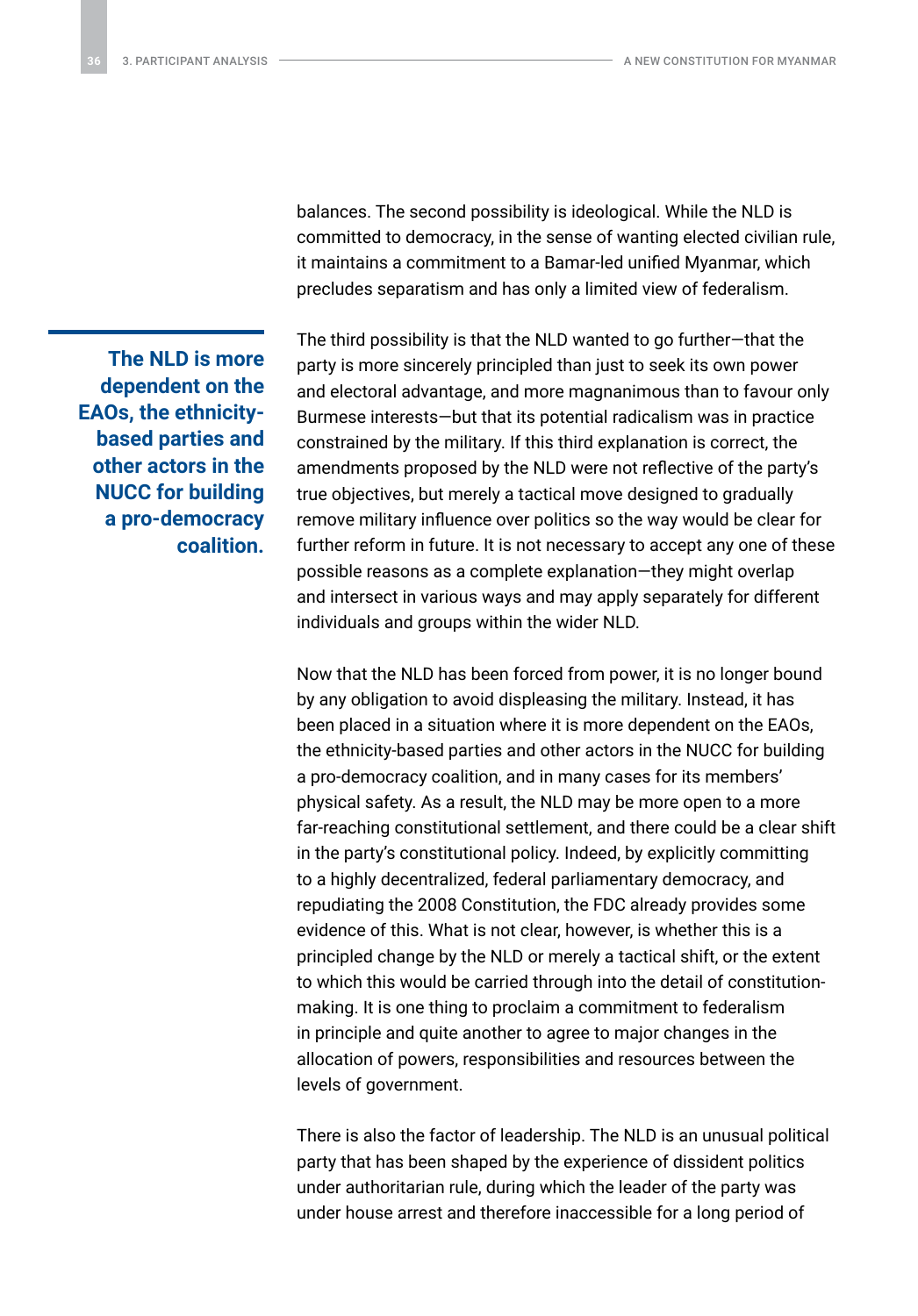balances. The second possibility is ideological. While the NLD is committed to democracy, in the sense of wanting elected civilian rule, it maintains a commitment to a Bamar-led unified Myanmar, which precludes separatism and has only a limited view of federalism.

**The NLD is more dependent on the EAOs, the ethnicitybased parties and other actors in the NUCC for building a pro-democracy coalition.** The third possibility is that the NLD wanted to go further—that the party is more sincerely principled than just to seek its own power and electoral advantage, and more magnanimous than to favour only Burmese interests—but that its potential radicalism was in practice constrained by the military. If this third explanation is correct, the amendments proposed by the NLD were not reflective of the party's true objectives, but merely a tactical move designed to gradually remove military influence over politics so the way would be clear for further reform in future. It is not necessary to accept any one of these possible reasons as a complete explanation—they might overlap and intersect in various ways and may apply separately for different individuals and groups within the wider NLD.

Now that the NLD has been forced from power, it is no longer bound by any obligation to avoid displeasing the military. Instead, it has been placed in a situation where it is more dependent on the EAOs, the ethnicity-based parties and other actors in the NUCC for building a pro-democracy coalition, and in many cases for its members' physical safety. As a result, the NLD may be more open to a more far-reaching constitutional settlement, and there could be a clear shift in the party's constitutional policy. Indeed, by explicitly committing to a highly decentralized, federal parliamentary democracy, and repudiating the 2008 Constitution, the FDC already provides some evidence of this. What is not clear, however, is whether this is a principled change by the NLD or merely a tactical shift, or the extent to which this would be carried through into the detail of constitutionmaking. It is one thing to proclaim a commitment to federalism in principle and quite another to agree to major changes in the allocation of powers, responsibilities and resources between the levels of government.

There is also the factor of leadership. The NLD is an unusual political party that has been shaped by the experience of dissident politics under authoritarian rule, during which the leader of the party was under house arrest and therefore inaccessible for a long period of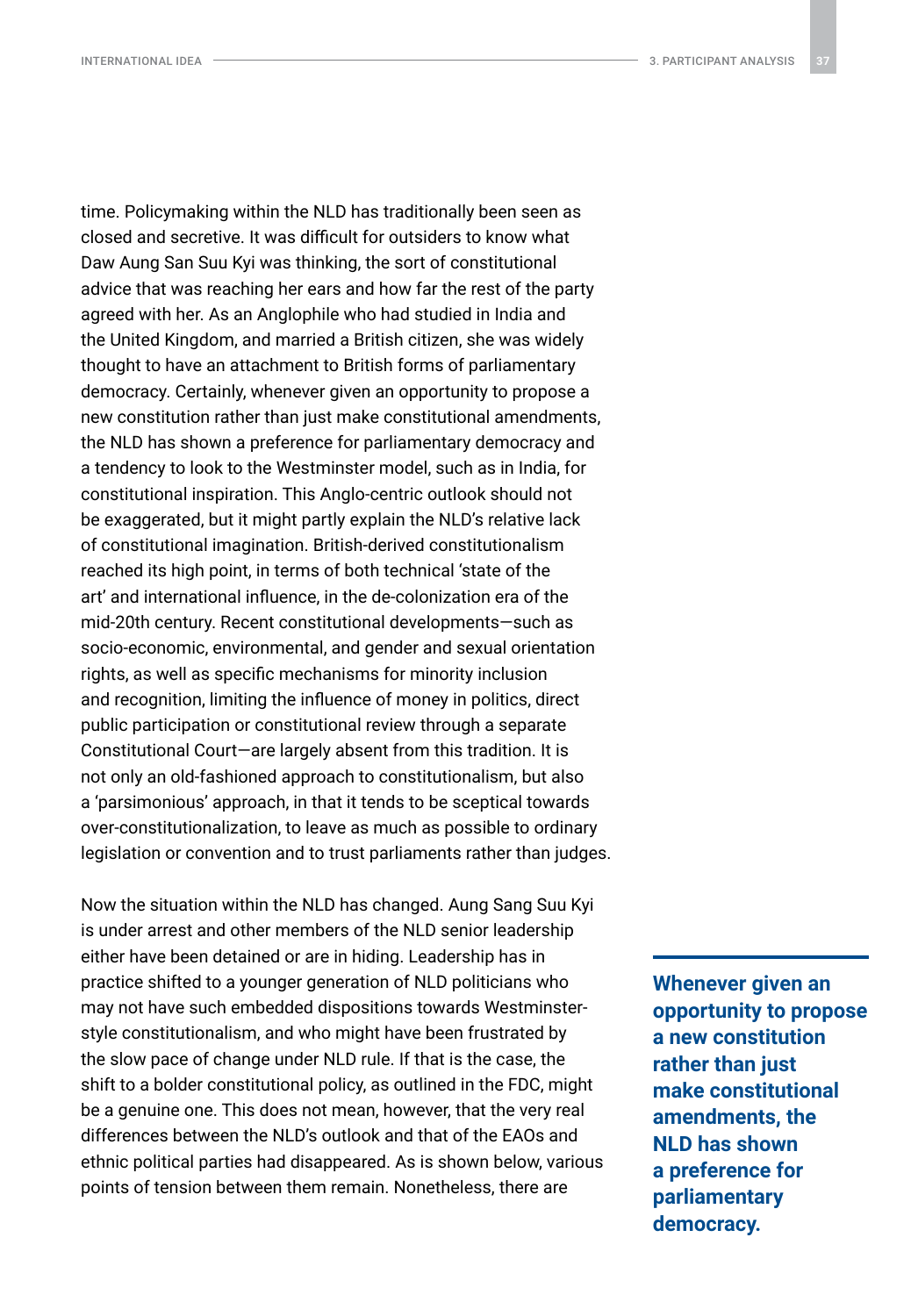time. Policymaking within the NLD has traditionally been seen as closed and secretive. It was difficult for outsiders to know what Daw Aung San Suu Kyi was thinking, the sort of constitutional advice that was reaching her ears and how far the rest of the party agreed with her. As an Anglophile who had studied in India and the United Kingdom, and married a British citizen, she was widely thought to have an attachment to British forms of parliamentary democracy. Certainly, whenever given an opportunity to propose a new constitution rather than just make constitutional amendments, the NLD has shown a preference for parliamentary democracy and a tendency to look to the Westminster model, such as in India, for constitutional inspiration. This Anglo-centric outlook should not be exaggerated, but it might partly explain the NLD's relative lack of constitutional imagination. British-derived constitutionalism reached its high point, in terms of both technical 'state of the art' and international influence, in the de-colonization era of the mid-20th century. Recent constitutional developments—such as socio-economic, environmental, and gender and sexual orientation rights, as well as specific mechanisms for minority inclusion and recognition, limiting the influence of money in politics, direct public participation or constitutional review through a separate Constitutional Court—are largely absent from this tradition. It is not only an old-fashioned approach to constitutionalism, but also a 'parsimonious' approach, in that it tends to be sceptical towards over-constitutionalization, to leave as much as possible to ordinary legislation or convention and to trust parliaments rather than judges.

Now the situation within the NLD has changed. Aung Sang Suu Kyi is under arrest and other members of the NLD senior leadership either have been detained or are in hiding. Leadership has in practice shifted to a younger generation of NLD politicians who may not have such embedded dispositions towards Westminsterstyle constitutionalism, and who might have been frustrated by the slow pace of change under NLD rule. If that is the case, the shift to a bolder constitutional policy, as outlined in the FDC, might be a genuine one. This does not mean, however, that the very real differences between the NLD's outlook and that of the EAOs and ethnic political parties had disappeared. As is shown below, various points of tension between them remain. Nonetheless, there are

**Whenever given an opportunity to propose a new constitution rather than just make constitutional amendments, the NLD has shown a preference for parliamentary democracy.**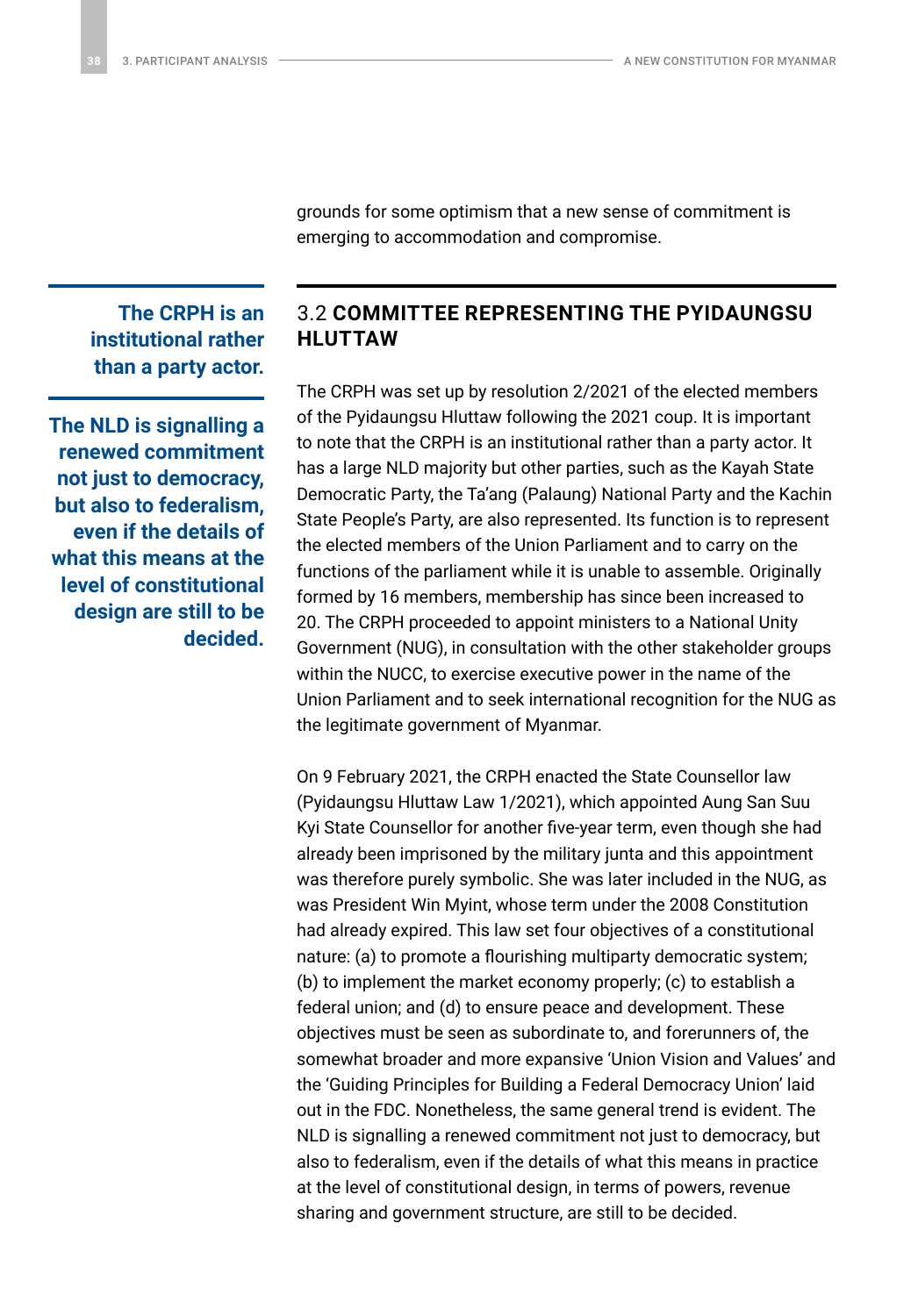grounds for some optimism that a new sense of commitment is emerging to accommodation and compromise.

<span id="page-37-0"></span>**The CRPH is an institutional rather than a party actor.**

**The NLD is signalling a renewed commitment not just to democracy, but also to federalism, even if the details of what this means at the level of constitutional design are still to be decided.**

### 3.2 **COMMITTEE REPRESENTING THE PYIDAUNGSU HLUTTAW**

The CRPH was set up by resolution 2/2021 of the elected members of the Pyidaungsu Hluttaw following the 2021 coup. It is important to note that the CRPH is an institutional rather than a party actor. It has a large NLD majority but other parties, such as the Kayah State Democratic Party, the Ta'ang (Palaung) National Party and the Kachin State People's Party, are also represented. Its function is to represent the elected members of the Union Parliament and to carry on the functions of the parliament while it is unable to assemble. Originally formed by 16 members, membership has since been increased to 20. The CRPH proceeded to appoint ministers to a National Unity Government (NUG), in consultation with the other stakeholder groups within the NUCC, to exercise executive power in the name of the Union Parliament and to seek international recognition for the NUG as the legitimate government of Myanmar.

On 9 February 2021, the CRPH enacted the State Counsellor law (Pyidaungsu Hluttaw Law 1/2021), which appointed Aung San Suu Kyi State Counsellor for another five-year term, even though she had already been imprisoned by the military junta and this appointment was therefore purely symbolic. She was later included in the NUG, as was President Win Myint, whose term under the 2008 Constitution had already expired. This law set four objectives of a constitutional nature: (a) to promote a flourishing multiparty democratic system; (b) to implement the market economy properly; (c) to establish a federal union; and (d) to ensure peace and development. These objectives must be seen as subordinate to, and forerunners of, the somewhat broader and more expansive 'Union Vision and Values' and the 'Guiding Principles for Building a Federal Democracy Union' laid out in the FDC. Nonetheless, the same general trend is evident. The NLD is signalling a renewed commitment not just to democracy, but also to federalism, even if the details of what this means in practice at the level of constitutional design, in terms of powers, revenue sharing and government structure, are still to be decided.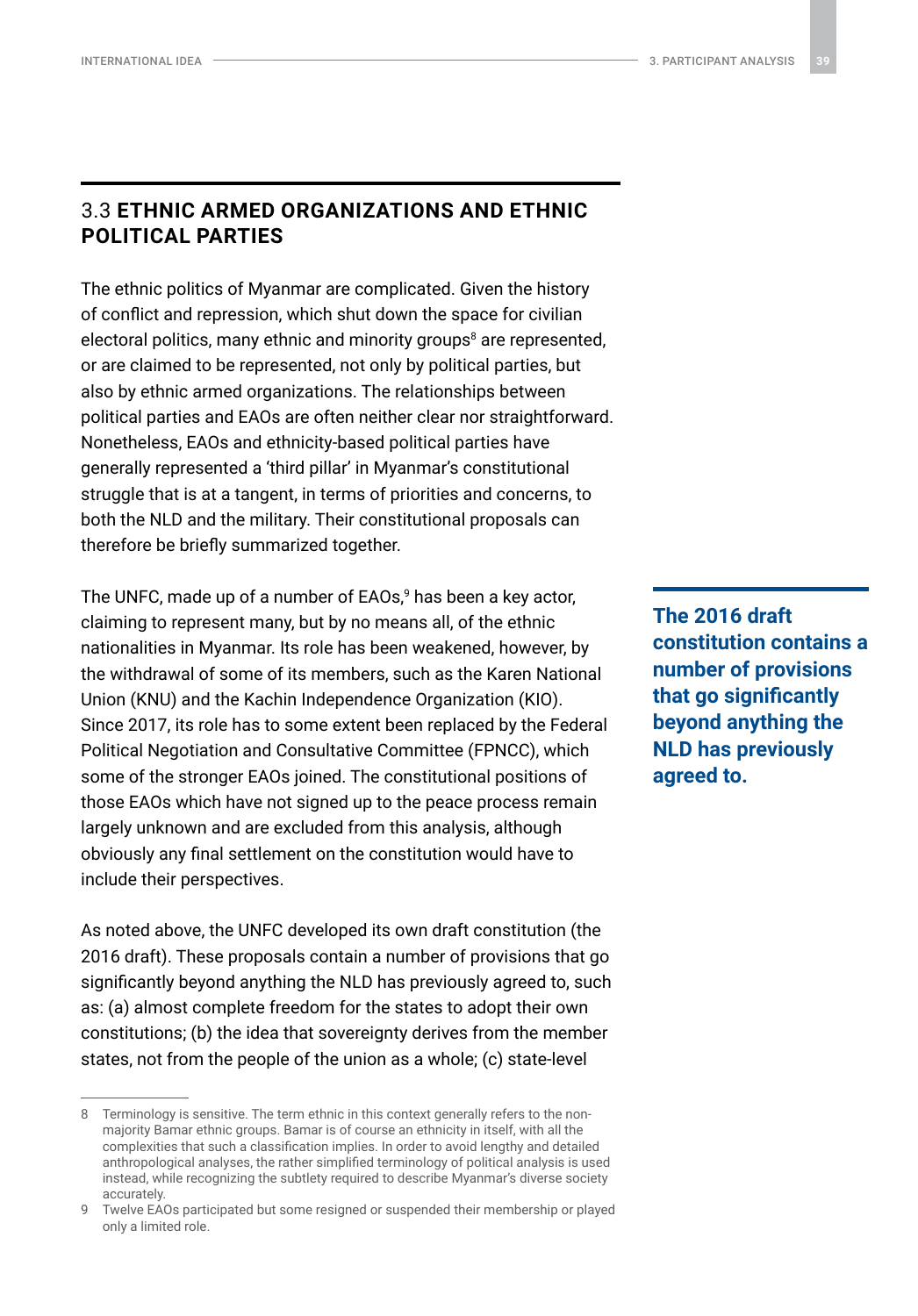### <span id="page-38-0"></span>3.3 **ETHNIC ARMED ORGANIZATIONS AND ETHNIC POLITICAL PARTIES**

The ethnic politics of Myanmar are complicated. Given the history of conflict and repression, which shut down the space for civilian electoral politics, many ethnic and minority groups<sup>8</sup> are represented, or are claimed to be represented, not only by political parties, but also by ethnic armed organizations. The relationships between political parties and EAOs are often neither clear nor straightforward. Nonetheless, EAOs and ethnicity-based political parties have generally represented a 'third pillar' in Myanmar's constitutional struggle that is at a tangent, in terms of priorities and concerns, to both the NLD and the military. Their constitutional proposals can therefore be briefly summarized together.

The UNFC, made up of a number of EAOs,<sup>9</sup> has been a key actor, claiming to represent many, but by no means all, of the ethnic nationalities in Myanmar. Its role has been weakened, however, by the withdrawal of some of its members, such as the Karen National Union (KNU) and the Kachin Independence Organization (KIO). Since 2017, its role has to some extent been replaced by the Federal Political Negotiation and Consultative Committee (FPNCC), which some of the stronger EAOs joined. The constitutional positions of those EAOs which have not signed up to the peace process remain largely unknown and are excluded from this analysis, although obviously any final settlement on the constitution would have to include their perspectives.

As noted above, the UNFC developed its own draft constitution (the 2016 draft). These proposals contain a number of provisions that go significantly beyond anything the NLD has previously agreed to, such as: (a) almost complete freedom for the states to adopt their own constitutions; (b) the idea that sovereignty derives from the member states, not from the people of the union as a whole; (c) state-level

**The 2016 draft constitution contains a number of provisions that go significantly beyond anything the NLD has previously agreed to.**

<sup>8</sup> Terminology is sensitive. The term ethnic in this context generally refers to the nonmajority Bamar ethnic groups. Bamar is of course an ethnicity in itself, with all the complexities that such a classification implies. In order to avoid lengthy and detailed anthropological analyses, the rather simplified terminology of political analysis is used instead, while recognizing the subtlety required to describe Myanmar's diverse society accurately.

<sup>9</sup> Twelve EAOs participated but some resigned or suspended their membership or played only a limited role.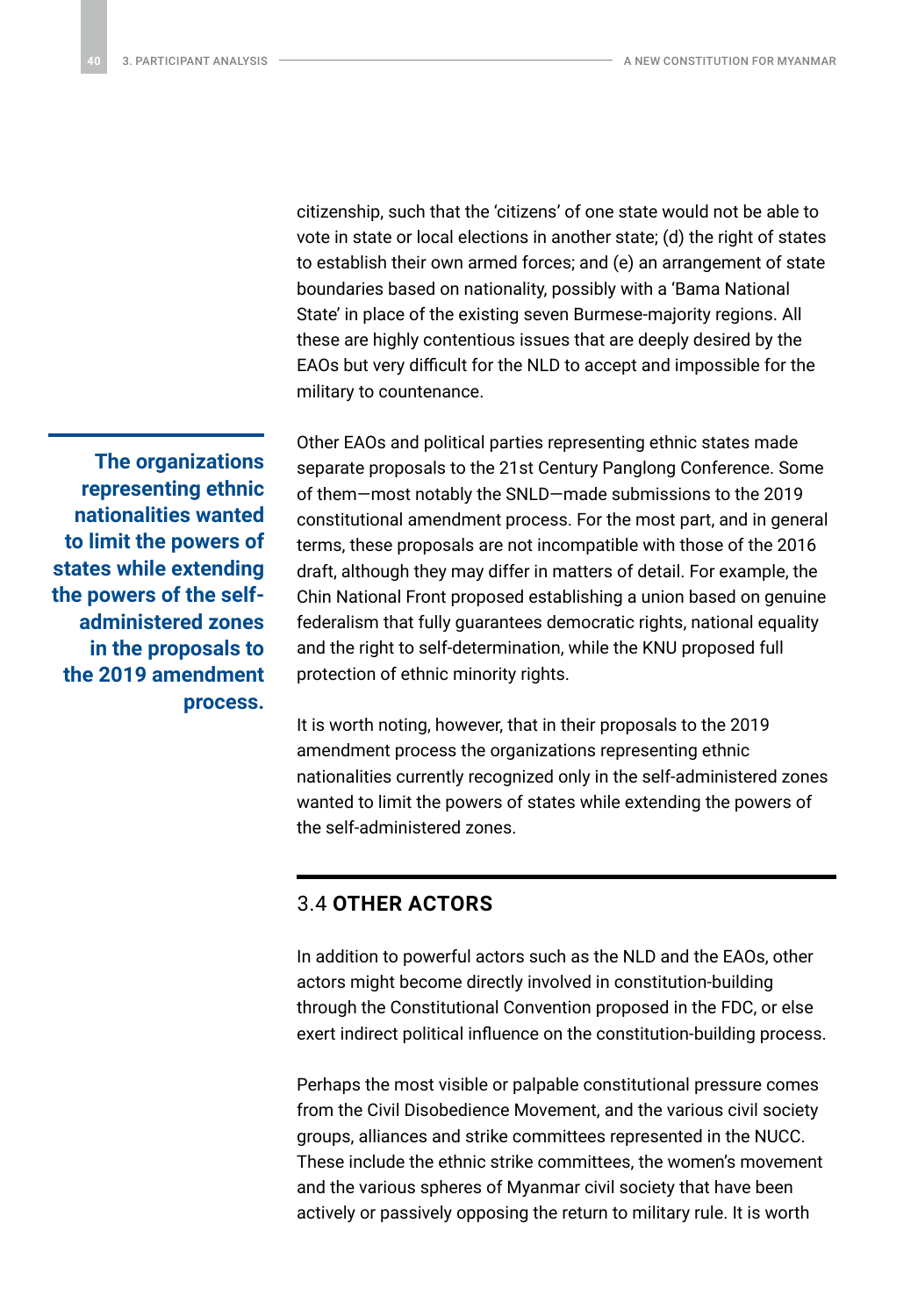<span id="page-39-0"></span>citizenship, such that the 'citizens' of one state would not be able to vote in state or local elections in another state; (d) the right of states to establish their own armed forces; and (e) an arrangement of state boundaries based on nationality, possibly with a 'Bama National State' in place of the existing seven Burmese-majority regions. All these are highly contentious issues that are deeply desired by the EAOs but very difficult for the NLD to accept and impossible for the military to countenance.

Other EAOs and political parties representing ethnic states made separate proposals to the 21st Century Panglong Conference. Some of them—most notably the SNLD—made submissions to the 2019 constitutional amendment process. For the most part, and in general terms, these proposals are not incompatible with those of the 2016 draft, although they may differ in matters of detail. For example, the Chin National Front proposed establishing a union based on genuine federalism that fully guarantees democratic rights, national equality and the right to self-determination, while the KNU proposed full protection of ethnic minority rights.

It is worth noting, however, that in their proposals to the 2019 amendment process the organizations representing ethnic nationalities currently recognized only in the self-administered zones wanted to limit the powers of states while extending the powers of the self-administered zones.

### 3.4 **OTHER ACTORS**

In addition to powerful actors such as the NLD and the EAOs, other actors might become directly involved in constitution-building through the Constitutional Convention proposed in the FDC, or else exert indirect political influence on the constitution-building process.

Perhaps the most visible or palpable constitutional pressure comes from the Civil Disobedience Movement, and the various civil society groups, alliances and strike committees represented in the NUCC. These include the ethnic strike committees, the women's movement and the various spheres of Myanmar civil society that have been actively or passively opposing the return to military rule. It is worth

**The organizations representing ethnic nationalities wanted to limit the powers of states while extending the powers of the selfadministered zones in the proposals to the 2019 amendment process.**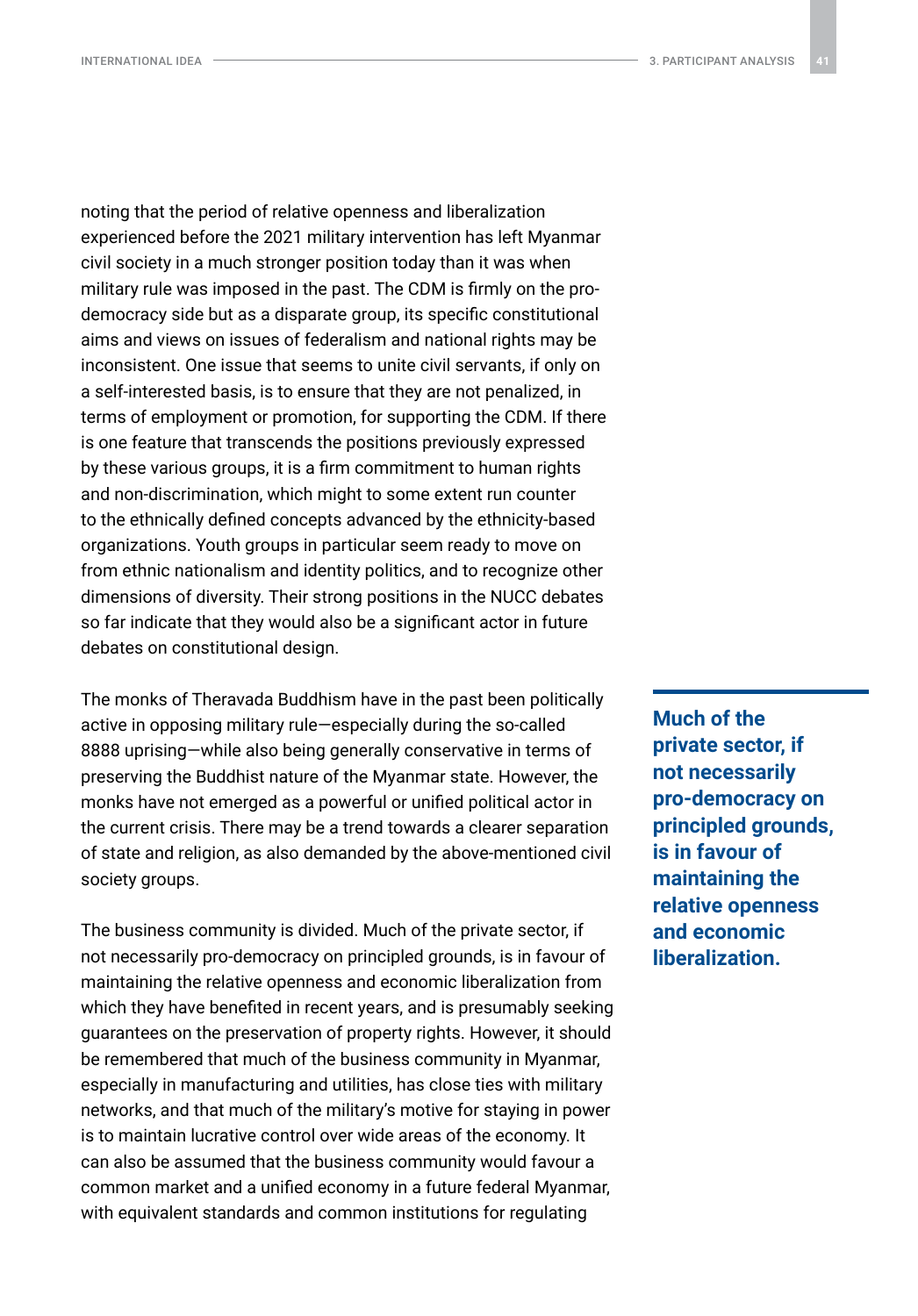noting that the period of relative openness and liberalization experienced before the 2021 military intervention has left Myanmar civil society in a much stronger position today than it was when military rule was imposed in the past. The CDM is firmly on the prodemocracy side but as a disparate group, its specific constitutional aims and views on issues of federalism and national rights may be inconsistent. One issue that seems to unite civil servants, if only on a self-interested basis, is to ensure that they are not penalized, in terms of employment or promotion, for supporting the CDM. If there is one feature that transcends the positions previously expressed by these various groups, it is a firm commitment to human rights and non-discrimination, which might to some extent run counter to the ethnically defined concepts advanced by the ethnicity-based organizations. Youth groups in particular seem ready to move on from ethnic nationalism and identity politics, and to recognize other dimensions of diversity. Their strong positions in the NUCC debates so far indicate that they would also be a significant actor in future debates on constitutional design.

The monks of Theravada Buddhism have in the past been politically active in opposing military rule—especially during the so-called 8888 uprising—while also being generally conservative in terms of preserving the Buddhist nature of the Myanmar state. However, the monks have not emerged as a powerful or unified political actor in the current crisis. There may be a trend towards a clearer separation of state and religion, as also demanded by the above-mentioned civil society groups.

The business community is divided. Much of the private sector, if not necessarily pro-democracy on principled grounds, is in favour of maintaining the relative openness and economic liberalization from which they have benefited in recent years, and is presumably seeking guarantees on the preservation of property rights. However, it should be remembered that much of the business community in Myanmar, especially in manufacturing and utilities, has close ties with military networks, and that much of the military's motive for staying in power is to maintain lucrative control over wide areas of the economy. It can also be assumed that the business community would favour a common market and a unified economy in a future federal Myanmar, with equivalent standards and common institutions for regulating

**Much of the private sector, if not necessarily pro-democracy on principled grounds, is in favour of maintaining the relative openness and economic liberalization.**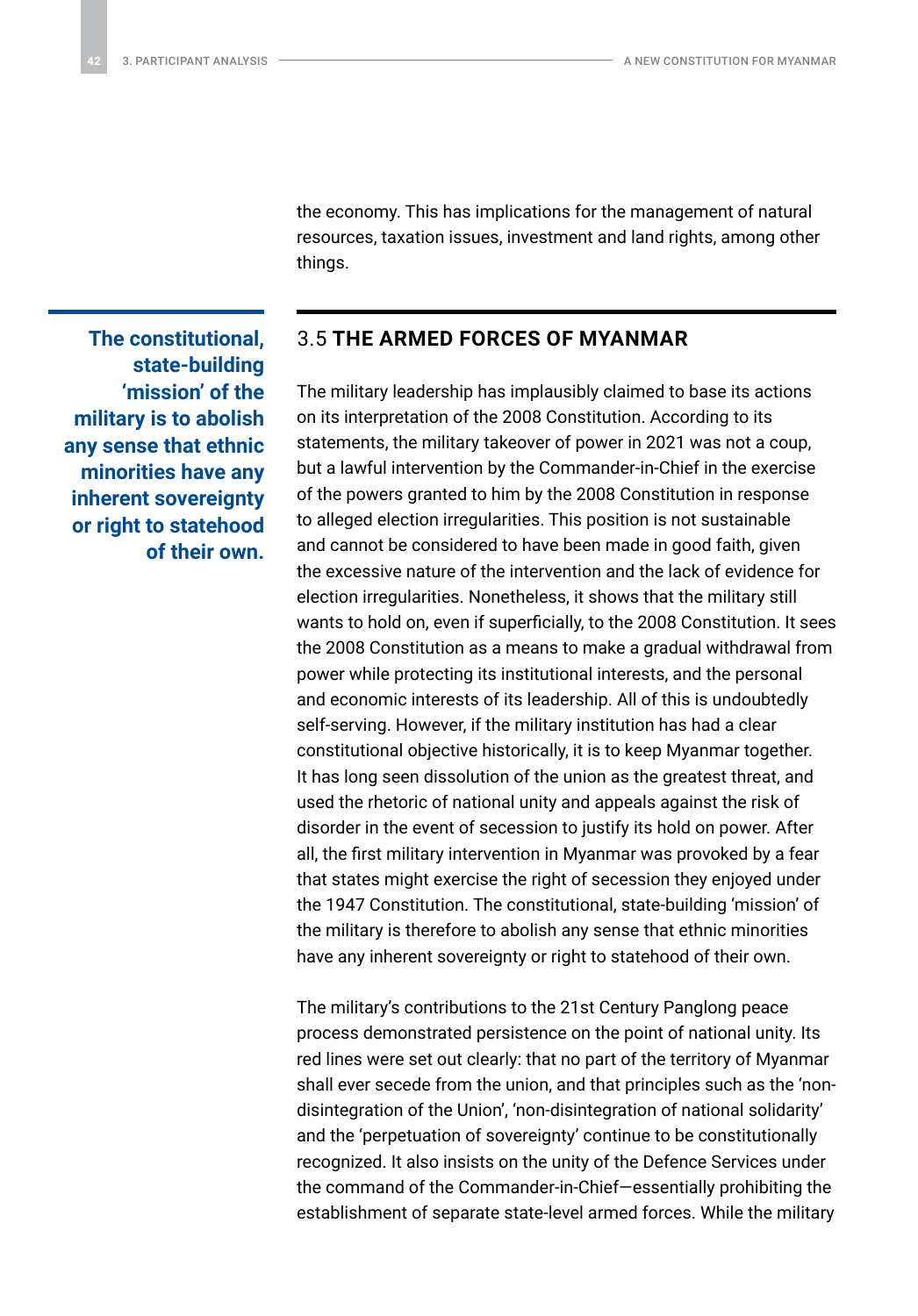the economy. This has implications for the management of natural resources, taxation issues, investment and land rights, among other things.

### 3.5 **THE ARMED FORCES OF MYANMAR**

The military leadership has implausibly claimed to base its actions on its interpretation of the 2008 Constitution. According to its statements, the military takeover of power in 2021 was not a coup, but a lawful intervention by the Commander-in-Chief in the exercise of the powers granted to him by the 2008 Constitution in response to alleged election irregularities. This position is not sustainable and cannot be considered to have been made in good faith, given the excessive nature of the intervention and the lack of evidence for election irregularities. Nonetheless, it shows that the military still wants to hold on, even if superficially, to the 2008 Constitution. It sees the 2008 Constitution as a means to make a gradual withdrawal from power while protecting its institutional interests, and the personal and economic interests of its leadership. All of this is undoubtedly self-serving. However, if the military institution has had a clear constitutional objective historically, it is to keep Myanmar together. It has long seen dissolution of the union as the greatest threat, and used the rhetoric of national unity and appeals against the risk of disorder in the event of secession to justify its hold on power. After all, the first military intervention in Myanmar was provoked by a fear that states might exercise the right of secession they enjoyed under the 1947 Constitution. The constitutional, state-building 'mission' of the military is therefore to abolish any sense that ethnic minorities have any inherent sovereignty or right to statehood of their own.

The military's contributions to the 21st Century Panglong peace process demonstrated persistence on the point of national unity. Its red lines were set out clearly: that no part of the territory of Myanmar shall ever secede from the union, and that principles such as the 'nondisintegration of the Union', 'non-disintegration of national solidarity' and the 'perpetuation of sovereignty' continue to be constitutionally recognized. It also insists on the unity of the Defence Services under the command of the Commander-in-Chief—essentially prohibiting the establishment of separate state-level armed forces. While the military

<span id="page-41-0"></span>**The constitutional, state-building 'mission' of the military is to abolish any sense that ethnic minorities have any inherent sovereignty or right to statehood of their own.**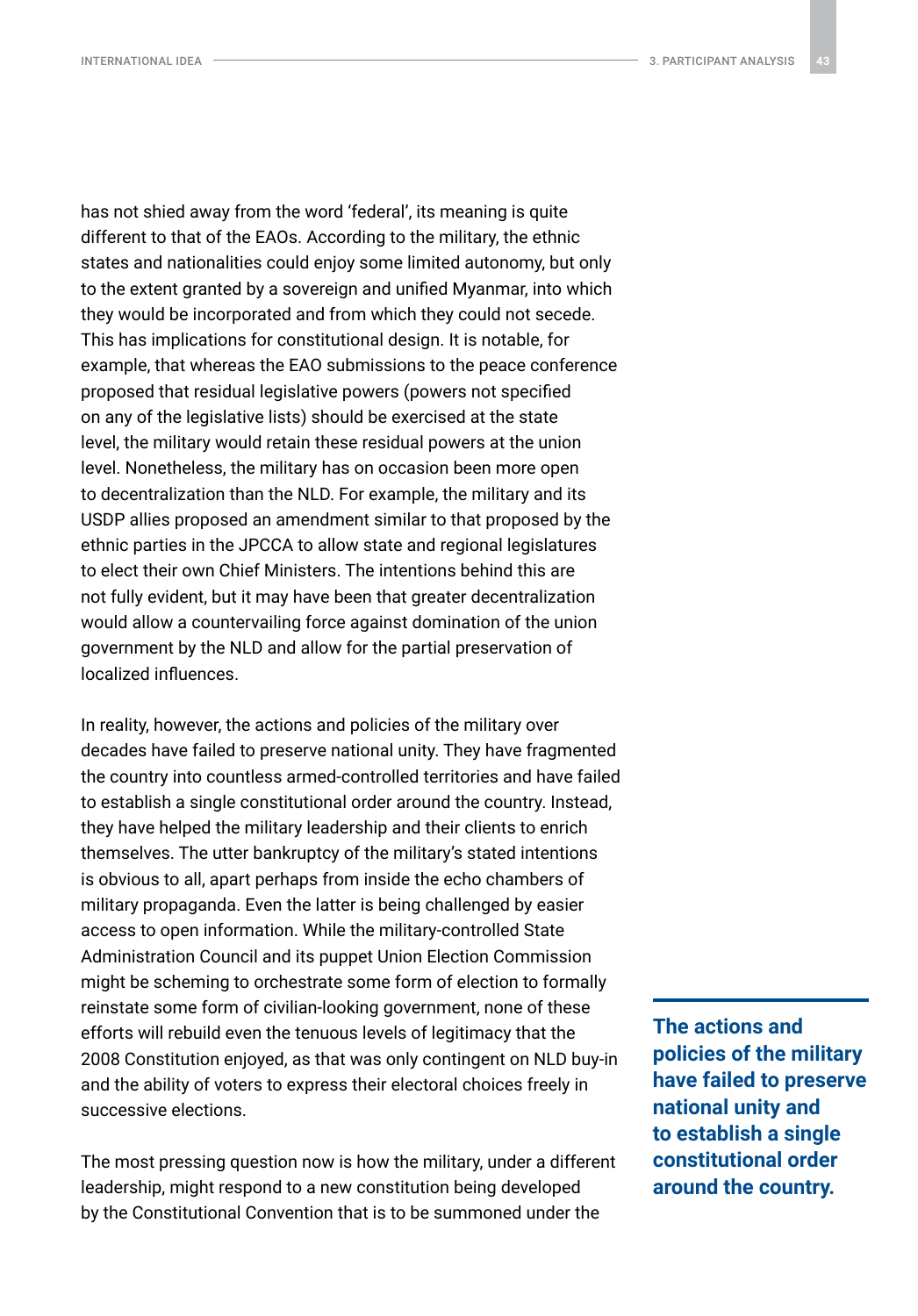has not shied away from the word 'federal', its meaning is quite different to that of the EAOs. According to the military, the ethnic states and nationalities could enjoy some limited autonomy, but only to the extent granted by a sovereign and unified Myanmar, into which they would be incorporated and from which they could not secede. This has implications for constitutional design. It is notable, for example, that whereas the EAO submissions to the peace conference proposed that residual legislative powers (powers not specified on any of the legislative lists) should be exercised at the state level, the military would retain these residual powers at the union level. Nonetheless, the military has on occasion been more open to decentralization than the NLD. For example, the military and its USDP allies proposed an amendment similar to that proposed by the ethnic parties in the JPCCA to allow state and regional legislatures to elect their own Chief Ministers. The intentions behind this are not fully evident, but it may have been that greater decentralization would allow a countervailing force against domination of the union government by the NLD and allow for the partial preservation of localized influences.

In reality, however, the actions and policies of the military over decades have failed to preserve national unity. They have fragmented the country into countless armed-controlled territories and have failed to establish a single constitutional order around the country. Instead, they have helped the military leadership and their clients to enrich themselves. The utter bankruptcy of the military's stated intentions is obvious to all, apart perhaps from inside the echo chambers of military propaganda. Even the latter is being challenged by easier access to open information. While the military-controlled State Administration Council and its puppet Union Election Commission might be scheming to orchestrate some form of election to formally reinstate some form of civilian-looking government, none of these efforts will rebuild even the tenuous levels of legitimacy that the 2008 Constitution enjoyed, as that was only contingent on NLD buy-in and the ability of voters to express their electoral choices freely in successive elections.

The most pressing question now is how the military, under a different leadership, might respond to a new constitution being developed by the Constitutional Convention that is to be summoned under the

**The actions and policies of the military have failed to preserve national unity and to establish a single constitutional order around the country.**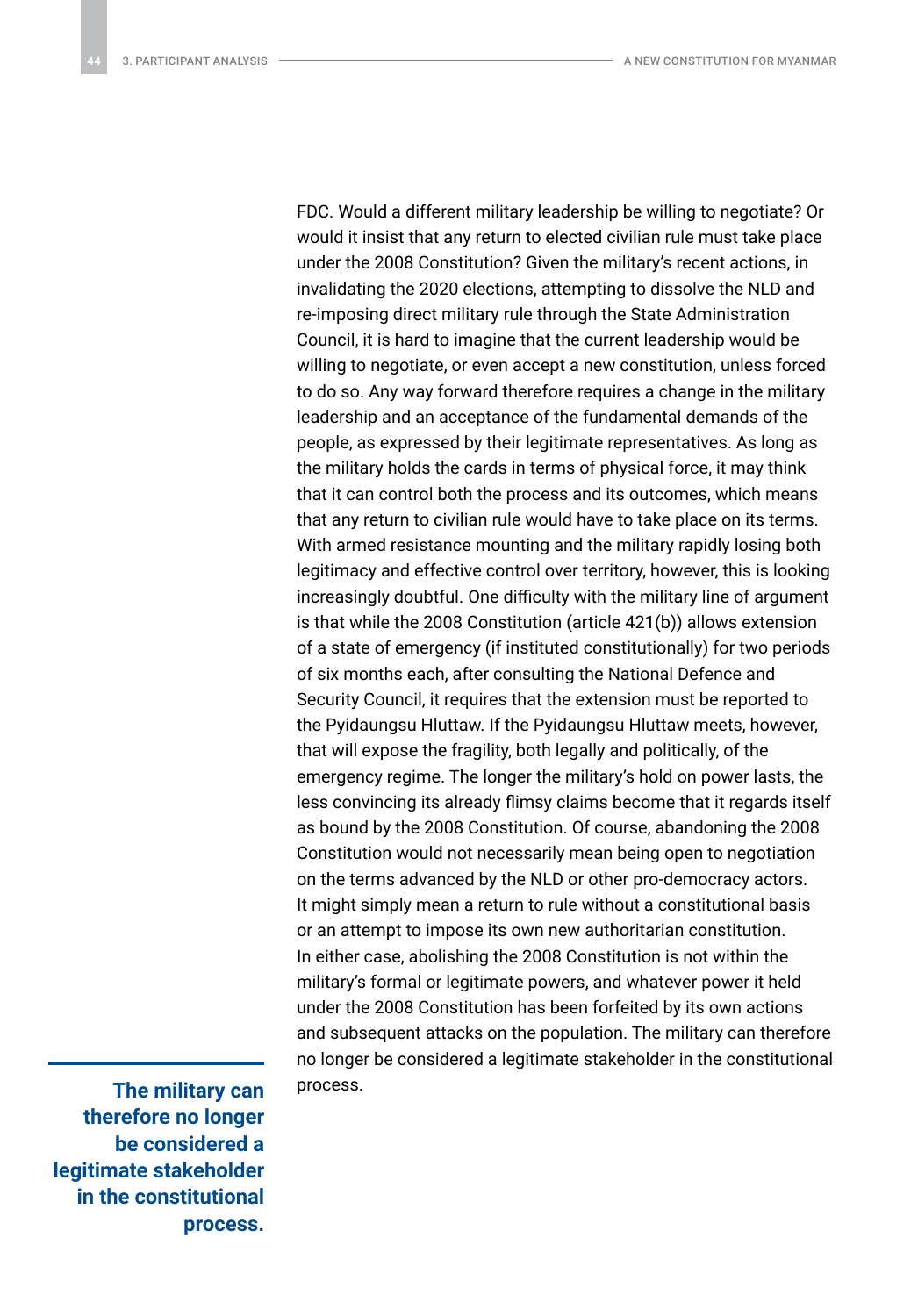FDC. Would a different military leadership be willing to negotiate? Or would it insist that any return to elected civilian rule must take place under the 2008 Constitution? Given the military's recent actions, in invalidating the 2020 elections, attempting to dissolve the NLD and re-imposing direct military rule through the State Administration Council, it is hard to imagine that the current leadership would be willing to negotiate, or even accept a new constitution, unless forced to do so. Any way forward therefore requires a change in the military leadership and an acceptance of the fundamental demands of the people, as expressed by their legitimate representatives. As long as the military holds the cards in terms of physical force, it may think that it can control both the process and its outcomes, which means that any return to civilian rule would have to take place on its terms. With armed resistance mounting and the military rapidly losing both legitimacy and effective control over territory, however, this is looking increasingly doubtful. One difficulty with the military line of argument is that while the 2008 Constitution (article 421(b)) allows extension of a state of emergency (if instituted constitutionally) for two periods of six months each, after consulting the National Defence and Security Council, it requires that the extension must be reported to the Pyidaungsu Hluttaw. If the Pyidaungsu Hluttaw meets, however, that will expose the fragility, both legally and politically, of the emergency regime. The longer the military's hold on power lasts, the less convincing its already flimsy claims become that it regards itself as bound by the 2008 Constitution. Of course, abandoning the 2008 Constitution would not necessarily mean being open to negotiation on the terms advanced by the NLD or other pro-democracy actors. It might simply mean a return to rule without a constitutional basis or an attempt to impose its own new authoritarian constitution. In either case, abolishing the 2008 Constitution is not within the military's formal or legitimate powers, and whatever power it held under the 2008 Constitution has been forfeited by its own actions and subsequent attacks on the population. The military can therefore no longer be considered a legitimate stakeholder in the constitutional

The military can process. **therefore no longer be considered a legitimate stakeholder in the constitutional process.**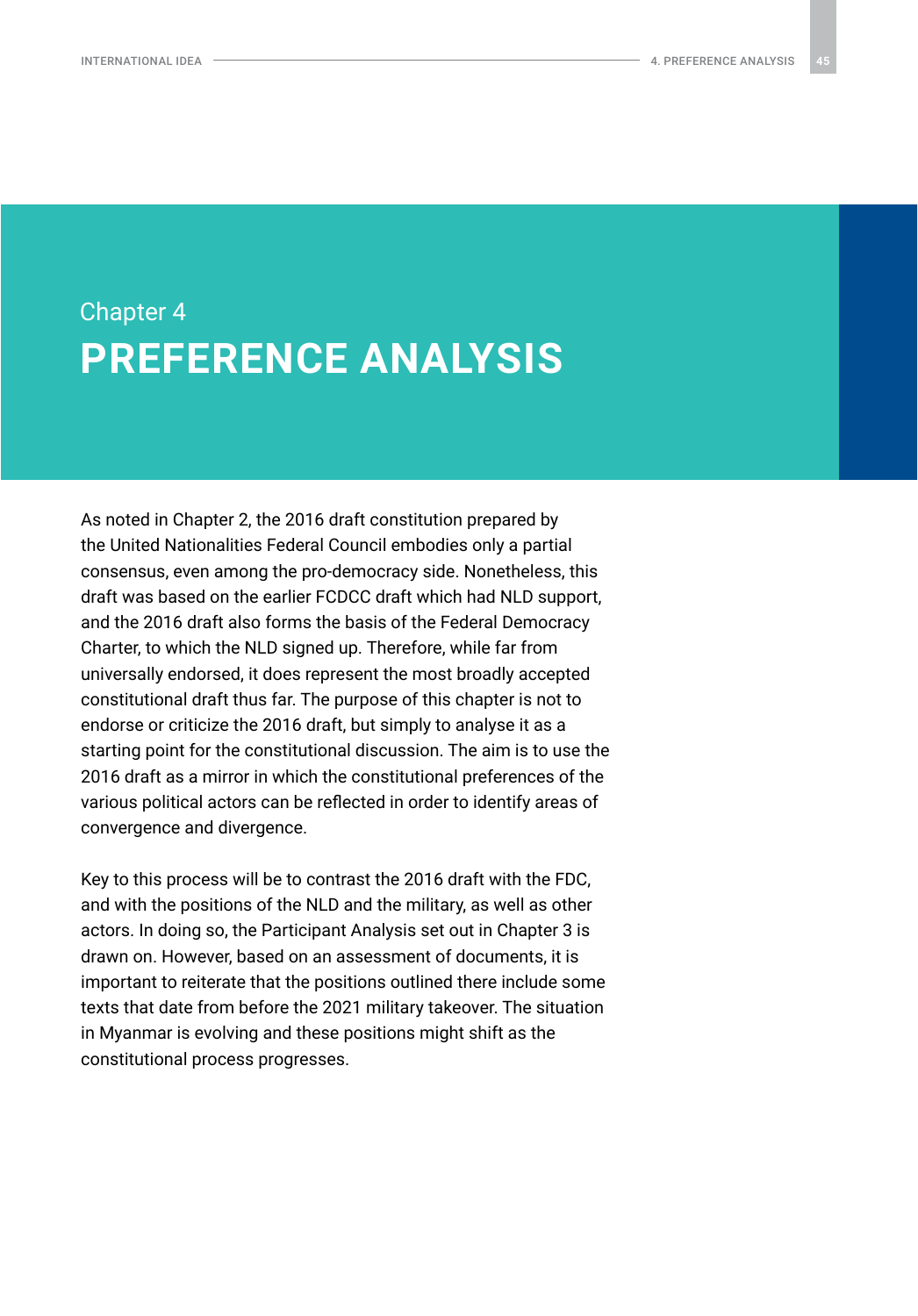## <span id="page-44-0"></span>Chapter 4 **PREFERENCE ANALYSIS**

As noted in Chapter 2, the 2016 draft constitution prepared by the United Nationalities Federal Council embodies only a partial consensus, even among the pro-democracy side. Nonetheless, this draft was based on the earlier FCDCC draft which had NLD support, and the 2016 draft also forms the basis of the Federal Democracy Charter, to which the NLD signed up. Therefore, while far from universally endorsed, it does represent the most broadly accepted constitutional draft thus far. The purpose of this chapter is not to endorse or criticize the 2016 draft, but simply to analyse it as a starting point for the constitutional discussion. The aim is to use the 2016 draft as a mirror in which the constitutional preferences of the various political actors can be reflected in order to identify areas of convergence and divergence.

Key to this process will be to contrast the 2016 draft with the FDC, and with the positions of the NLD and the military, as well as other actors. In doing so, the Participant Analysis set out in Chapter 3 is drawn on. However, based on an assessment of documents, it is important to reiterate that the positions outlined there include some texts that date from before the 2021 military takeover. The situation in Myanmar is evolving and these positions might shift as the constitutional process progresses.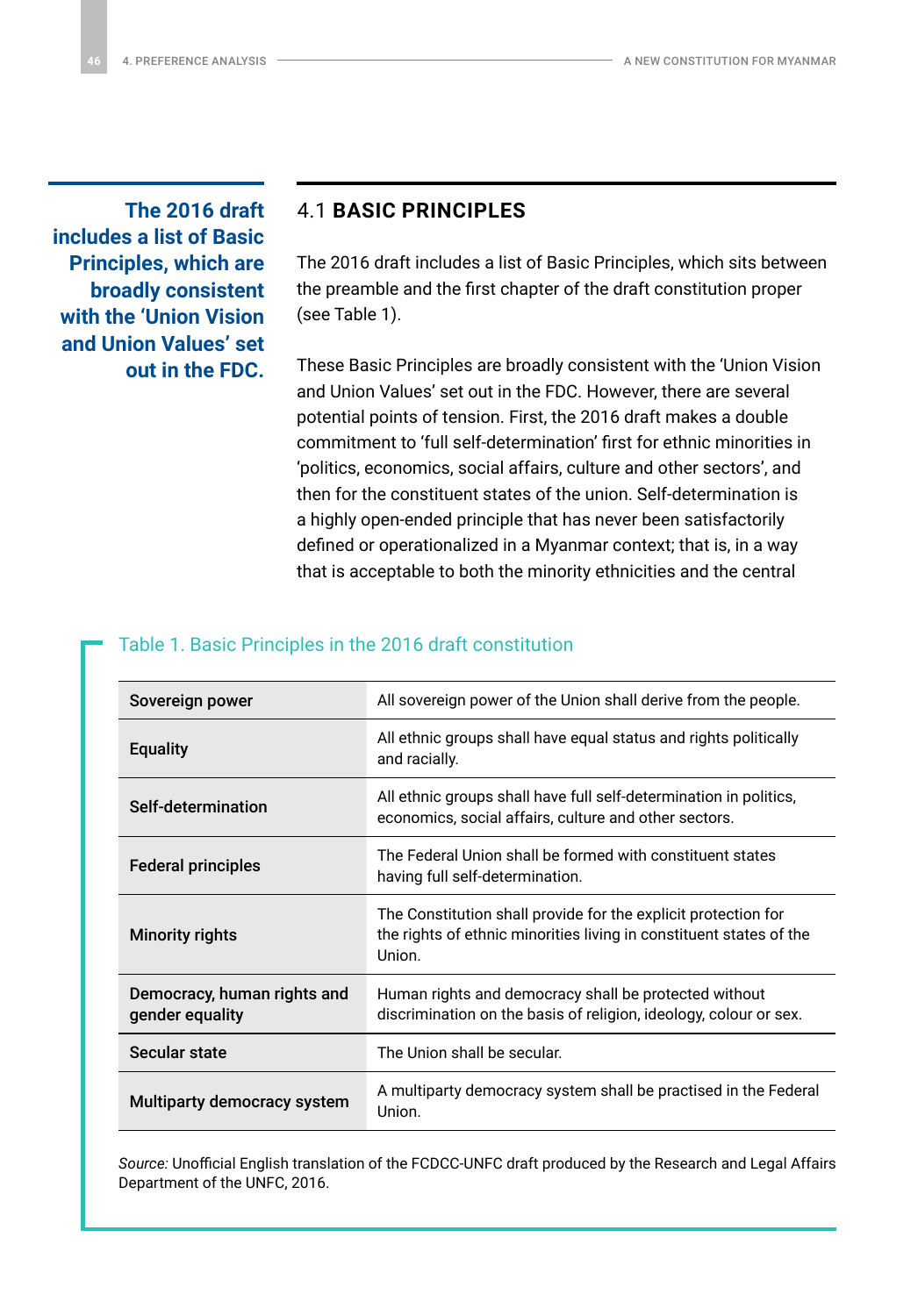<span id="page-45-0"></span>**The 2016 draft includes a list of Basic Principles, which are broadly consistent with the 'Union Vision and Union Values' set out in the FDC.**

### 4.1 **BASIC PRINCIPLES**

The 2016 draft includes a list of Basic Principles, which sits between the preamble and the first chapter of the draft constitution proper (see Table 1).

These Basic Principles are broadly consistent with the 'Union Vision and Union Values' set out in the FDC. However, there are several potential points of tension. First, the 2016 draft makes a double commitment to 'full self-determination' first for ethnic minorities in 'politics, economics, social affairs, culture and other sectors', and then for the constituent states of the union. Self-determination is a highly open-ended principle that has never been satisfactorily defined or operationalized in a Myanmar context; that is, in a way that is acceptable to both the minority ethnicities and the central

| Sovereign power                                | All sovereign power of the Union shall derive from the people.                                                                                  |
|------------------------------------------------|-------------------------------------------------------------------------------------------------------------------------------------------------|
| <b>Equality</b>                                | All ethnic groups shall have equal status and rights politically<br>and racially.                                                               |
| Self-determination                             | All ethnic groups shall have full self-determination in politics,<br>economics, social affairs, culture and other sectors.                      |
| Federal principles                             | The Federal Union shall be formed with constituent states<br>having full self-determination.                                                    |
| Minority rights                                | The Constitution shall provide for the explicit protection for<br>the rights of ethnic minorities living in constituent states of the<br>Union. |
| Democracy, human rights and<br>gender equality | Human rights and democracy shall be protected without<br>discrimination on the basis of religion, ideology, colour or sex.                      |
| Secular state                                  | The Union shall be secular.                                                                                                                     |
| Multiparty democracy system                    | A multiparty democracy system shall be practised in the Federal<br>Union.                                                                       |

#### Table 1. Basic Principles in the 2016 draft constitution

*Source:* Unofficial English translation of the FCDCC-UNFC draft produced by the Research and Legal Affairs Department of the UNFC, 2016.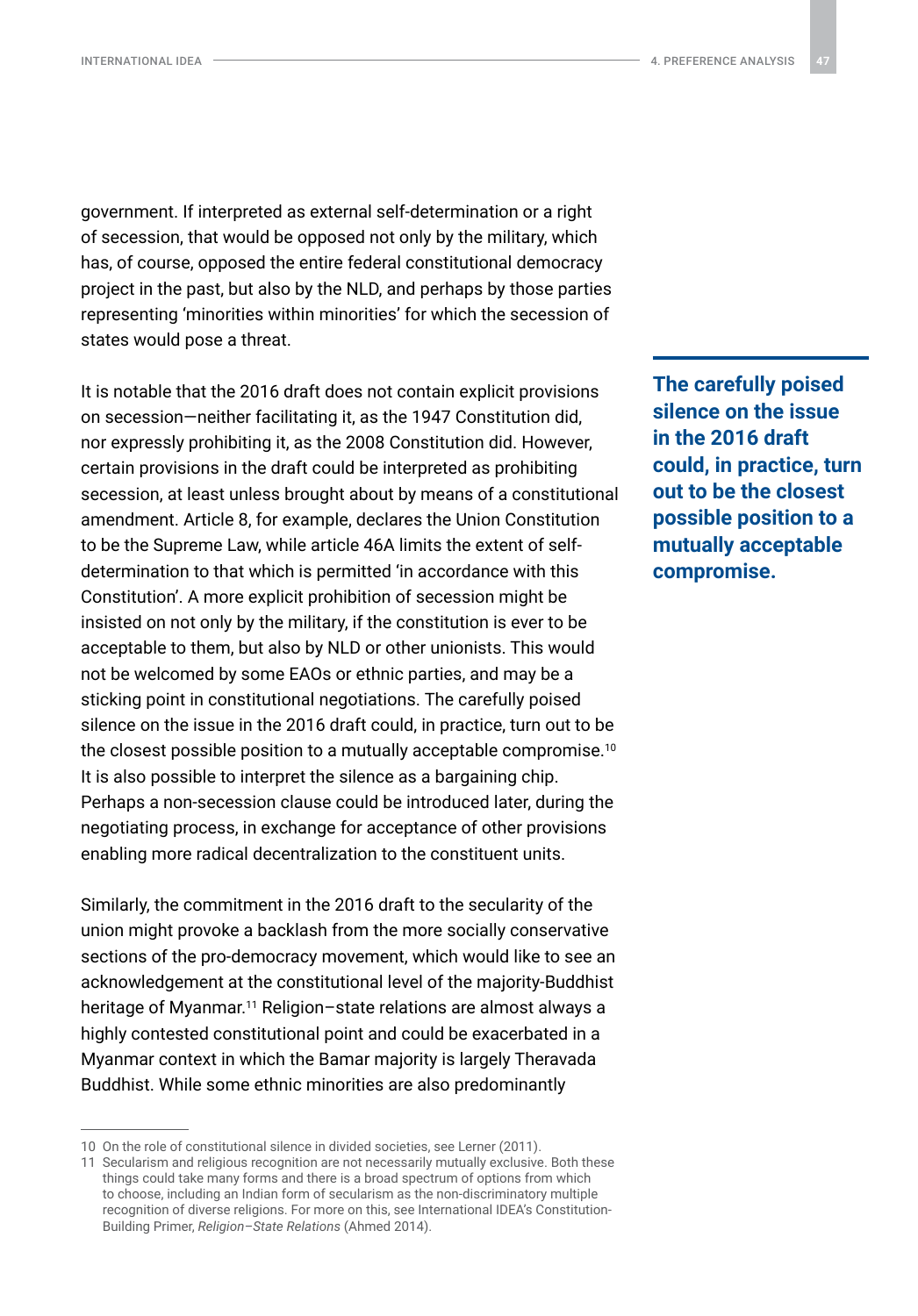INTERNATIONAL IDEA 4. PREFERENCE ANALYSIS **47**

government. If interpreted as external self-determination or a right of secession, that would be opposed not only by the military, which has, of course, opposed the entire federal constitutional democracy project in the past, but also by the NLD, and perhaps by those parties representing 'minorities within minorities' for which the secession of states would pose a threat.

It is notable that the 2016 draft does not contain explicit provisions on secession—neither facilitating it, as the 1947 Constitution did, nor expressly prohibiting it, as the 2008 Constitution did. However, certain provisions in the draft could be interpreted as prohibiting secession, at least unless brought about by means of a constitutional amendment. Article 8, for example, declares the Union Constitution to be the Supreme Law, while article 46A limits the extent of selfdetermination to that which is permitted 'in accordance with this Constitution'. A more explicit prohibition of secession might be insisted on not only by the military, if the constitution is ever to be acceptable to them, but also by NLD or other unionists. This would not be welcomed by some EAOs or ethnic parties, and may be a sticking point in constitutional negotiations. The carefully poised silence on the issue in the 2016 draft could, in practice, turn out to be the closest possible position to a mutually acceptable compromise.10 It is also possible to interpret the silence as a bargaining chip. Perhaps a non-secession clause could be introduced later, during the negotiating process, in exchange for acceptance of other provisions enabling more radical decentralization to the constituent units.

Similarly, the commitment in the 2016 draft to the secularity of the union might provoke a backlash from the more socially conservative sections of the pro-democracy movement, which would like to see an acknowledgement at the constitutional level of the majority-Buddhist heritage of Myanmar.<sup>11</sup> Religion-state relations are almost always a highly contested constitutional point and could be exacerbated in a Myanmar context in which the Bamar majority is largely Theravada Buddhist. While some ethnic minorities are also predominantly

**The carefully poised silence on the issue in the 2016 draft could, in practice, turn out to be the closest possible position to a mutually acceptable compromise.**

<sup>10</sup> On the role of constitutional silence in divided societies, see Lerner (2011).

<sup>11</sup> Secularism and religious recognition are not necessarily mutually exclusive. Both these things could take many forms and there is a broad spectrum of options from which to choose, including an Indian form of secularism as the non-discriminatory multiple recognition of diverse religions. For more on this, see International IDEA's Constitution-Building Primer, *Religion–State Relations* (Ahmed 2014).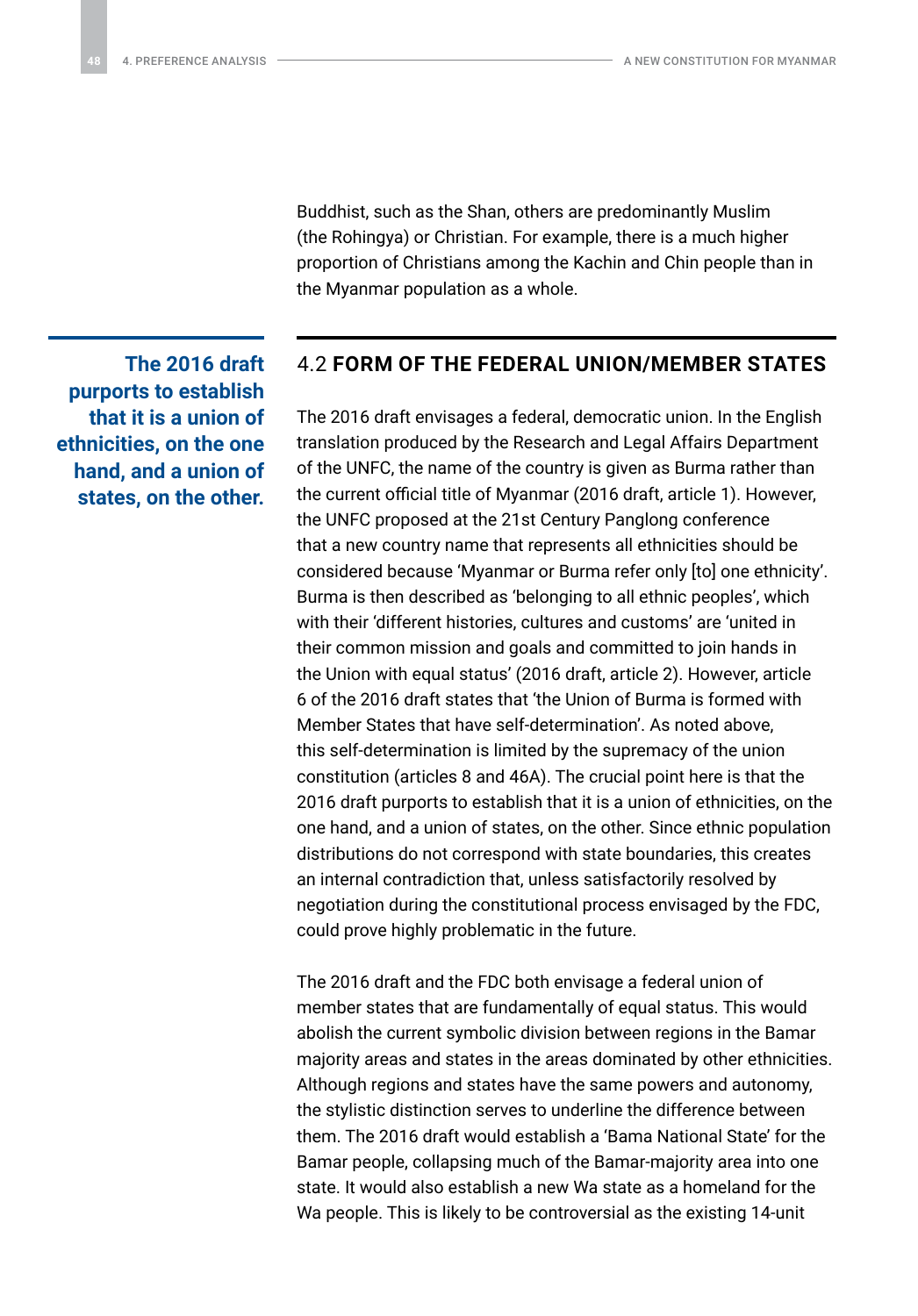Buddhist, such as the Shan, others are predominantly Muslim (the Rohingya) or Christian. For example, there is a much higher proportion of Christians among the Kachin and Chin people than in the Myanmar population as a whole.

### 4.2 **FORM OF THE FEDERAL UNION/MEMBER STATES**

The 2016 draft envisages a federal, democratic union. In the English translation produced by the Research and Legal Affairs Department of the UNFC, the name of the country is given as Burma rather than the current official title of Myanmar (2016 draft, article 1). However, the UNFC proposed at the 21st Century Panglong conference that a new country name that represents all ethnicities should be considered because 'Myanmar or Burma refer only [to] one ethnicity'. Burma is then described as 'belonging to all ethnic peoples', which with their 'different histories, cultures and customs' are 'united in their common mission and goals and committed to join hands in the Union with equal status' (2016 draft, article 2). However, article 6 of the 2016 draft states that 'the Union of Burma is formed with Member States that have self-determination'. As noted above, this self-determination is limited by the supremacy of the union constitution (articles 8 and 46A). The crucial point here is that the 2016 draft purports to establish that it is a union of ethnicities, on the one hand, and a union of states, on the other. Since ethnic population distributions do not correspond with state boundaries, this creates an internal contradiction that, unless satisfactorily resolved by negotiation during the constitutional process envisaged by the FDC, could prove highly problematic in the future.

The 2016 draft and the FDC both envisage a federal union of member states that are fundamentally of equal status. This would abolish the current symbolic division between regions in the Bamar majority areas and states in the areas dominated by other ethnicities. Although regions and states have the same powers and autonomy, the stylistic distinction serves to underline the difference between them. The 2016 draft would establish a 'Bama National State' for the Bamar people, collapsing much of the Bamar-majority area into one state. It would also establish a new Wa state as a homeland for the Wa people. This is likely to be controversial as the existing 14-unit

<span id="page-47-0"></span>**The 2016 draft purports to establish that it is a union of ethnicities, on the one hand, and a union of states, on the other.**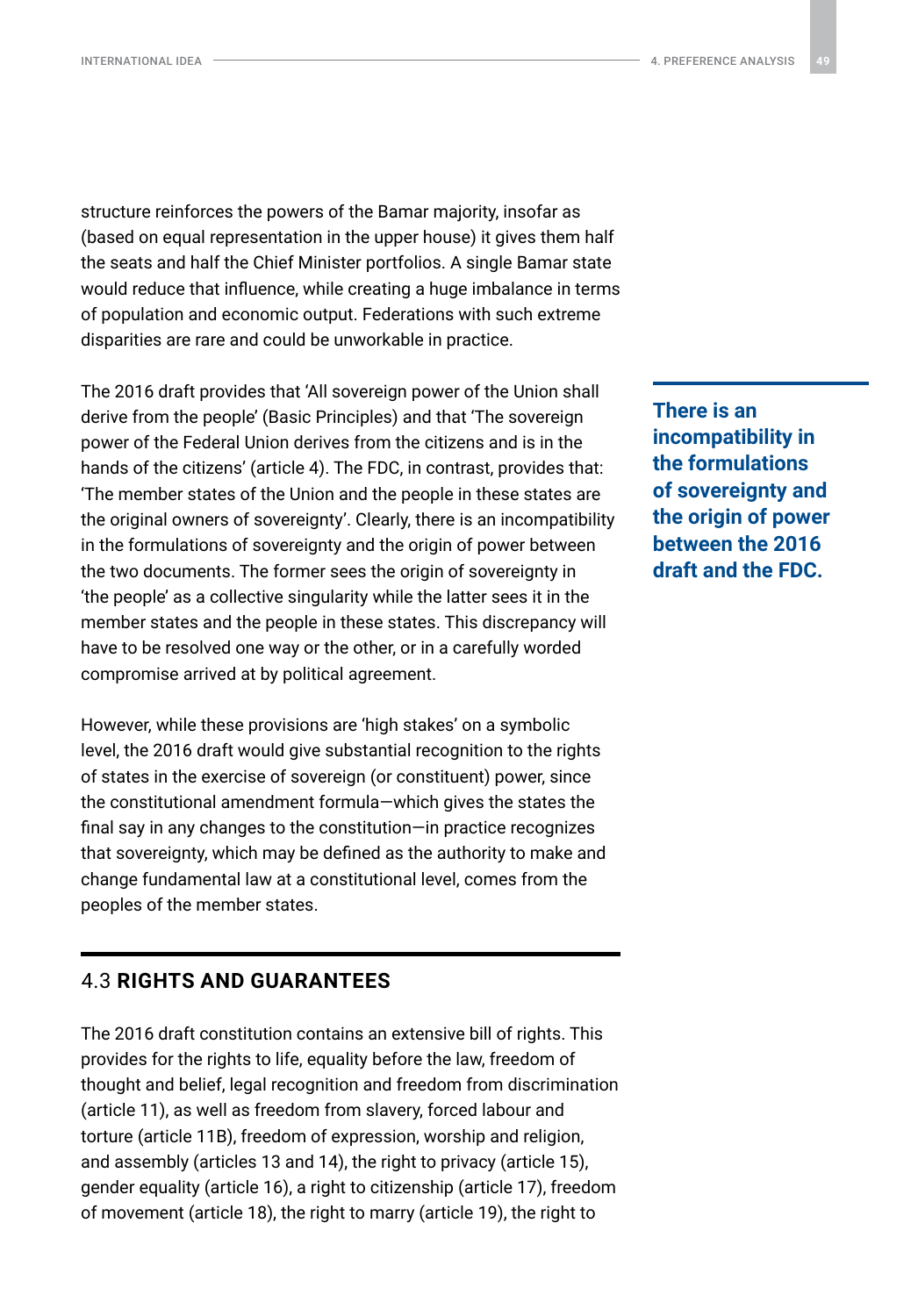<span id="page-48-0"></span>structure reinforces the powers of the Bamar majority, insofar as (based on equal representation in the upper house) it gives them half the seats and half the Chief Minister portfolios. A single Bamar state would reduce that influence, while creating a huge imbalance in terms of population and economic output. Federations with such extreme disparities are rare and could be unworkable in practice.

The 2016 draft provides that 'All sovereign power of the Union shall derive from the people' (Basic Principles) and that 'The sovereign power of the Federal Union derives from the citizens and is in the hands of the citizens' (article 4). The FDC, in contrast, provides that: 'The member states of the Union and the people in these states are the original owners of sovereignty'. Clearly, there is an incompatibility in the formulations of sovereignty and the origin of power between the two documents. The former sees the origin of sovereignty in 'the people' as a collective singularity while the latter sees it in the member states and the people in these states. This discrepancy will have to be resolved one way or the other, or in a carefully worded compromise arrived at by political agreement.

However, while these provisions are 'high stakes' on a symbolic level, the 2016 draft would give substantial recognition to the rights of states in the exercise of sovereign (or constituent) power, since the constitutional amendment formula—which gives the states the final say in any changes to the constitution—in practice recognizes that sovereignty, which may be defined as the authority to make and change fundamental law at a constitutional level, comes from the peoples of the member states.

### 4.3 **RIGHTS AND GUARANTEES**

The 2016 draft constitution contains an extensive bill of rights. This provides for the rights to life, equality before the law, freedom of thought and belief, legal recognition and freedom from discrimination (article 11), as well as freedom from slavery, forced labour and torture (article 11B), freedom of expression, worship and religion, and assembly (articles 13 and 14), the right to privacy (article 15), gender equality (article 16), a right to citizenship (article 17), freedom of movement (article 18), the right to marry (article 19), the right to

**There is an incompatibility in the formulations of sovereignty and the origin of power between the 2016 draft and the FDC.**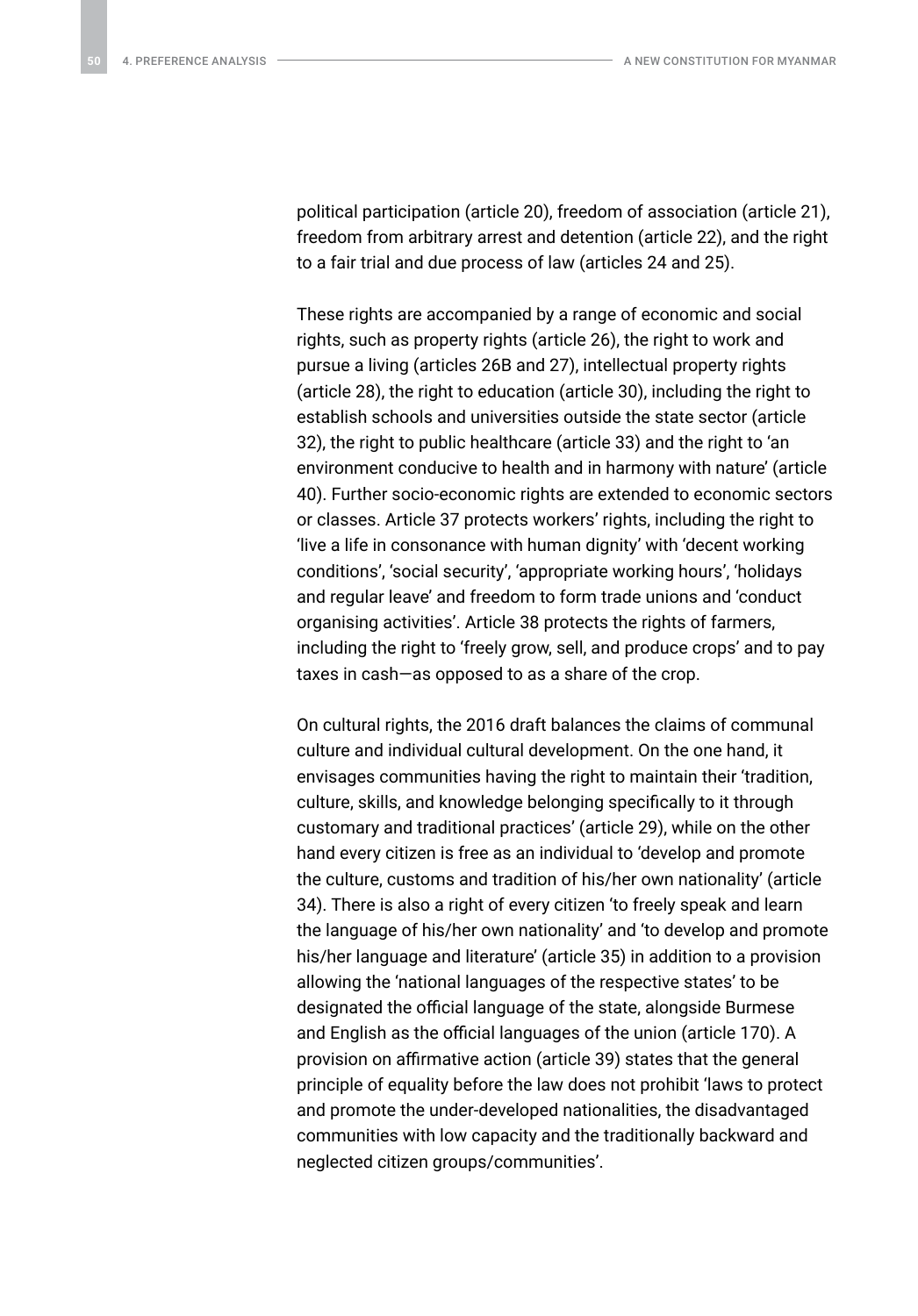political participation (article 20), freedom of association (article 21), freedom from arbitrary arrest and detention (article 22), and the right to a fair trial and due process of law (articles 24 and 25).

These rights are accompanied by a range of economic and social rights, such as property rights (article 26), the right to work and pursue a living (articles 26B and 27), intellectual property rights (article 28), the right to education (article 30), including the right to establish schools and universities outside the state sector (article 32), the right to public healthcare (article 33) and the right to 'an environment conducive to health and in harmony with nature' (article 40). Further socio-economic rights are extended to economic sectors or classes. Article 37 protects workers' rights, including the right to 'live a life in consonance with human dignity' with 'decent working conditions', 'social security', 'appropriate working hours', 'holidays and regular leave' and freedom to form trade unions and 'conduct organising activities'. Article 38 protects the rights of farmers, including the right to 'freely grow, sell, and produce crops' and to pay taxes in cash—as opposed to as a share of the crop.

On cultural rights, the 2016 draft balances the claims of communal culture and individual cultural development. On the one hand, it envisages communities having the right to maintain their 'tradition, culture, skills, and knowledge belonging specifically to it through customary and traditional practices' (article 29), while on the other hand every citizen is free as an individual to 'develop and promote the culture, customs and tradition of his/her own nationality' (article 34). There is also a right of every citizen 'to freely speak and learn the language of his/her own nationality' and 'to develop and promote his/her language and literature' (article 35) in addition to a provision allowing the 'national languages of the respective states' to be designated the official language of the state, alongside Burmese and English as the official languages of the union (article 170). A provision on affirmative action (article 39) states that the general principle of equality before the law does not prohibit 'laws to protect and promote the under-developed nationalities, the disadvantaged communities with low capacity and the traditionally backward and neglected citizen groups/communities'.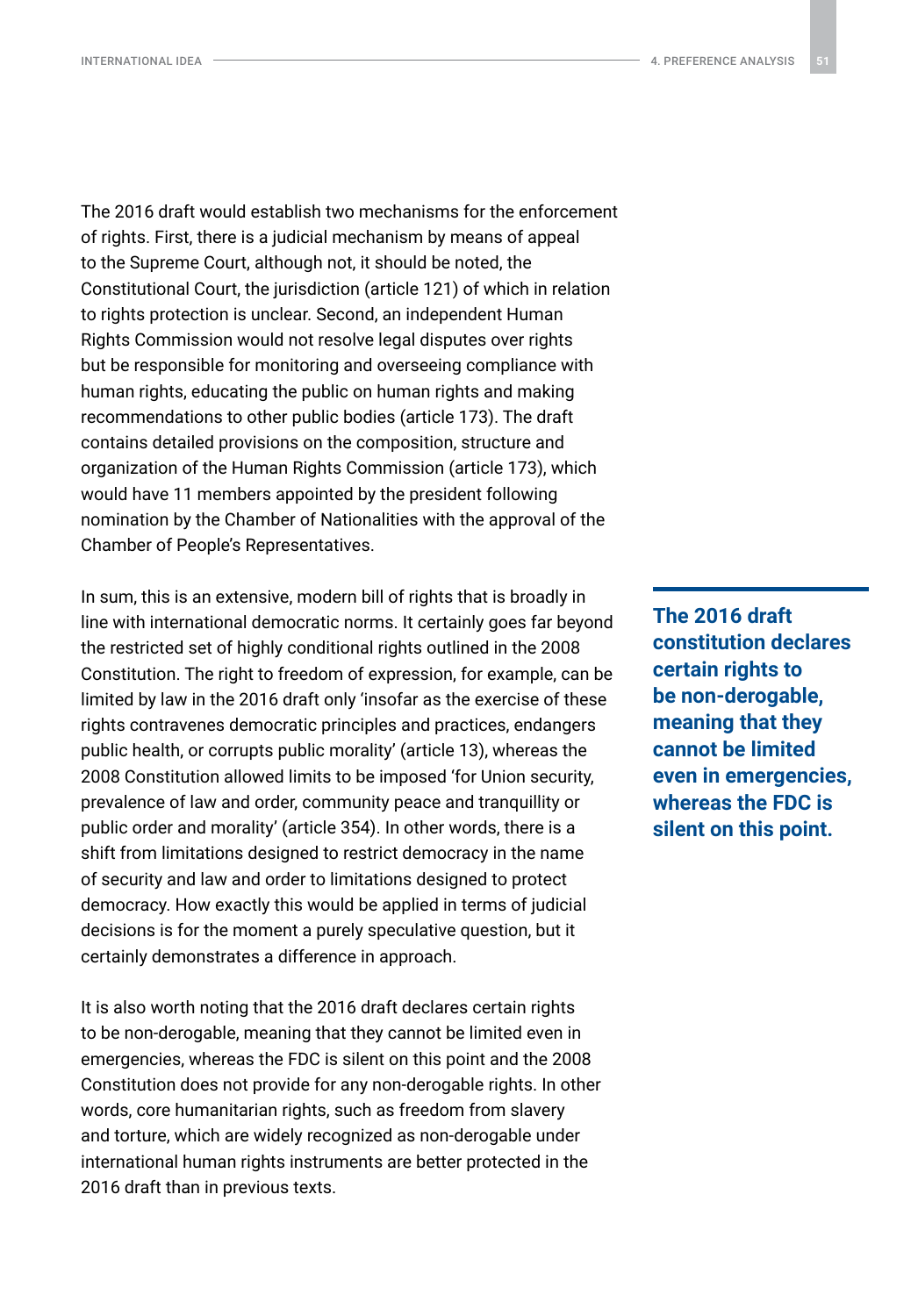The 2016 draft would establish two mechanisms for the enforcement of rights. First, there is a judicial mechanism by means of appeal to the Supreme Court, although not, it should be noted, the Constitutional Court, the jurisdiction (article 121) of which in relation to rights protection is unclear. Second, an independent Human Rights Commission would not resolve legal disputes over rights but be responsible for monitoring and overseeing compliance with human rights, educating the public on human rights and making recommendations to other public bodies (article 173). The draft contains detailed provisions on the composition, structure and organization of the Human Rights Commission (article 173), which would have 11 members appointed by the president following nomination by the Chamber of Nationalities with the approval of the Chamber of People's Representatives.

In sum, this is an extensive, modern bill of rights that is broadly in line with international democratic norms. It certainly goes far beyond the restricted set of highly conditional rights outlined in the 2008 Constitution. The right to freedom of expression, for example, can be limited by law in the 2016 draft only 'insofar as the exercise of these rights contravenes democratic principles and practices, endangers public health, or corrupts public morality' (article 13), whereas the 2008 Constitution allowed limits to be imposed 'for Union security, prevalence of law and order, community peace and tranquillity or public order and morality' (article 354). In other words, there is a shift from limitations designed to restrict democracy in the name of security and law and order to limitations designed to protect democracy. How exactly this would be applied in terms of judicial decisions is for the moment a purely speculative question, but it certainly demonstrates a difference in approach.

It is also worth noting that the 2016 draft declares certain rights to be non-derogable, meaning that they cannot be limited even in emergencies, whereas the FDC is silent on this point and the 2008 Constitution does not provide for any non-derogable rights. In other words, core humanitarian rights, such as freedom from slavery and torture, which are widely recognized as non-derogable under international human rights instruments are better protected in the 2016 draft than in previous texts.

**The 2016 draft constitution declares certain rights to be non-derogable, meaning that they cannot be limited even in emergencies, whereas the FDC is silent on this point.**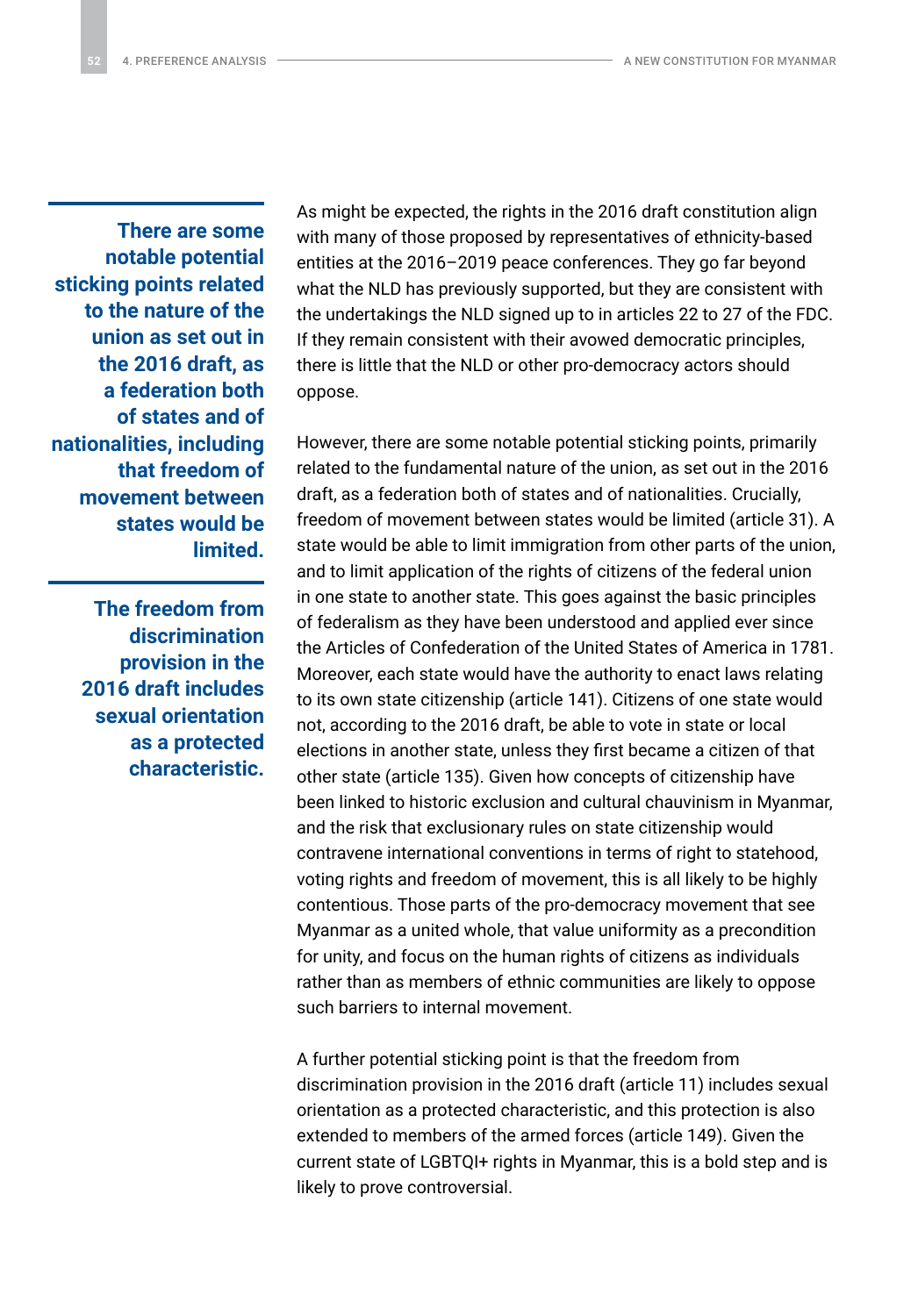**There are some notable potential sticking points related to the nature of the union as set out in the 2016 draft, as a federation both of states and of nationalities, including that freedom of movement between states would be limited.**

> **The freedom from discrimination provision in the 2016 draft includes sexual orientation as a protected characteristic.**

As might be expected, the rights in the 2016 draft constitution align with many of those proposed by representatives of ethnicity-based entities at the 2016–2019 peace conferences. They go far beyond what the NLD has previously supported, but they are consistent with the undertakings the NLD signed up to in articles 22 to 27 of the FDC. If they remain consistent with their avowed democratic principles, there is little that the NLD or other pro-democracy actors should oppose.

However, there are some notable potential sticking points, primarily related to the fundamental nature of the union, as set out in the 2016 draft, as a federation both of states and of nationalities. Crucially, freedom of movement between states would be limited (article 31). A state would be able to limit immigration from other parts of the union, and to limit application of the rights of citizens of the federal union in one state to another state. This goes against the basic principles of federalism as they have been understood and applied ever since the Articles of Confederation of the United States of America in 1781. Moreover, each state would have the authority to enact laws relating to its own state citizenship (article 141). Citizens of one state would not, according to the 2016 draft, be able to vote in state or local elections in another state, unless they first became a citizen of that other state (article 135). Given how concepts of citizenship have been linked to historic exclusion and cultural chauvinism in Myanmar, and the risk that exclusionary rules on state citizenship would contravene international conventions in terms of right to statehood, voting rights and freedom of movement, this is all likely to be highly contentious. Those parts of the pro-democracy movement that see Myanmar as a united whole, that value uniformity as a precondition for unity, and focus on the human rights of citizens as individuals rather than as members of ethnic communities are likely to oppose such barriers to internal movement.

A further potential sticking point is that the freedom from discrimination provision in the 2016 draft (article 11) includes sexual orientation as a protected characteristic, and this protection is also extended to members of the armed forces (article 149). Given the current state of LGBTQI+ rights in Myanmar, this is a bold step and is likely to prove controversial.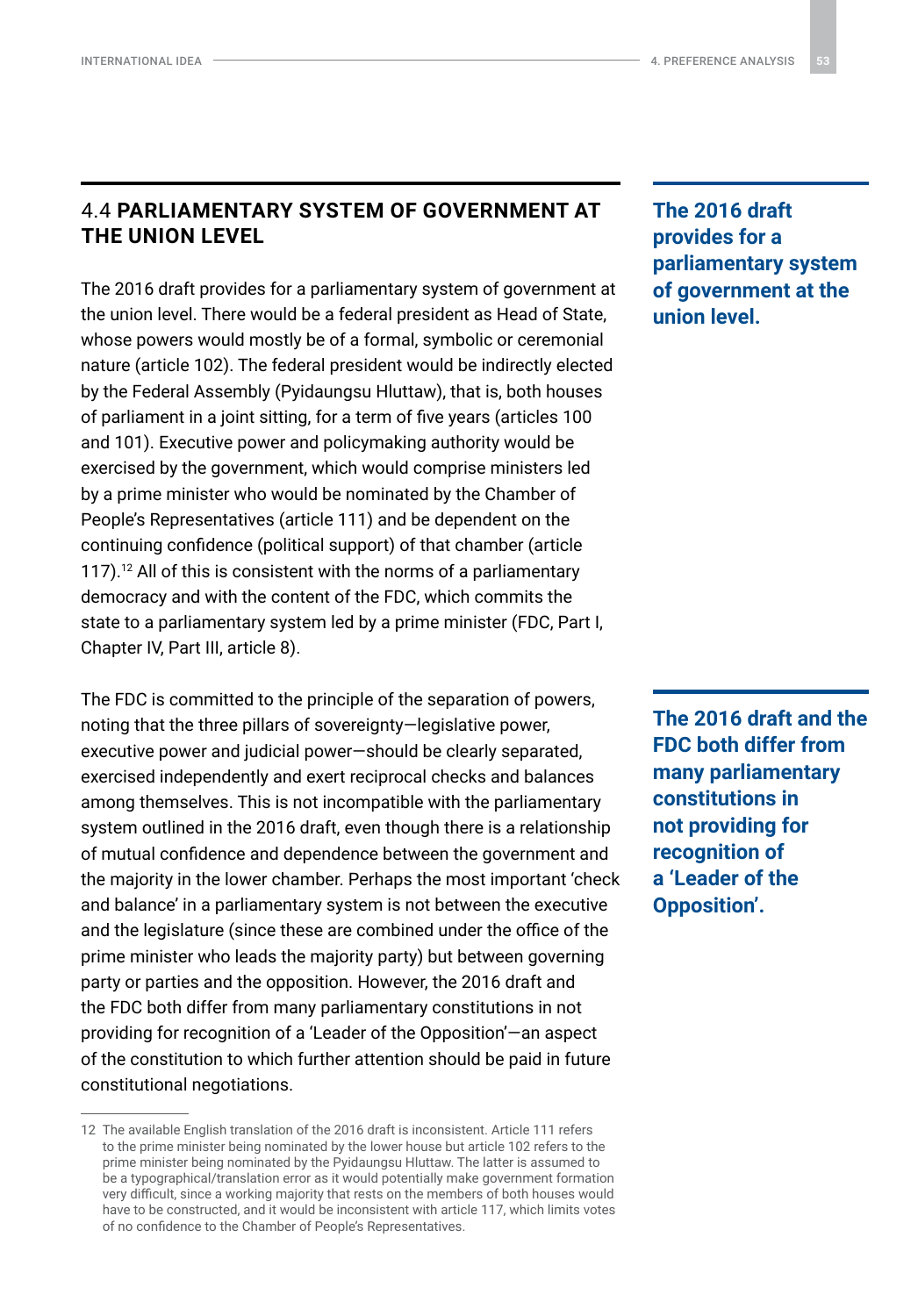### <span id="page-52-0"></span>4.4 **PARLIAMENTARY SYSTEM OF GOVERNMENT AT THE UNION LEVEL**

The 2016 draft provides for a parliamentary system of government at the union level. There would be a federal president as Head of State, whose powers would mostly be of a formal, symbolic or ceremonial nature (article 102). The federal president would be indirectly elected by the Federal Assembly (Pyidaungsu Hluttaw), that is, both houses of parliament in a joint sitting, for a term of five years (articles 100 and 101). Executive power and policymaking authority would be exercised by the government, which would comprise ministers led by a prime minister who would be nominated by the Chamber of People's Representatives (article 111) and be dependent on the continuing confidence (political support) of that chamber (article 117).<sup>12</sup> All of this is consistent with the norms of a parliamentary democracy and with the content of the FDC, which commits the state to a parliamentary system led by a prime minister (FDC, Part I, Chapter IV, Part III, article 8).

The FDC is committed to the principle of the separation of powers, noting that the three pillars of sovereignty—legislative power, executive power and judicial power—should be clearly separated, exercised independently and exert reciprocal checks and balances among themselves. This is not incompatible with the parliamentary system outlined in the 2016 draft, even though there is a relationship of mutual confidence and dependence between the government and the majority in the lower chamber. Perhaps the most important 'check and balance' in a parliamentary system is not between the executive and the legislature (since these are combined under the office of the prime minister who leads the majority party) but between governing party or parties and the opposition. However, the 2016 draft and the FDC both differ from many parliamentary constitutions in not providing for recognition of a 'Leader of the Opposition'—an aspect of the constitution to which further attention should be paid in future constitutional negotiations.

**The 2016 draft provides for a parliamentary system of government at the union level.**

**The 2016 draft and the FDC both differ from many parliamentary constitutions in not providing for recognition of a 'Leader of the Opposition'.**

<sup>12</sup> The available English translation of the 2016 draft is inconsistent. Article 111 refers to the prime minister being nominated by the lower house but article 102 refers to the prime minister being nominated by the Pyidaungsu Hluttaw. The latter is assumed to be a typographical/translation error as it would potentially make government formation very difficult, since a working majority that rests on the members of both houses would have to be constructed, and it would be inconsistent with article 117, which limits votes of no confidence to the Chamber of People's Representatives.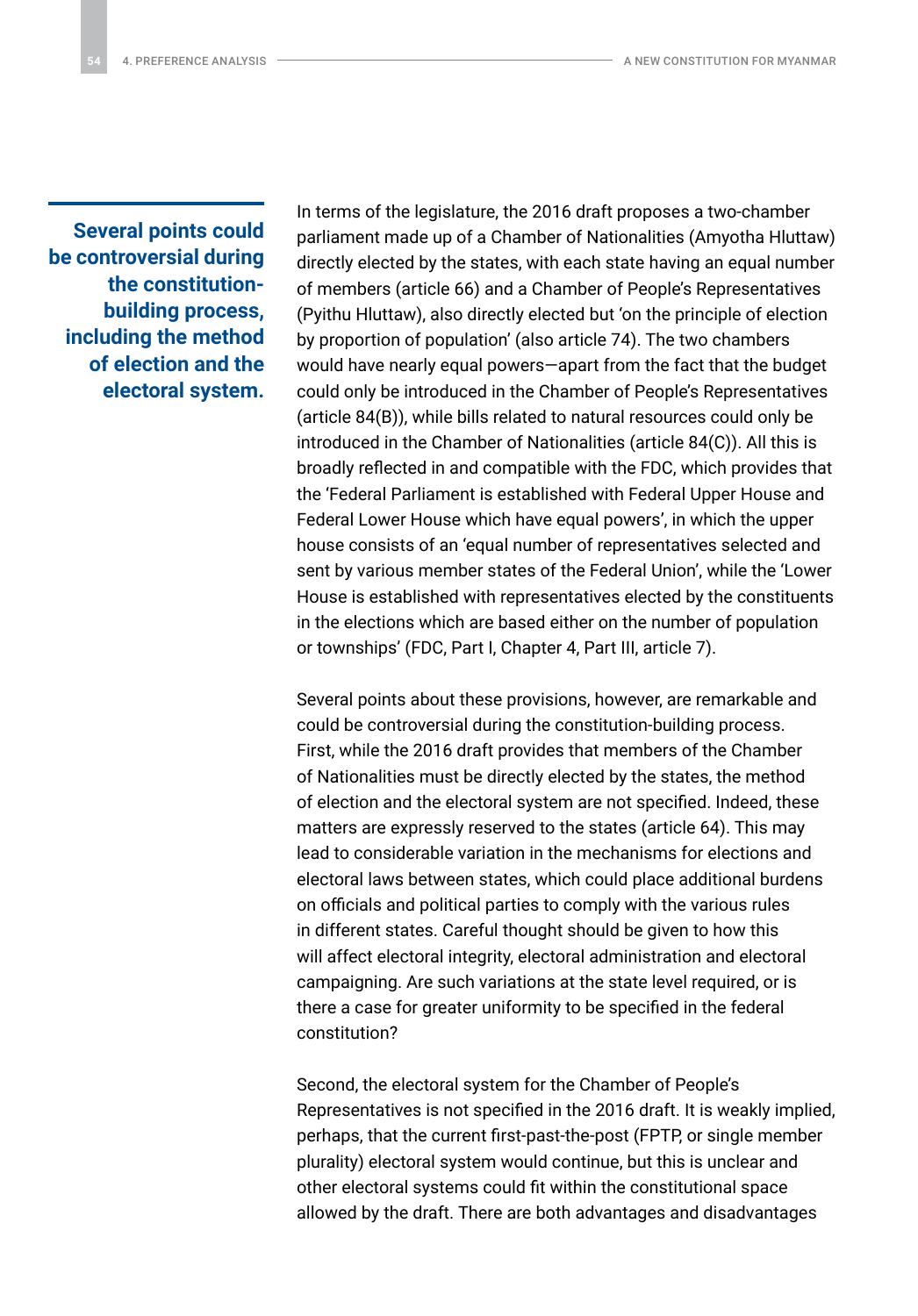**Several points could be controversial during the constitutionbuilding process, including the method of election and the electoral system.** In terms of the legislature, the 2016 draft proposes a two-chamber parliament made up of a Chamber of Nationalities (Amyotha Hluttaw) directly elected by the states, with each state having an equal number of members (article 66) and a Chamber of People's Representatives (Pyithu Hluttaw), also directly elected but 'on the principle of election by proportion of population' (also article 74). The two chambers would have nearly equal powers—apart from the fact that the budget could only be introduced in the Chamber of People's Representatives (article 84(B)), while bills related to natural resources could only be introduced in the Chamber of Nationalities (article 84(C)). All this is broadly reflected in and compatible with the FDC, which provides that the 'Federal Parliament is established with Federal Upper House and Federal Lower House which have equal powers', in which the upper house consists of an 'equal number of representatives selected and sent by various member states of the Federal Union', while the 'Lower House is established with representatives elected by the constituents in the elections which are based either on the number of population or townships' (FDC, Part I, Chapter 4, Part III, article 7).

Several points about these provisions, however, are remarkable and could be controversial during the constitution-building process. First, while the 2016 draft provides that members of the Chamber of Nationalities must be directly elected by the states, the method of election and the electoral system are not specified. Indeed, these matters are expressly reserved to the states (article 64). This may lead to considerable variation in the mechanisms for elections and electoral laws between states, which could place additional burdens on officials and political parties to comply with the various rules in different states. Careful thought should be given to how this will affect electoral integrity, electoral administration and electoral campaigning. Are such variations at the state level required, or is there a case for greater uniformity to be specified in the federal constitution?

Second, the electoral system for the Chamber of People's Representatives is not specified in the 2016 draft. It is weakly implied, perhaps, that the current first-past-the-post (FPTP, or single member plurality) electoral system would continue, but this is unclear and other electoral systems could fit within the constitutional space allowed by the draft. There are both advantages and disadvantages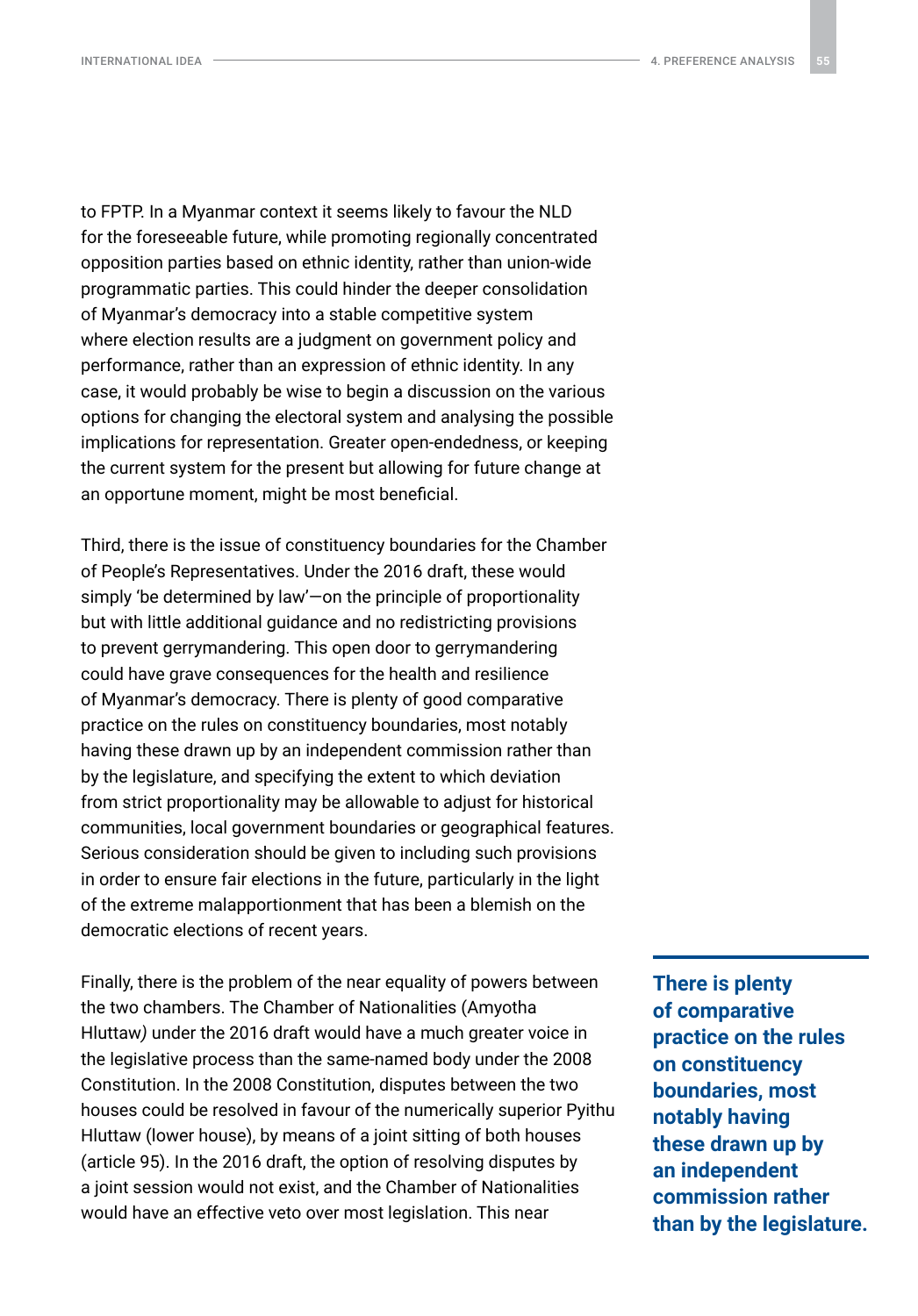to FPTP. In a Myanmar context it seems likely to favour the NLD for the foreseeable future, while promoting regionally concentrated opposition parties based on ethnic identity, rather than union-wide programmatic parties. This could hinder the deeper consolidation of Myanmar's democracy into a stable competitive system where election results are a judgment on government policy and performance, rather than an expression of ethnic identity. In any case, it would probably be wise to begin a discussion on the various options for changing the electoral system and analysing the possible implications for representation. Greater open-endedness, or keeping the current system for the present but allowing for future change at an opportune moment, might be most beneficial.

Third, there is the issue of constituency boundaries for the Chamber of People's Representatives. Under the 2016 draft, these would simply 'be determined by law'—on the principle of proportionality but with little additional guidance and no redistricting provisions to prevent gerrymandering. This open door to gerrymandering could have grave consequences for the health and resilience of Myanmar's democracy. There is plenty of good comparative practice on the rules on constituency boundaries, most notably having these drawn up by an independent commission rather than by the legislature, and specifying the extent to which deviation from strict proportionality may be allowable to adjust for historical communities, local government boundaries or geographical features. Serious consideration should be given to including such provisions in order to ensure fair elections in the future, particularly in the light of the extreme malapportionment that has been a blemish on the democratic elections of recent years.

Finally, there is the problem of the near equality of powers between the two chambers. The Chamber of Nationalities (Amyotha Hluttaw*)* under the 2016 draft would have a much greater voice in the legislative process than the same-named body under the 2008 Constitution. In the 2008 Constitution, disputes between the two houses could be resolved in favour of the numerically superior Pyithu Hluttaw (lower house), by means of a joint sitting of both houses (article 95). In the 2016 draft, the option of resolving disputes by a joint session would not exist, and the Chamber of Nationalities would have an effective veto over most legislation. This near

**There is plenty of comparative practice on the rules on constituency boundaries, most notably having these drawn up by an independent commission rather than by the legislature.**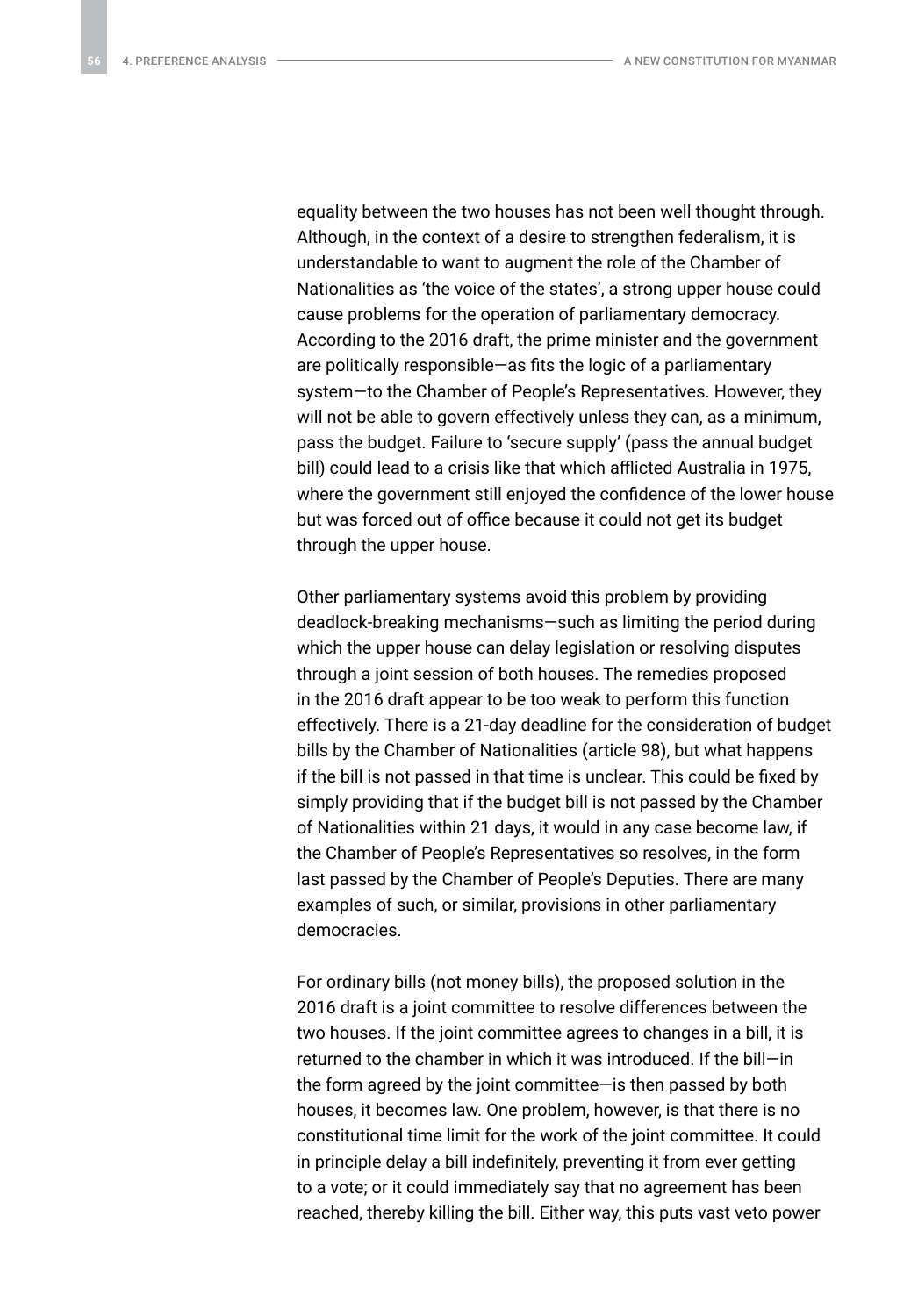equality between the two houses has not been well thought through. Although, in the context of a desire to strengthen federalism, it is understandable to want to augment the role of the Chamber of Nationalities as 'the voice of the states', a strong upper house could cause problems for the operation of parliamentary democracy. According to the 2016 draft, the prime minister and the government are politically responsible—as fits the logic of a parliamentary system—to the Chamber of People's Representatives. However, they will not be able to govern effectively unless they can, as a minimum, pass the budget. Failure to 'secure supply' (pass the annual budget bill) could lead to a crisis like that which afflicted Australia in 1975, where the government still enjoyed the confidence of the lower house but was forced out of office because it could not get its budget through the upper house.

Other parliamentary systems avoid this problem by providing deadlock-breaking mechanisms—such as limiting the period during which the upper house can delay legislation or resolving disputes through a joint session of both houses. The remedies proposed in the 2016 draft appear to be too weak to perform this function effectively. There is a 21-day deadline for the consideration of budget bills by the Chamber of Nationalities (article 98), but what happens if the bill is not passed in that time is unclear. This could be fixed by simply providing that if the budget bill is not passed by the Chamber of Nationalities within 21 days, it would in any case become law, if the Chamber of People's Representatives so resolves, in the form last passed by the Chamber of People's Deputies. There are many examples of such, or similar, provisions in other parliamentary democracies.

For ordinary bills (not money bills), the proposed solution in the 2016 draft is a joint committee to resolve differences between the two houses. If the joint committee agrees to changes in a bill, it is returned to the chamber in which it was introduced. If the bill—in the form agreed by the joint committee—is then passed by both houses, it becomes law. One problem, however, is that there is no constitutional time limit for the work of the joint committee. It could in principle delay a bill indefinitely, preventing it from ever getting to a vote; or it could immediately say that no agreement has been reached, thereby killing the bill. Either way, this puts vast veto power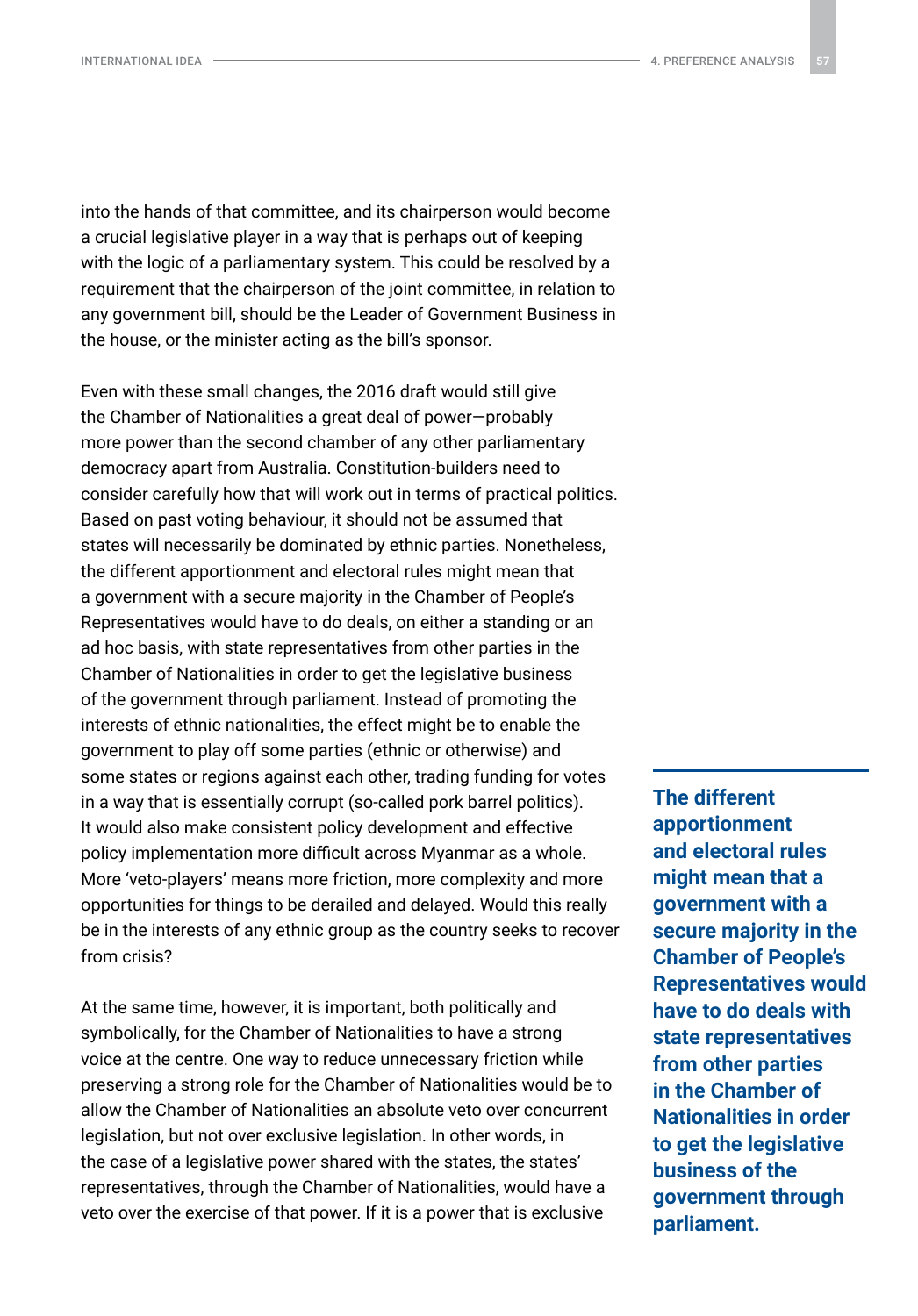into the hands of that committee, and its chairperson would become a crucial legislative player in a way that is perhaps out of keeping with the logic of a parliamentary system. This could be resolved by a requirement that the chairperson of the joint committee, in relation to any government bill, should be the Leader of Government Business in the house, or the minister acting as the bill's sponsor.

Even with these small changes, the 2016 draft would still give the Chamber of Nationalities a great deal of power—probably more power than the second chamber of any other parliamentary democracy apart from Australia. Constitution-builders need to consider carefully how that will work out in terms of practical politics. Based on past voting behaviour, it should not be assumed that states will necessarily be dominated by ethnic parties. Nonetheless, the different apportionment and electoral rules might mean that a government with a secure majority in the Chamber of People's Representatives would have to do deals, on either a standing or an ad hoc basis, with state representatives from other parties in the Chamber of Nationalities in order to get the legislative business of the government through parliament. Instead of promoting the interests of ethnic nationalities, the effect might be to enable the government to play off some parties (ethnic or otherwise) and some states or regions against each other, trading funding for votes in a way that is essentially corrupt (so-called pork barrel politics). It would also make consistent policy development and effective policy implementation more difficult across Myanmar as a whole. More 'veto-players' means more friction, more complexity and more opportunities for things to be derailed and delayed. Would this really be in the interests of any ethnic group as the country seeks to recover from crisis?

At the same time, however, it is important, both politically and symbolically, for the Chamber of Nationalities to have a strong voice at the centre. One way to reduce unnecessary friction while preserving a strong role for the Chamber of Nationalities would be to allow the Chamber of Nationalities an absolute veto over concurrent legislation, but not over exclusive legislation. In other words, in the case of a legislative power shared with the states, the states' representatives, through the Chamber of Nationalities, would have a veto over the exercise of that power. If it is a power that is exclusive

**The different apportionment and electoral rules might mean that a government with a secure majority in the Chamber of People's Representatives would have to do deals with state representatives from other parties in the Chamber of Nationalities in order to get the legislative business of the government through parliament.**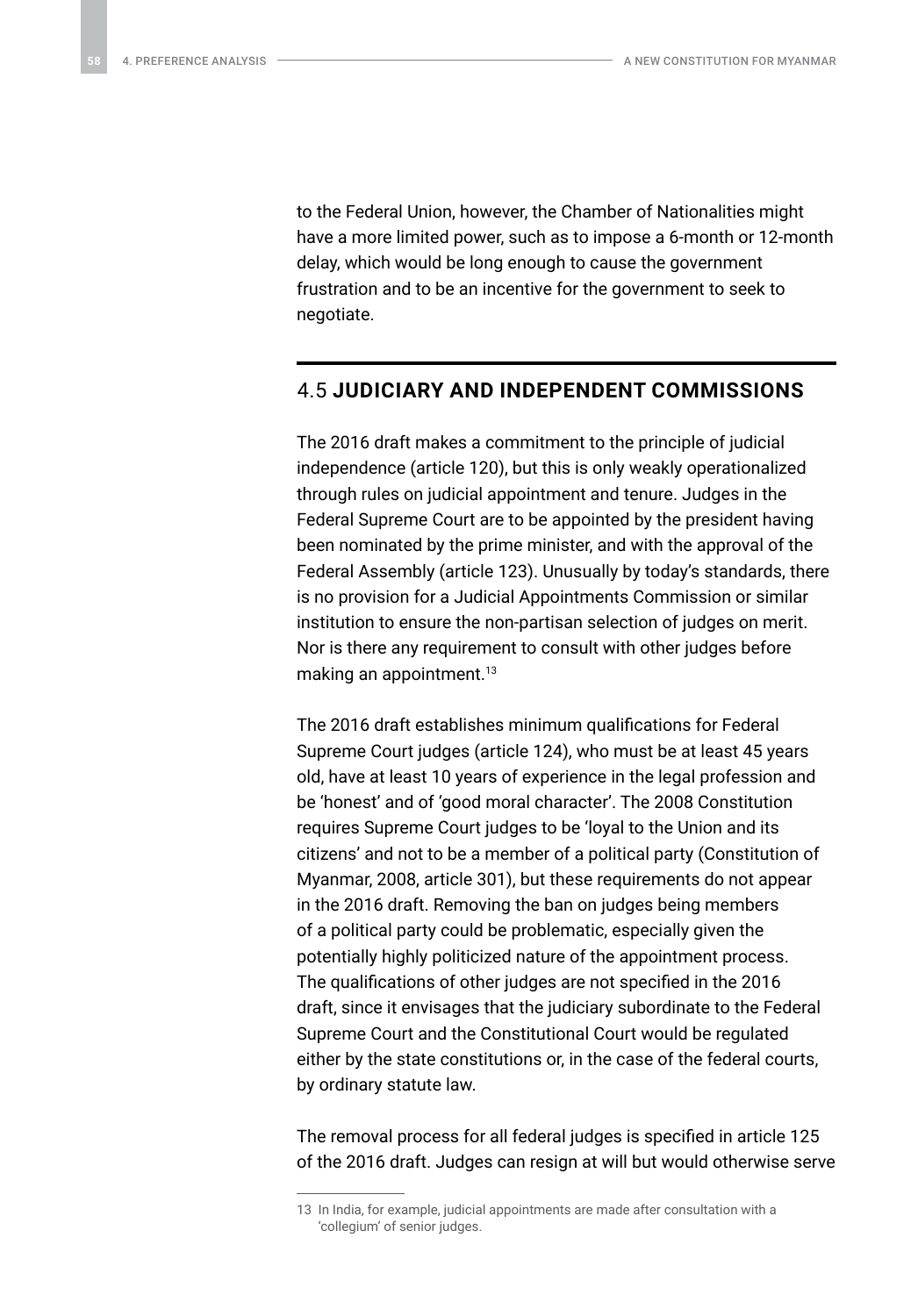<span id="page-57-0"></span>to the Federal Union, however, the Chamber of Nationalities might have a more limited power, such as to impose a 6-month or 12-month delay, which would be long enough to cause the government frustration and to be an incentive for the government to seek to negotiate.

#### 4.5 **JUDICIARY AND INDEPENDENT COMMISSIONS**

The 2016 draft makes a commitment to the principle of judicial independence (article 120), but this is only weakly operationalized through rules on judicial appointment and tenure. Judges in the Federal Supreme Court are to be appointed by the president having been nominated by the prime minister, and with the approval of the Federal Assembly (article 123). Unusually by today's standards, there is no provision for a Judicial Appointments Commission or similar institution to ensure the non-partisan selection of judges on merit. Nor is there any requirement to consult with other judges before making an appointment.<sup>13</sup>

The 2016 draft establishes minimum qualifications for Federal Supreme Court judges (article 124), who must be at least 45 years old, have at least 10 years of experience in the legal profession and be 'honest' and of 'good moral character'. The 2008 Constitution requires Supreme Court judges to be 'loyal to the Union and its citizens' and not to be a member of a political party (Constitution of Myanmar, 2008, article 301), but these requirements do not appear in the 2016 draft. Removing the ban on judges being members of a political party could be problematic, especially given the potentially highly politicized nature of the appointment process. The qualifications of other judges are not specified in the 2016 draft, since it envisages that the judiciary subordinate to the Federal Supreme Court and the Constitutional Court would be regulated either by the state constitutions or, in the case of the federal courts, by ordinary statute law.

The removal process for all federal judges is specified in article 125 of the 2016 draft. Judges can resign at will but would otherwise serve

<sup>13</sup> In India, for example, judicial appointments are made after consultation with a 'collegium' of senior judges.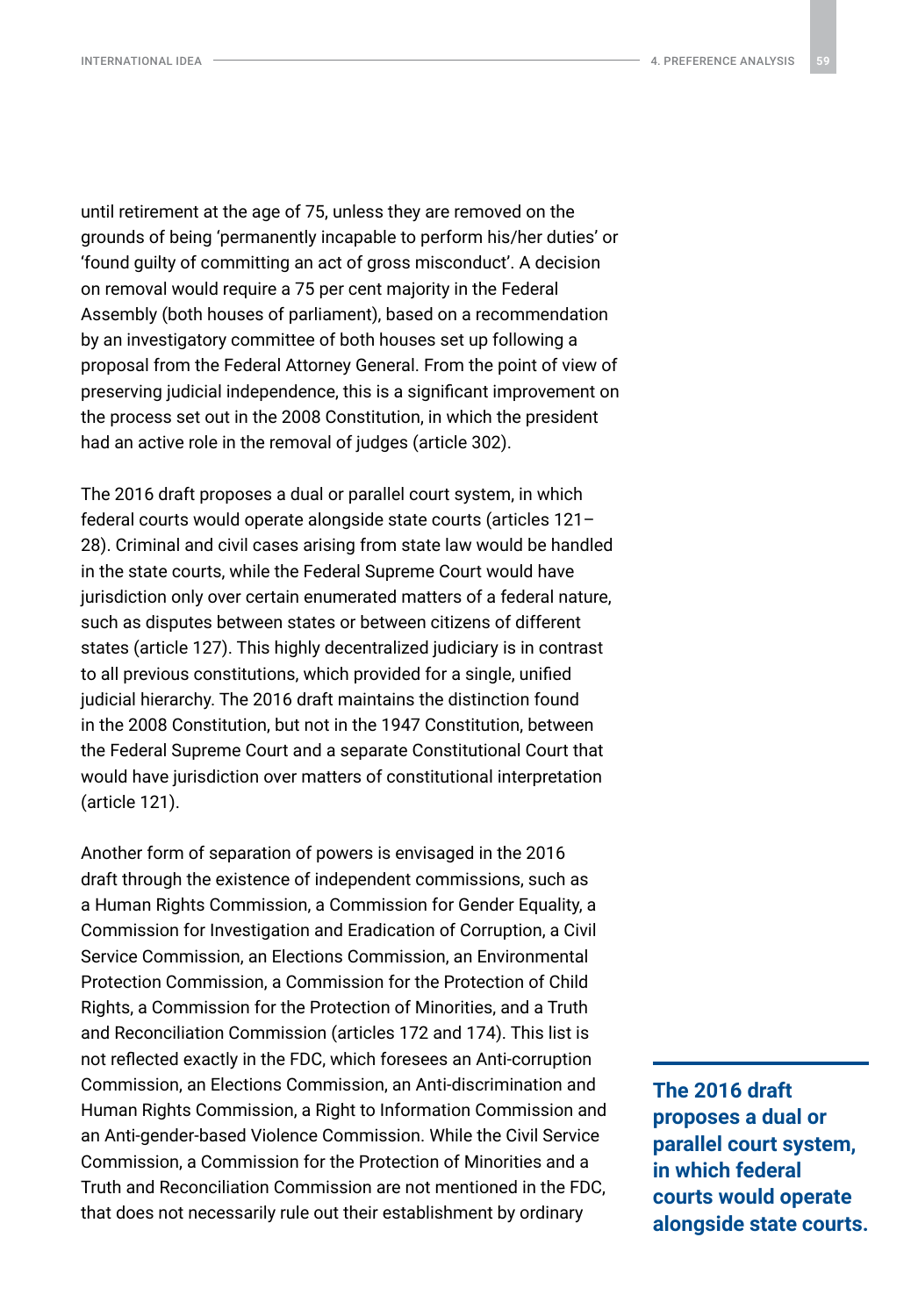until retirement at the age of 75, unless they are removed on the grounds of being 'permanently incapable to perform his/her duties' or 'found guilty of committing an act of gross misconduct'. A decision on removal would require a 75 per cent majority in the Federal Assembly (both houses of parliament), based on a recommendation by an investigatory committee of both houses set up following a proposal from the Federal Attorney General. From the point of view of preserving judicial independence, this is a significant improvement on the process set out in the 2008 Constitution, in which the president had an active role in the removal of judges (article 302).

The 2016 draft proposes a dual or parallel court system, in which federal courts would operate alongside state courts (articles 121– 28). Criminal and civil cases arising from state law would be handled in the state courts, while the Federal Supreme Court would have jurisdiction only over certain enumerated matters of a federal nature, such as disputes between states or between citizens of different states (article 127). This highly decentralized judiciary is in contrast to all previous constitutions, which provided for a single, unified judicial hierarchy. The 2016 draft maintains the distinction found in the 2008 Constitution, but not in the 1947 Constitution, between the Federal Supreme Court and a separate Constitutional Court that would have jurisdiction over matters of constitutional interpretation (article 121).

Another form of separation of powers is envisaged in the 2016 draft through the existence of independent commissions, such as a Human Rights Commission, a Commission for Gender Equality, a Commission for Investigation and Eradication of Corruption, a Civil Service Commission, an Elections Commission, an Environmental Protection Commission, a Commission for the Protection of Child Rights, a Commission for the Protection of Minorities, and a Truth and Reconciliation Commission (articles 172 and 174). This list is not reflected exactly in the FDC, which foresees an Anti-corruption Commission, an Elections Commission, an Anti-discrimination and Human Rights Commission, a Right to Information Commission and an Anti-gender-based Violence Commission. While the Civil Service Commission, a Commission for the Protection of Minorities and a Truth and Reconciliation Commission are not mentioned in the FDC, that does not necessarily rule out their establishment by ordinary

**The 2016 draft proposes a dual or parallel court system, in which federal courts would operate alongside state courts.**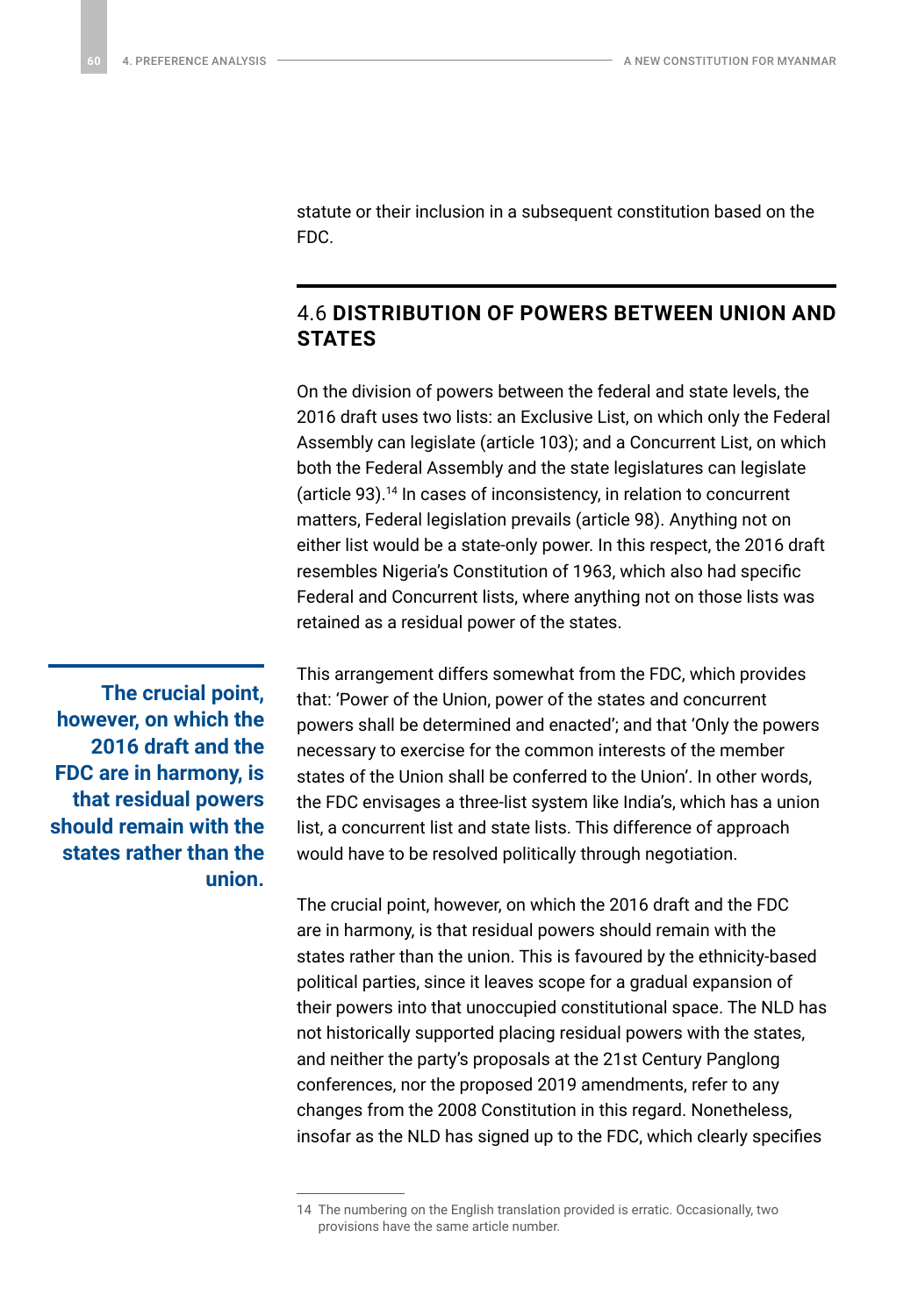<span id="page-59-0"></span>statute or their inclusion in a subsequent constitution based on the FDC.

### 4.6 **DISTRIBUTION OF POWERS BETWEEN UNION AND STATES**

On the division of powers between the federal and state levels, the 2016 draft uses two lists: an Exclusive List, on which only the Federal Assembly can legislate (article 103); and a Concurrent List, on which both the Federal Assembly and the state legislatures can legislate (article 93).14 In cases of inconsistency, in relation to concurrent matters, Federal legislation prevails (article 98). Anything not on either list would be a state-only power. In this respect, the 2016 draft resembles Nigeria's Constitution of 1963, which also had specific Federal and Concurrent lists, where anything not on those lists was retained as a residual power of the states.

**The crucial point, however, on which the 2016 draft and the FDC are in harmony, is that residual powers should remain with the states rather than the union.** This arrangement differs somewhat from the FDC, which provides that: 'Power of the Union, power of the states and concurrent powers shall be determined and enacted'; and that 'Only the powers necessary to exercise for the common interests of the member states of the Union shall be conferred to the Union'. In other words, the FDC envisages a three-list system like India's, which has a union list, a concurrent list and state lists. This difference of approach would have to be resolved politically through negotiation.

The crucial point, however, on which the 2016 draft and the FDC are in harmony, is that residual powers should remain with the states rather than the union. This is favoured by the ethnicity-based political parties, since it leaves scope for a gradual expansion of their powers into that unoccupied constitutional space. The NLD has not historically supported placing residual powers with the states, and neither the party's proposals at the 21st Century Panglong conferences, nor the proposed 2019 amendments, refer to any changes from the 2008 Constitution in this regard. Nonetheless, insofar as the NLD has signed up to the FDC, which clearly specifies

<sup>14</sup> The numbering on the English translation provided is erratic. Occasionally, two provisions have the same article number.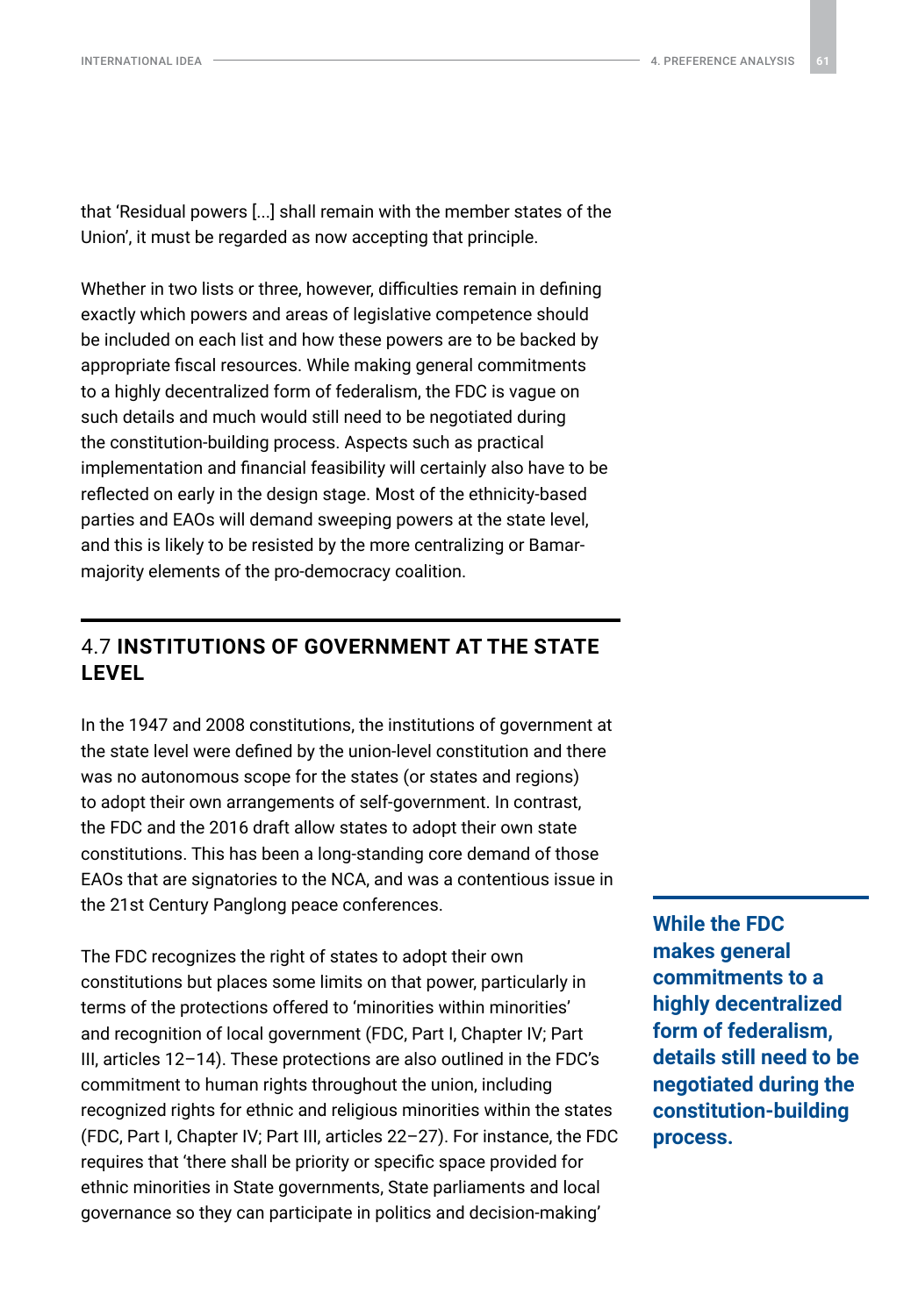<span id="page-60-0"></span>that 'Residual powers [...] shall remain with the member states of the Union', it must be regarded as now accepting that principle.

Whether in two lists or three, however, difficulties remain in defining exactly which powers and areas of legislative competence should be included on each list and how these powers are to be backed by appropriate fiscal resources. While making general commitments to a highly decentralized form of federalism, the FDC is vague on such details and much would still need to be negotiated during the constitution-building process. Aspects such as practical implementation and financial feasibility will certainly also have to be reflected on early in the design stage. Most of the ethnicity-based parties and EAOs will demand sweeping powers at the state level, and this is likely to be resisted by the more centralizing or Bamarmajority elements of the pro-democracy coalition.

### 4.7 **INSTITUTIONS OF GOVERNMENT AT THE STATE LEVEL**

In the 1947 and 2008 constitutions, the institutions of government at the state level were defined by the union-level constitution and there was no autonomous scope for the states (or states and regions) to adopt their own arrangements of self-government. In contrast, the FDC and the 2016 draft allow states to adopt their own state constitutions. This has been a long-standing core demand of those EAOs that are signatories to the NCA, and was a contentious issue in the 21st Century Panglong peace conferences.

The FDC recognizes the right of states to adopt their own constitutions but places some limits on that power, particularly in terms of the protections offered to 'minorities within minorities' and recognition of local government (FDC, Part I, Chapter IV; Part III, articles 12–14). These protections are also outlined in the FDC's commitment to human rights throughout the union, including recognized rights for ethnic and religious minorities within the states (FDC, Part I, Chapter IV; Part III, articles 22–27). For instance, the FDC requires that 'there shall be priority or specific space provided for ethnic minorities in State governments, State parliaments and local governance so they can participate in politics and decision-making'

**While the FDC makes general commitments to a highly decentralized form of federalism, details still need to be negotiated during the constitution-building process.**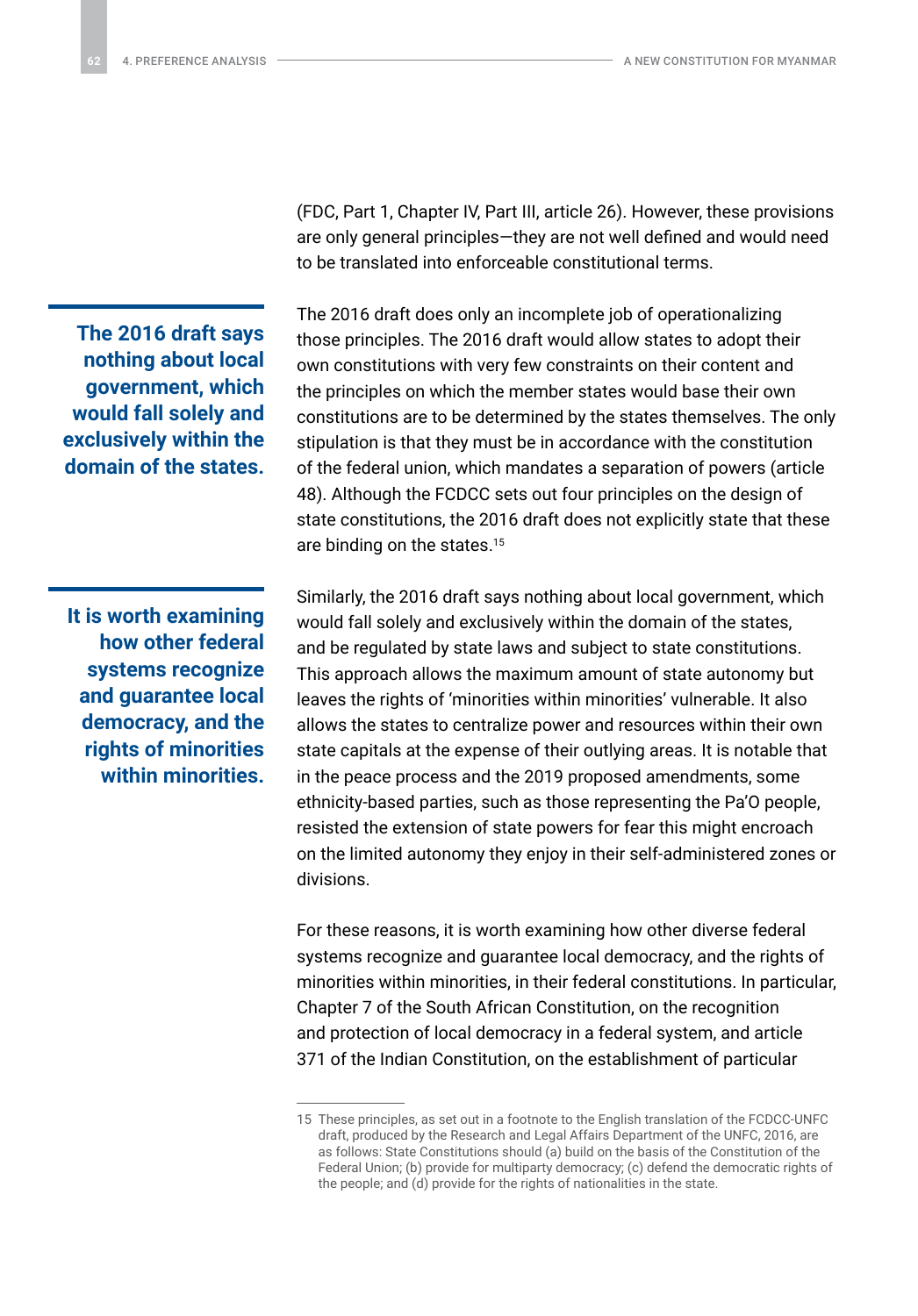**The 2016 draft says nothing about local government, which would fall solely and exclusively within the domain of the states.**

**It is worth examining how other federal systems recognize and guarantee local democracy, and the rights of minorities within minorities.** (FDC, Part 1, Chapter IV, Part III, article 26). However, these provisions are only general principles—they are not well defined and would need to be translated into enforceable constitutional terms.

The 2016 draft does only an incomplete job of operationalizing those principles. The 2016 draft would allow states to adopt their own constitutions with very few constraints on their content and the principles on which the member states would base their own constitutions are to be determined by the states themselves. The only stipulation is that they must be in accordance with the constitution of the federal union, which mandates a separation of powers (article 48). Although the FCDCC sets out four principles on the design of state constitutions, the 2016 draft does not explicitly state that these are binding on the states.15

Similarly, the 2016 draft says nothing about local government, which would fall solely and exclusively within the domain of the states, and be regulated by state laws and subject to state constitutions. This approach allows the maximum amount of state autonomy but leaves the rights of 'minorities within minorities' vulnerable. It also allows the states to centralize power and resources within their own state capitals at the expense of their outlying areas. It is notable that in the peace process and the 2019 proposed amendments, some ethnicity-based parties, such as those representing the Pa'O people, resisted the extension of state powers for fear this might encroach on the limited autonomy they enjoy in their self-administered zones or divisions.

For these reasons, it is worth examining how other diverse federal systems recognize and guarantee local democracy, and the rights of minorities within minorities, in their federal constitutions. In particular, Chapter 7 of the South African Constitution, on the recognition and protection of local democracy in a federal system, and article 371 of the Indian Constitution, on the establishment of particular

<sup>15</sup> These principles, as set out in a footnote to the English translation of the FCDCC-UNFC draft, produced by the Research and Legal Affairs Department of the UNFC, 2016, are as follows: State Constitutions should (a) build on the basis of the Constitution of the Federal Union; (b) provide for multiparty democracy; (c) defend the democratic rights of the people; and (d) provide for the rights of nationalities in the state.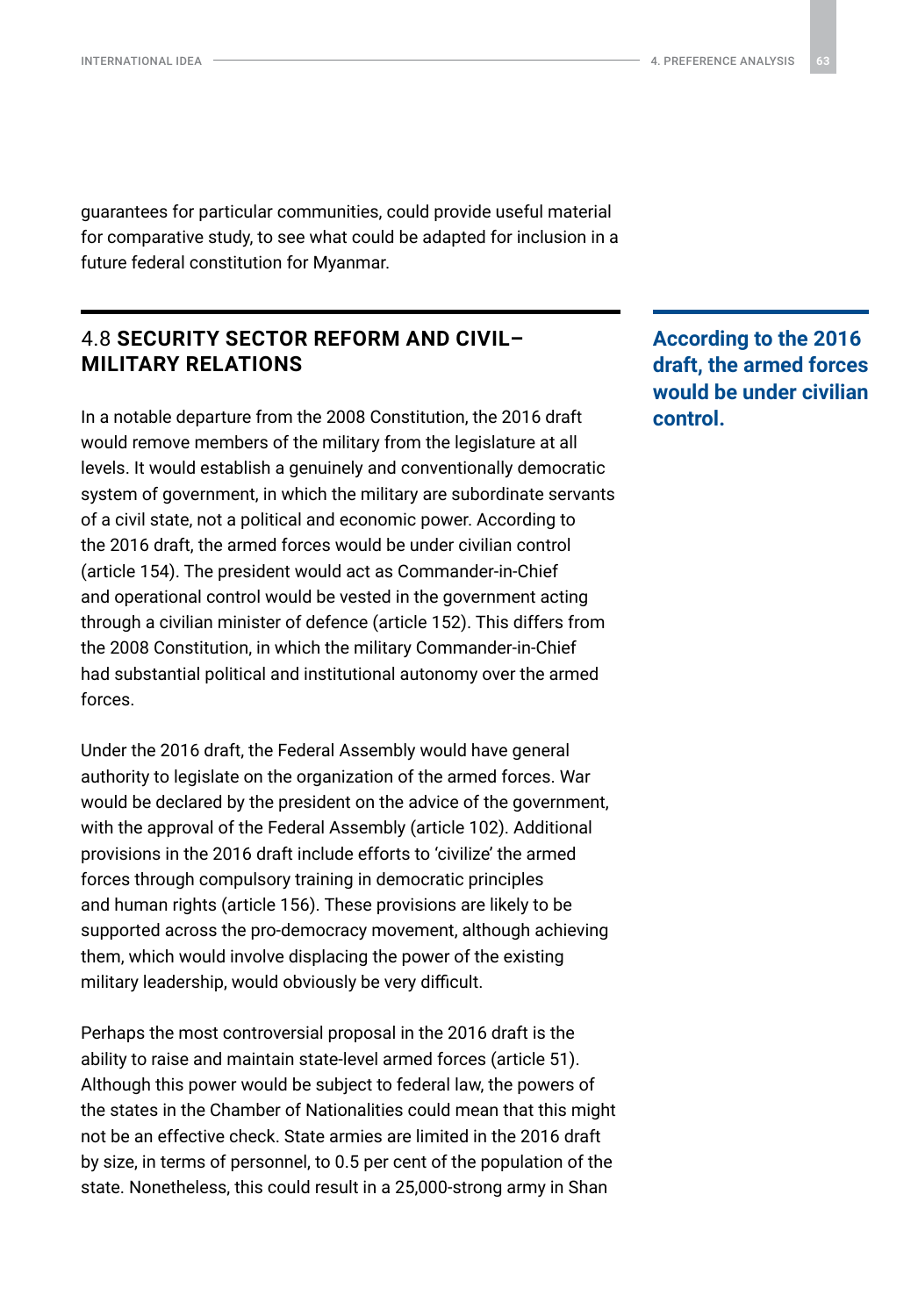<span id="page-62-0"></span>INTERNATIONAL IDEA <del>4. Production and the continuum of the continuum of the continuum of the continuum of the continuum of the continuum of the continuum of the continuum of the continuum of the continuum of the continuum </del>

guarantees for particular communities, could provide useful material for comparative study, to see what could be adapted for inclusion in a future federal constitution for Myanmar.

### 4.8 **SECURITY SECTOR REFORM AND CIVIL– MILITARY RELATIONS**

In a notable departure from the 2008 Constitution, the 2016 draft would remove members of the military from the legislature at all levels. It would establish a genuinely and conventionally democratic system of government, in which the military are subordinate servants of a civil state, not a political and economic power. According to the 2016 draft, the armed forces would be under civilian control (article 154). The president would act as Commander-in-Chief and operational control would be vested in the government acting through a civilian minister of defence (article 152). This differs from the 2008 Constitution, in which the military Commander-in-Chief had substantial political and institutional autonomy over the armed forces.

Under the 2016 draft, the Federal Assembly would have general authority to legislate on the organization of the armed forces. War would be declared by the president on the advice of the government, with the approval of the Federal Assembly (article 102). Additional provisions in the 2016 draft include efforts to 'civilize' the armed forces through compulsory training in democratic principles and human rights (article 156). These provisions are likely to be supported across the pro-democracy movement, although achieving them, which would involve displacing the power of the existing military leadership, would obviously be very difficult.

Perhaps the most controversial proposal in the 2016 draft is the ability to raise and maintain state-level armed forces (article 51). Although this power would be subject to federal law, the powers of the states in the Chamber of Nationalities could mean that this might not be an effective check. State armies are limited in the 2016 draft by size, in terms of personnel, to 0.5 per cent of the population of the state. Nonetheless, this could result in a 25,000-strong army in Shan

**According to the 2016 draft, the armed forces would be under civilian control.**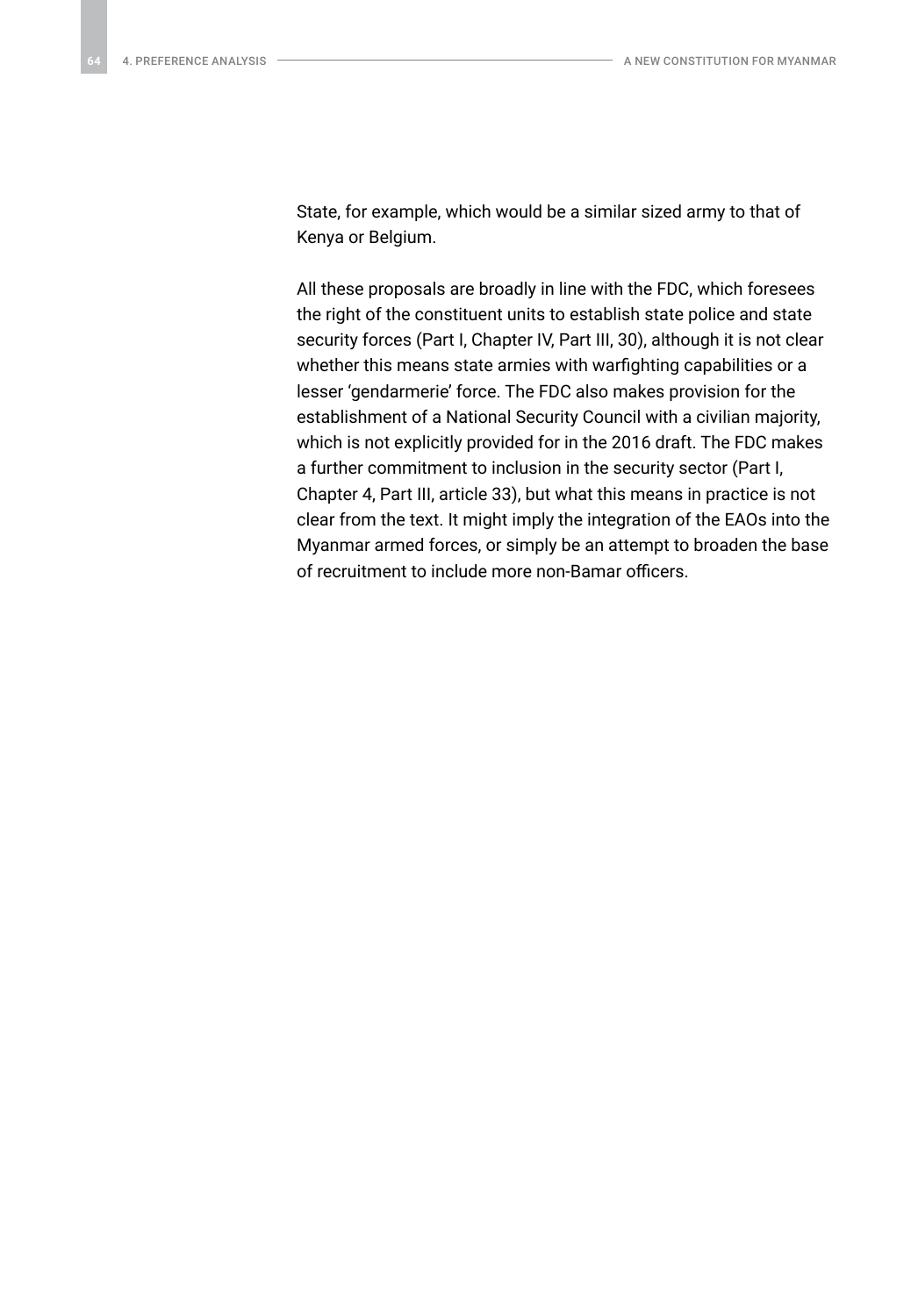State, for example, which would be a similar sized army to that of Kenya or Belgium.

All these proposals are broadly in line with the FDC, which foresees the right of the constituent units to establish state police and state security forces (Part I, Chapter IV, Part III, 30), although it is not clear whether this means state armies with warfighting capabilities or a lesser 'gendarmerie' force. The FDC also makes provision for the establishment of a National Security Council with a civilian majority, which is not explicitly provided for in the 2016 draft. The FDC makes a further commitment to inclusion in the security sector (Part I, Chapter 4, Part III, article 33), but what this means in practice is not clear from the text. It might imply the integration of the EAOs into the Myanmar armed forces, or simply be an attempt to broaden the base of recruitment to include more non-Bamar officers.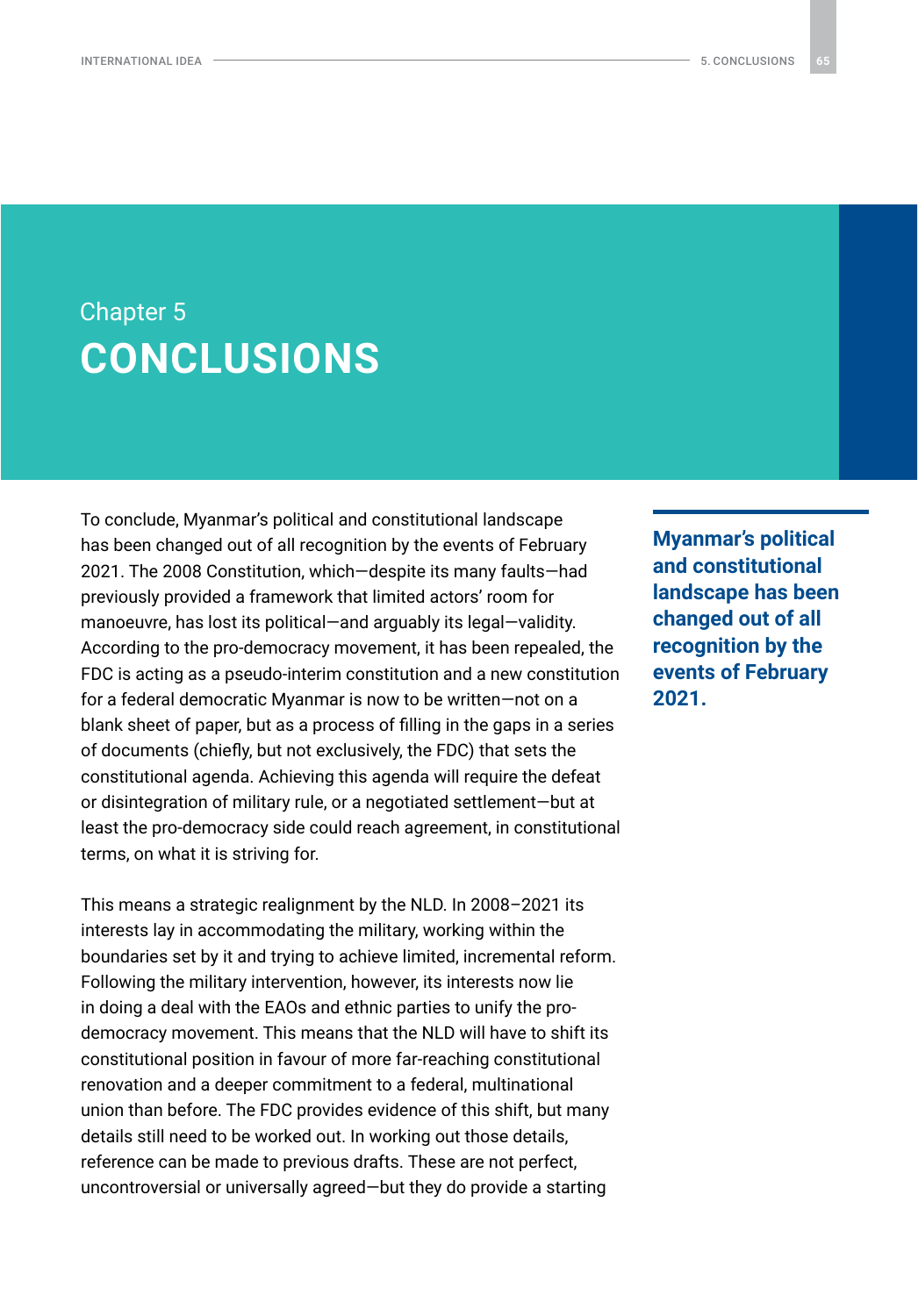### <span id="page-64-0"></span>Chapter 5 **CONCLUSIONS**

To conclude, Myanmar's political and constitutional landscape has been changed out of all recognition by the events of February 2021. The 2008 Constitution, which—despite its many faults—had previously provided a framework that limited actors' room for manoeuvre, has lost its political—and arguably its legal—validity. According to the pro-democracy movement, it has been repealed, the FDC is acting as a pseudo-interim constitution and a new constitution for a federal democratic Myanmar is now to be written—not on a blank sheet of paper, but as a process of filling in the gaps in a series of documents (chiefly, but not exclusively, the FDC) that sets the constitutional agenda. Achieving this agenda will require the defeat or disintegration of military rule, or a negotiated settlement—but at least the pro-democracy side could reach agreement, in constitutional terms, on what it is striving for.

This means a strategic realignment by the NLD. In 2008–2021 its interests lay in accommodating the military, working within the boundaries set by it and trying to achieve limited, incremental reform. Following the military intervention, however, its interests now lie in doing a deal with the EAOs and ethnic parties to unify the prodemocracy movement. This means that the NLD will have to shift its constitutional position in favour of more far-reaching constitutional renovation and a deeper commitment to a federal, multinational union than before. The FDC provides evidence of this shift, but many details still need to be worked out. In working out those details, reference can be made to previous drafts. These are not perfect, uncontroversial or universally agreed—but they do provide a starting

**Myanmar's political and constitutional landscape has been changed out of all recognition by the events of February 2021.**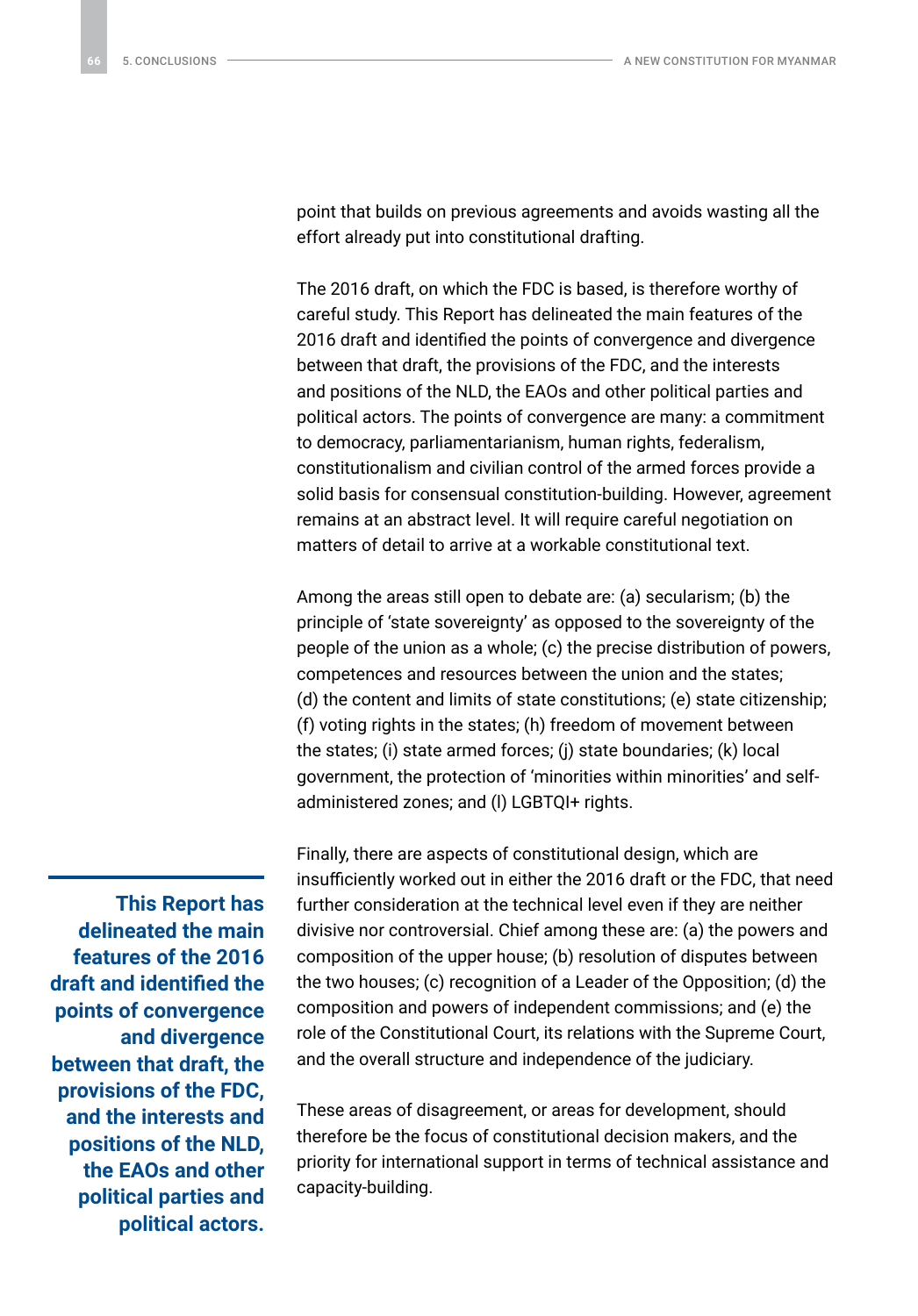point that builds on previous agreements and avoids wasting all the effort already put into constitutional drafting.

The 2016 draft, on which the FDC is based, is therefore worthy of careful study. This Report has delineated the main features of the 2016 draft and identified the points of convergence and divergence between that draft, the provisions of the FDC, and the interests and positions of the NLD, the EAOs and other political parties and political actors. The points of convergence are many: a commitment to democracy, parliamentarianism, human rights, federalism, constitutionalism and civilian control of the armed forces provide a solid basis for consensual constitution-building. However, agreement remains at an abstract level. It will require careful negotiation on matters of detail to arrive at a workable constitutional text.

Among the areas still open to debate are: (a) secularism; (b) the principle of 'state sovereignty' as opposed to the sovereignty of the people of the union as a whole; (c) the precise distribution of powers, competences and resources between the union and the states; (d) the content and limits of state constitutions; (e) state citizenship; (f) voting rights in the states; (h) freedom of movement between the states; (i) state armed forces; (j) state boundaries; (k) local government, the protection of 'minorities within minorities' and selfadministered zones; and (l) LGBTQI+ rights.

Finally, there are aspects of constitutional design, which are insufficiently worked out in either the 2016 draft or the FDC, that need further consideration at the technical level even if they are neither divisive nor controversial. Chief among these are: (a) the powers and composition of the upper house; (b) resolution of disputes between the two houses; (c) recognition of a Leader of the Opposition; (d) the composition and powers of independent commissions; and (e) the role of the Constitutional Court, its relations with the Supreme Court, and the overall structure and independence of the judiciary.

These areas of disagreement, or areas for development, should therefore be the focus of constitutional decision makers, and the priority for international support in terms of technical assistance and capacity-building.

**This Report has delineated the main features of the 2016 draft and identified the points of convergence and divergence between that draft, the provisions of the FDC, and the interests and positions of the NLD, the EAOs and other political parties and political actors.**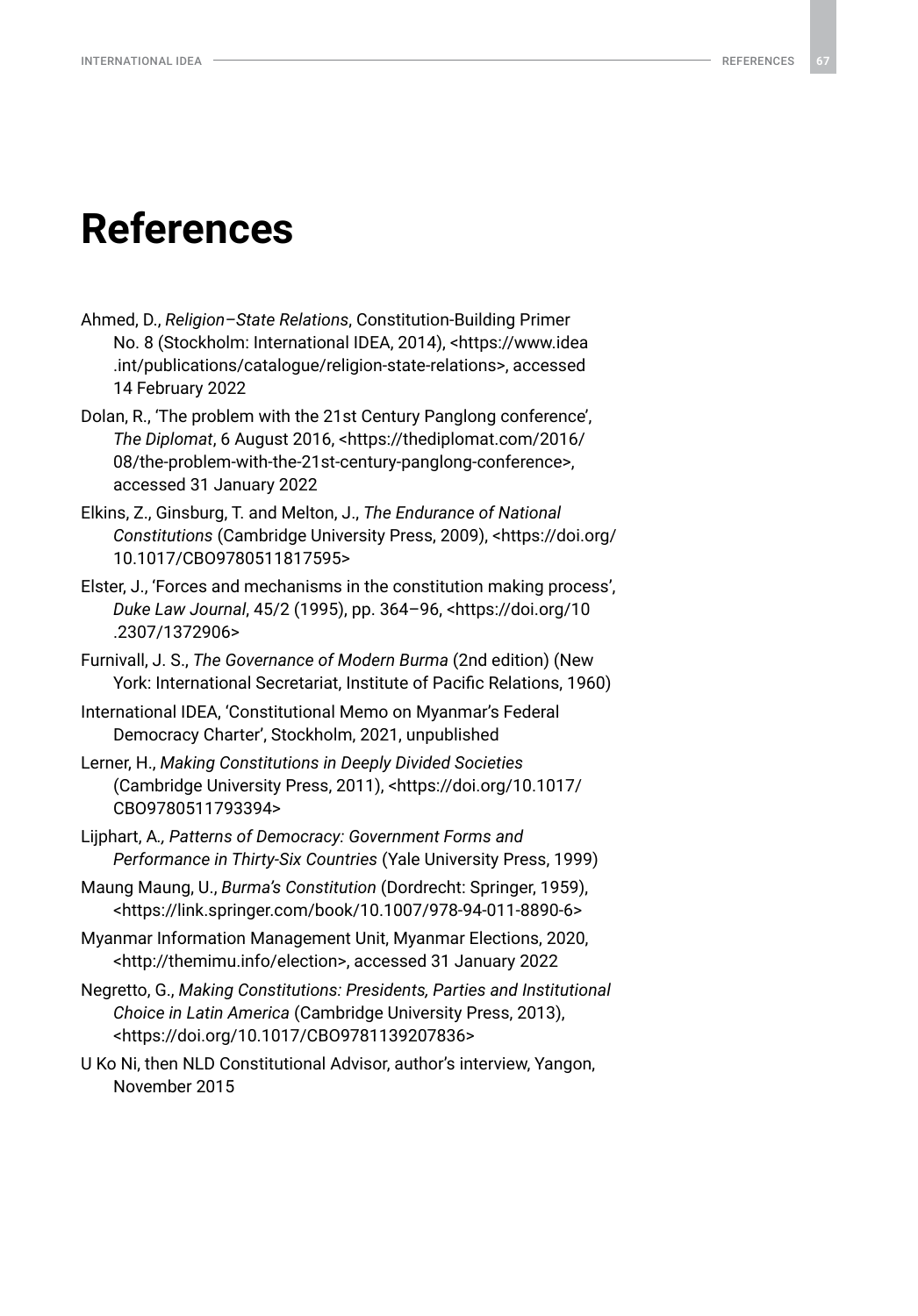### <span id="page-66-0"></span>**References**

- Ahmed, D., *Religion–State Relations*, Constitution-Building Primer No. 8 (Stockholm: International IDEA, 2014), [<https://www.idea](https://www.idea.int/publications/catalogue/religion-state-relations) [.int/publications/catalogue/religion-state-relations>](https://www.idea.int/publications/catalogue/religion-state-relations), accessed 14 February 2022
- Dolan, R., 'The problem with the 21st Century Panglong conference', *The Diplomat*, 6 August 2016, <[https://thediplomat.com/2016/](https://thediplomat.com/2016/08/the-problem-with-the-21st-century-panglong-conference) [08/the-problem-with-the-21st-century-panglong-conference](https://thediplomat.com/2016/08/the-problem-with-the-21st-century-panglong-conference)>, accessed 31 January 2022
- Elkins, Z., Ginsburg, T. and Melton, J., *The Endurance of National Constitutions* (Cambridge University Press, 2009), [<https://doi.org/](https://doi.org/10.1017/CBO9780511817595) [10.1017/CBO9780511817595](https://doi.org/10.1017/CBO9780511817595)>
- Elster, J., 'Forces and mechanisms in the constitution making process', *Duke Law Journal*, 45/2 (1995), pp. 364–96, [<https://doi.org/10](https://doi.org/10.2307/1372906) [.2307/1372906](https://doi.org/10.2307/1372906)>
- Furnivall, J. S., *The Governance of Modern Burma* (2nd edition) (New York: International Secretariat, Institute of Pacific Relations, 1960)
- International IDEA, 'Constitutional Memo on Myanmar's Federal Democracy Charter', Stockholm, 2021, unpublished
- Lerner, H., *Making Constitutions in Deeply Divided Societies*  (Cambridge University Press, 2011), <[https://doi.org/10.1017/](https://doi.org/10.1017/CBO9780511793394) [CBO9780511793394>](https://doi.org/10.1017/CBO9780511793394)
- Lijphart, A*., Patterns of Democracy: Government Forms and Performance in Thirty-Six Countries* (Yale University Press, 1999)
- Maung Maung, U., *Burma's Constitution* (Dordrecht: Springer, 1959), [<https://link.springer.com/book/10.1007/978-94-011-8890-6](https://link.springer.com/book/10.1007/978-94-011-8890-6)>
- Myanmar Information Management Unit, Myanmar Elections, 2020, [<http://themimu.info/election](http://themimu.info/election)>, accessed 31 January 2022
- Negretto, G., *Making Constitutions: Presidents, Parties and Institutional Choice in Latin America* (Cambridge University Press, 2013), [<https://doi.org/10.1017/CBO9781139207836>](https://doi.org/10.1017/CBO9781139207836)
- U Ko Ni, then NLD Constitutional Advisor, author's interview, Yangon, November 2015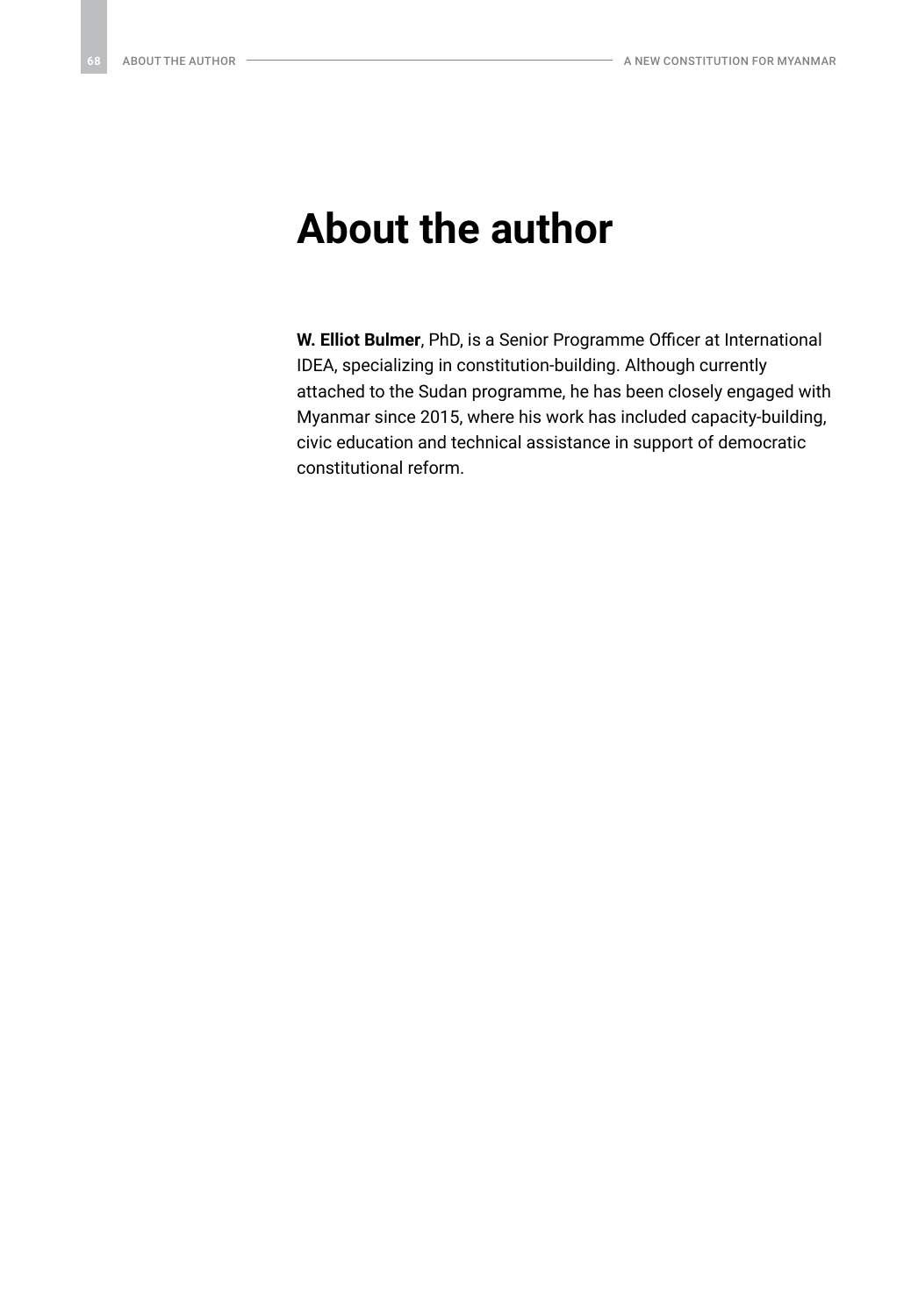### <span id="page-67-0"></span>**About the author**

**W. Elliot Bulmer**, PhD, is a Senior Programme Officer at International IDEA, specializing in constitution-building. Although currently attached to the Sudan programme, he has been closely engaged with Myanmar since 2015, where his work has included capacity-building, civic education and technical assistance in support of democratic constitutional reform.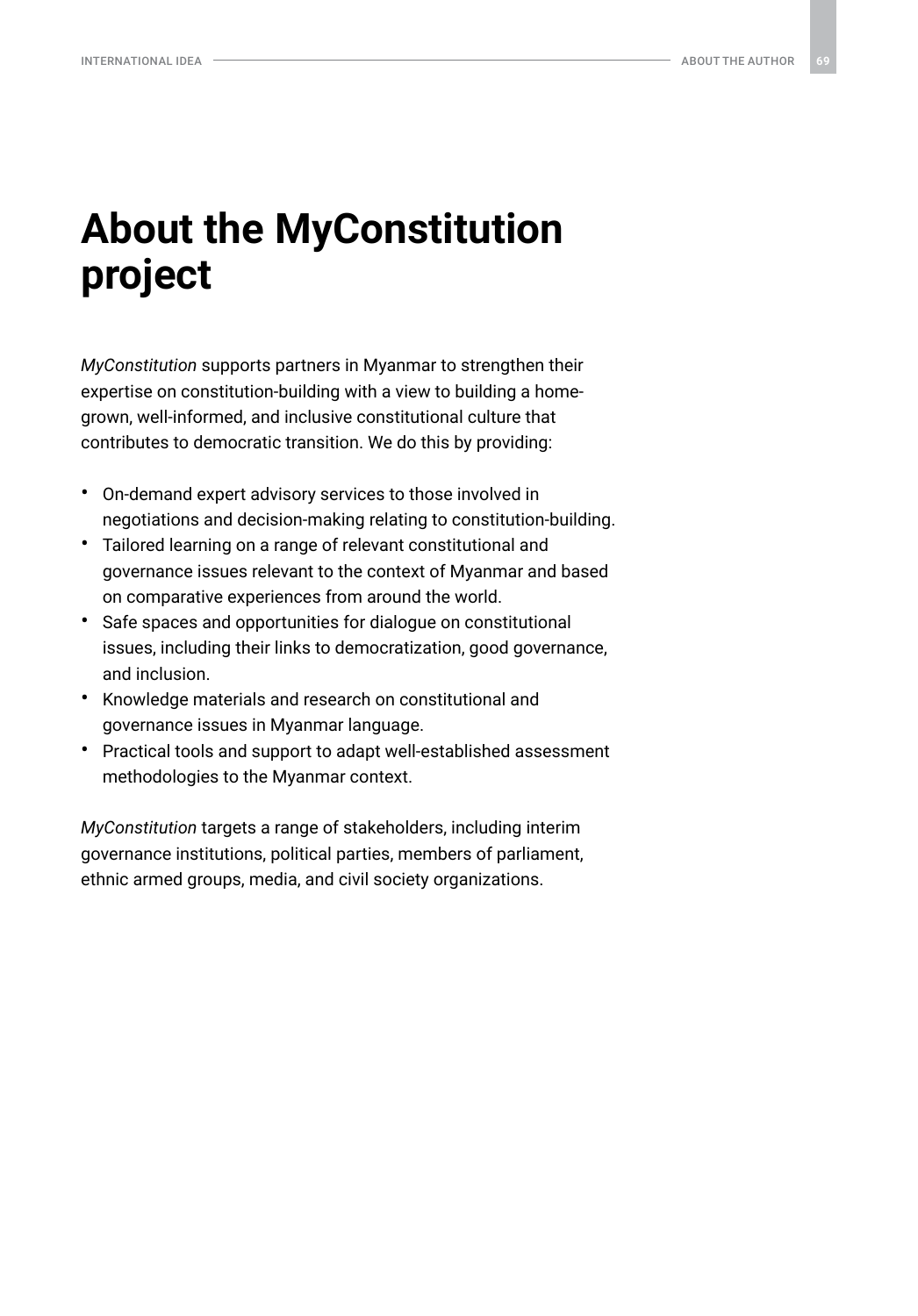## <span id="page-68-0"></span>**About the MyConstitution project**

*MyConstitution* supports partners in Myanmar to strengthen their expertise on constitution-building with a view to building a homegrown, well-informed, and inclusive constitutional culture that contributes to democratic transition. We do this by providing:

- On-demand expert advisory services to those involved in negotiations and decision-making relating to constitution-building.
- Tailored learning on a range of relevant constitutional and governance issues relevant to the context of Myanmar and based on comparative experiences from around the world.
- Safe spaces and opportunities for dialogue on constitutional issues, including their links to democratization, good governance, and inclusion.
- Knowledge materials and research on constitutional and governance issues in Myanmar language.
- Practical tools and support to adapt well-established assessment methodologies to the Myanmar context.

*MyConstitution* targets a range of stakeholders, including interim governance institutions, political parties, members of parliament, ethnic armed groups, media, and civil society organizations.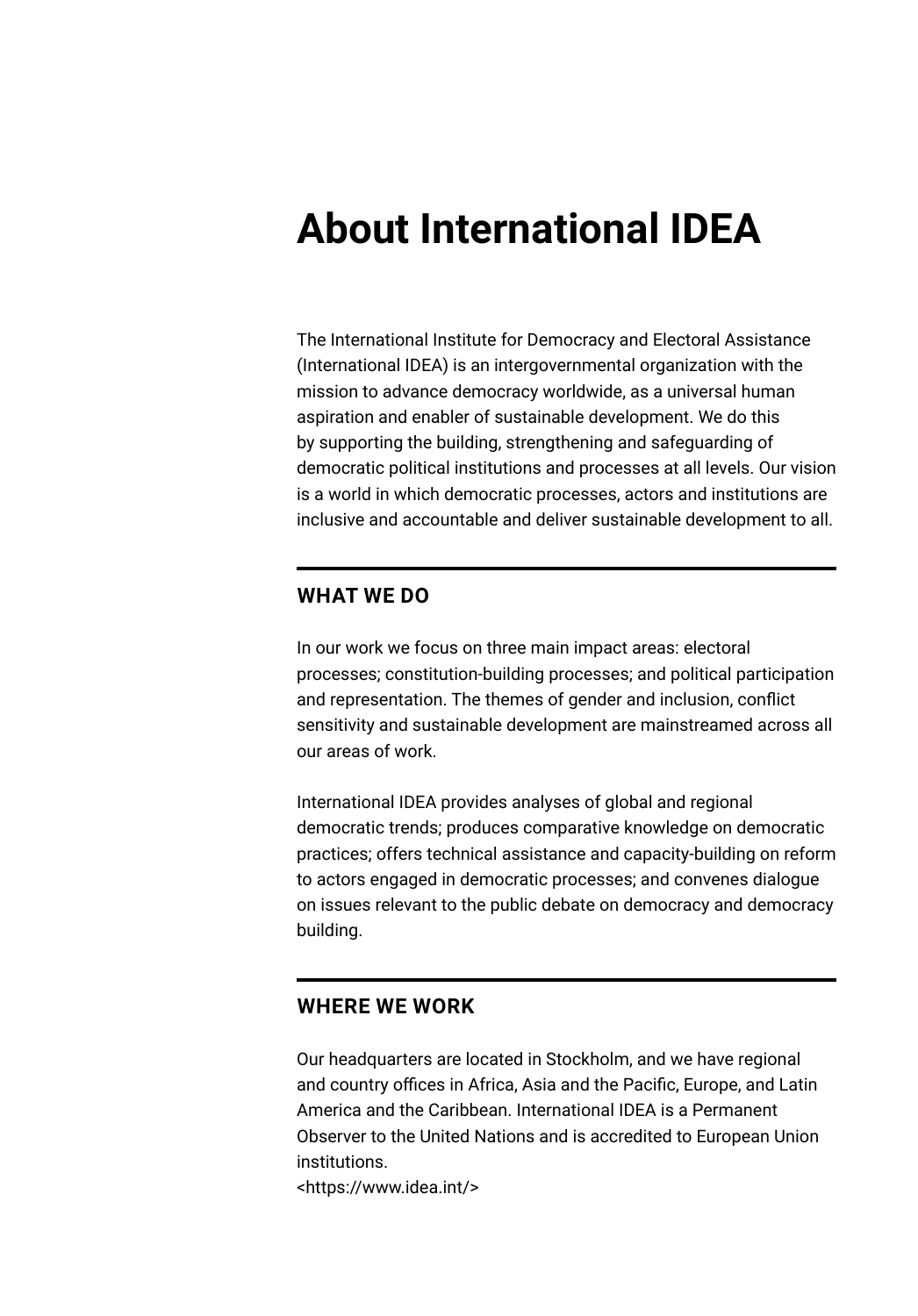## <span id="page-69-0"></span>**About International IDEA**

The International Institute for Democracy and Electoral Assistance (International IDEA) is an intergovernmental organization with the mission to advance democracy worldwide, as a universal human aspiration and enabler of sustainable development. We do this by supporting the building, strengthening and safeguarding of democratic political institutions and processes at all levels. Our vision is a world in which democratic processes, actors and institutions are inclusive and accountable and deliver sustainable development to all.

### **WHAT WE DO**

In our work we focus on three main impact areas: electoral processes; constitution-building processes; and political participation and representation. The themes of gender and inclusion, conflict sensitivity and sustainable development are mainstreamed across all our areas of work.

International IDEA provides analyses of global and regional democratic trends; produces comparative knowledge on democratic practices; offers technical assistance and capacity-building on reform to actors engaged in democratic processes; and convenes dialogue on issues relevant to the public debate on democracy and democracy building.

### **WHERE WE WORK**

Our headquarters are located in Stockholm, and we have regional and country offices in Africa, Asia and the Pacific, Europe, and Latin America and the Caribbean. International IDEA is a Permanent Observer to the United Nations and is accredited to European Union institutions.

<https://www.idea.int/>